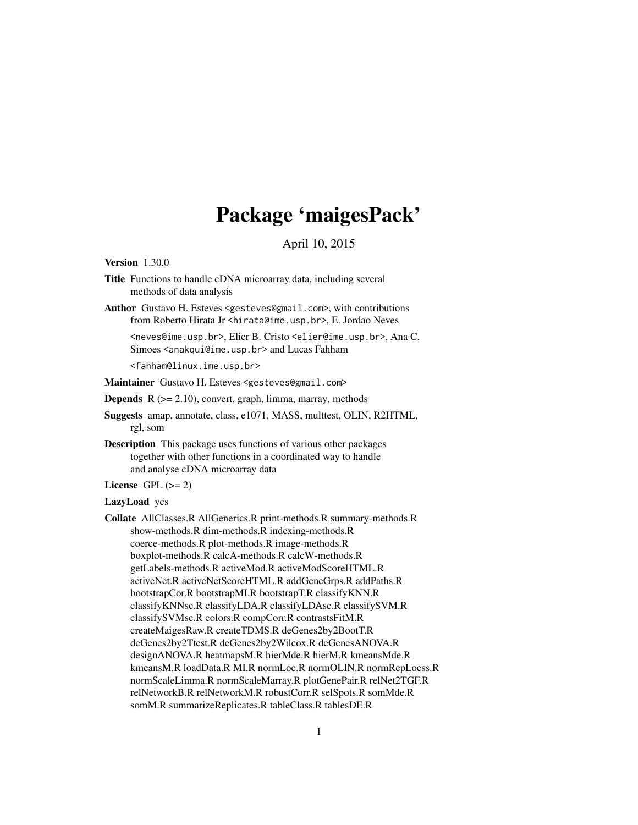# Package 'maigesPack'

April 10, 2015

<span id="page-0-0"></span>Version 1.30.0

- Title Functions to handle cDNA microarray data, including several methods of data analysis
- Author Gustavo H. Esteves <gesteves@gmail.com>, with contributions from Roberto Hirata Jr <hirata@ime.usp.br>, E. Jordao Neves

<neves@ime.usp.br>, Elier B. Cristo <elier@ime.usp.br>, Ana C. Simoes <anakqui@ime.usp.br> and Lucas Fahham

<fahham@linux.ime.usp.br>

Maintainer Gustavo H. Esteves <gesteves@gmail.com>

**Depends**  $R$  ( $>= 2.10$ ), convert, graph, limma, marray, methods

Suggests amap, annotate, class, e1071, MASS, multtest, OLIN, R2HTML, rgl, som

Description This package uses functions of various other packages together with other functions in a coordinated way to handle and analyse cDNA microarray data

License GPL  $(>= 2)$ 

#### LazyLoad yes

Collate AllClasses.R AllGenerics.R print-methods.R summary-methods.R show-methods.R dim-methods.R indexing-methods.R coerce-methods.R plot-methods.R image-methods.R boxplot-methods.R calcA-methods.R calcW-methods.R getLabels-methods.R activeMod.R activeModScoreHTML.R activeNet.R activeNetScoreHTML.R addGeneGrps.R addPaths.R bootstrapCor.R bootstrapMI.R bootstrapT.R classifyKNN.R classifyKNNsc.R classifyLDA.R classifyLDAsc.R classifySVM.R classifySVMsc.R colors.R compCorr.R contrastsFitM.R createMaigesRaw.R createTDMS.R deGenes2by2BootT.R deGenes2by2Ttest.R deGenes2by2Wilcox.R deGenesANOVA.R designANOVA.R heatmapsM.R hierMde.R hierM.R kmeansMde.R kmeansM.R loadData.R MI.R normLoc.R normOLIN.R normRepLoess.R normScaleLimma.R normScaleMarray.R plotGenePair.R relNet2TGF.R relNetworkB.R relNetworkM.R robustCorr.R selSpots.R somMde.R somM.R summarizeReplicates.R tableClass.R tablesDE.R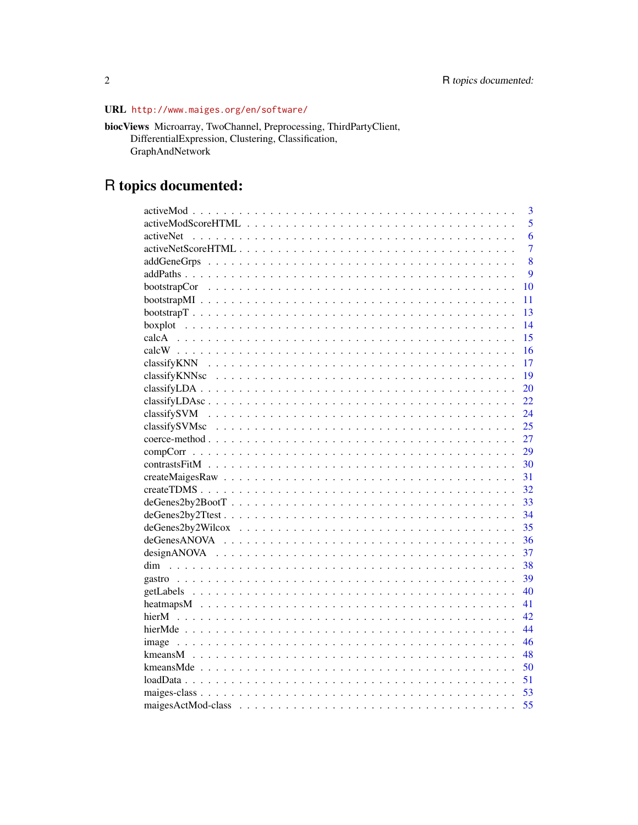## URL http://www.maiges.org/en/software/

| <b>biocViews</b> Microarray, TwoChannel, Preprocessing, ThirdPartyClient, |
|---------------------------------------------------------------------------|
| DifferentialExpression, Clustering, Classification,                       |
| <b>GraphAndNetwork</b>                                                    |

# R topics documented:

|           | $\overline{\mathbf{3}}$ |
|-----------|-------------------------|
|           | $\overline{5}$          |
| activeNet | 6                       |
|           | $\overline{7}$          |
|           | 8                       |
|           | $\boldsymbol{Q}$        |
|           | 10                      |
|           | 11                      |
|           | 13                      |
|           | 14                      |
|           | 15                      |
|           | 16                      |
|           | 17                      |
|           | 19                      |
|           | 20                      |
|           | 22                      |
|           | 24                      |
|           | 25                      |
|           | 27                      |
|           | 29                      |
|           | 30                      |
|           | 31                      |
|           | 32                      |
|           | 33                      |
|           | 34                      |
|           | 35                      |
|           | 36                      |
|           | 37                      |
|           | 38                      |
|           | 39                      |
|           | 40                      |
|           | 41                      |
|           | 42                      |
|           | 44                      |
| image     | 46                      |
|           | 48                      |
|           | 50                      |
|           | 51                      |
|           | 53                      |
|           | 55                      |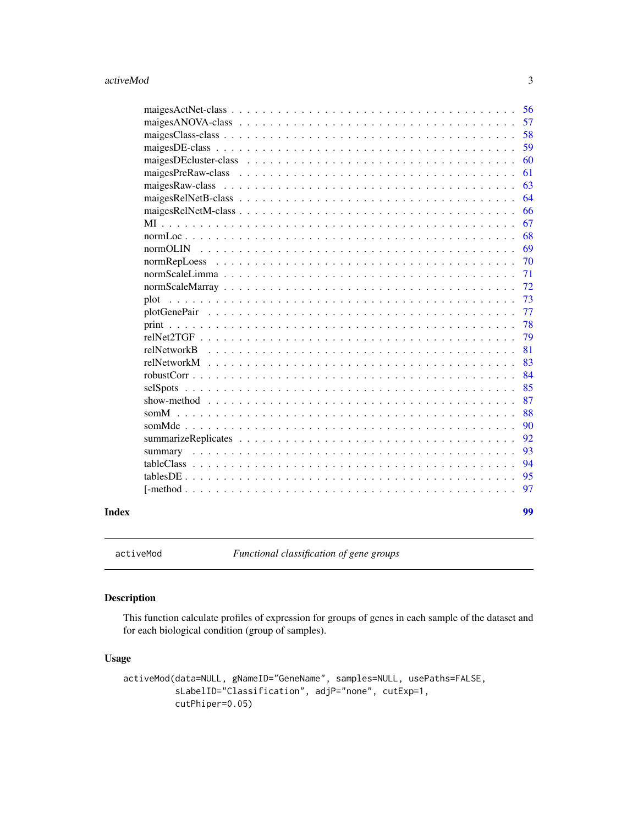<span id="page-2-0"></span>

| Index |                                                                                                               | 99  |
|-------|---------------------------------------------------------------------------------------------------------------|-----|
|       |                                                                                                               | 97  |
|       |                                                                                                               | 95  |
|       |                                                                                                               | 94  |
|       |                                                                                                               | 93  |
|       |                                                                                                               | 92  |
|       |                                                                                                               | 90  |
|       |                                                                                                               | 88  |
|       |                                                                                                               | 87  |
|       | selSpots                                                                                                      | 85  |
|       |                                                                                                               | 84  |
|       | relNetworkM                                                                                                   | 83  |
|       | relNetwork <sub>B</sub>                                                                                       | 81  |
|       |                                                                                                               | 79  |
|       |                                                                                                               | 78  |
|       |                                                                                                               | 77  |
|       | plot                                                                                                          | 73  |
|       |                                                                                                               | 72  |
|       |                                                                                                               | 71  |
|       |                                                                                                               | 70  |
|       |                                                                                                               | 69  |
|       |                                                                                                               | 68  |
|       |                                                                                                               | 67  |
|       |                                                                                                               | 66  |
|       |                                                                                                               | 64  |
|       | maiges Raw-class $\ldots \ldots \ldots \ldots \ldots \ldots \ldots \ldots \ldots \ldots \ldots \ldots \ldots$ | 63  |
|       |                                                                                                               | 61  |
|       |                                                                                                               | 60  |
|       |                                                                                                               | 59  |
|       |                                                                                                               | 58  |
|       |                                                                                                               | 57  |
|       |                                                                                                               | .56 |

<span id="page-2-1"></span>activeMod *Functional classification of gene groups*

### Description

This function calculate profiles of expression for groups of genes in each sample of the dataset and for each biological condition (group of samples).

```
activeMod(data=NULL, gNameID="GeneName", samples=NULL, usePaths=FALSE,
         sLabelID="Classification", adjP="none", cutExp=1,
         cutPhiper=0.05)
```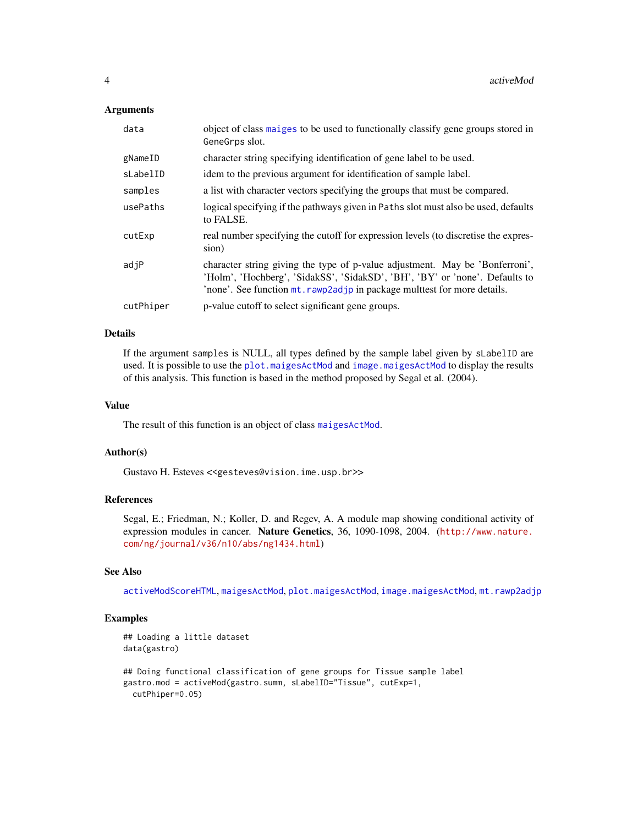### **Arguments**

| data      | object of class maiges to be used to functionally classify gene groups stored in<br>GeneGrps slot.                                                                                                                                      |
|-----------|-----------------------------------------------------------------------------------------------------------------------------------------------------------------------------------------------------------------------------------------|
| gNameID   | character string specifying identification of gene label to be used.                                                                                                                                                                    |
| sLabelID  | idem to the previous argument for identification of sample label.                                                                                                                                                                       |
| samples   | a list with character vectors specifying the groups that must be compared.                                                                                                                                                              |
| usePaths  | logical specifying if the pathways given in Paths slot must also be used, defaults<br>to FALSE.                                                                                                                                         |
| cutExp    | real number specifying the cutoff for expression levels (to discretise the expres-<br>sion)                                                                                                                                             |
| adjP      | character string giving the type of p-value adjustment. May be 'Bonferroni',<br>'Holm', 'Hochberg', 'SidakSS', 'SidakSD', 'BH', 'BY' or 'none'. Defaults to<br>'none'. See function mt. rawp2adjp in package multtest for more details. |
| cutPhiper | p-value cutoff to select significant gene groups.                                                                                                                                                                                       |

### Details

If the argument samples is NULL, all types defined by the sample label given by sLabelID are used. It is possible to use the [plot.maigesActMod](#page-72-1) and [image.maigesActMod](#page-45-1) to display the results of this analysis. This function is based in the method proposed by Segal et al. (2004).

### Value

The result of this function is an object of class [maigesActMod](#page-54-1).

### Author(s)

Gustavo H. Esteves <<gesteves@vision.ime.usp.br>>

#### References

Segal, E.; Friedman, N.; Koller, D. and Regev, A. A module map showing conditional activity of expression modules in cancer. Nature Genetics, 36, 1090-1098, 2004. ([http://www.nature.](http://www.nature.com/ng/journal/v36/n10/abs/ng1434.html) [com/ng/journal/v36/n10/abs/ng1434.html](http://www.nature.com/ng/journal/v36/n10/abs/ng1434.html))

### See Also

[activeModScoreHTML](#page-4-1), [maigesActMod](#page-54-1), [plot.maigesActMod](#page-72-1), [image.maigesActMod](#page-45-1), [mt.rawp2adjp](#page-0-0)

### Examples

```
## Loading a little dataset
data(gastro)
## Doing functional classification of gene groups for Tissue sample label
gastro.mod = activeMod(gastro.summ, sLabelID="Tissue", cutExp=1,
 cutPhiper=0.05)
```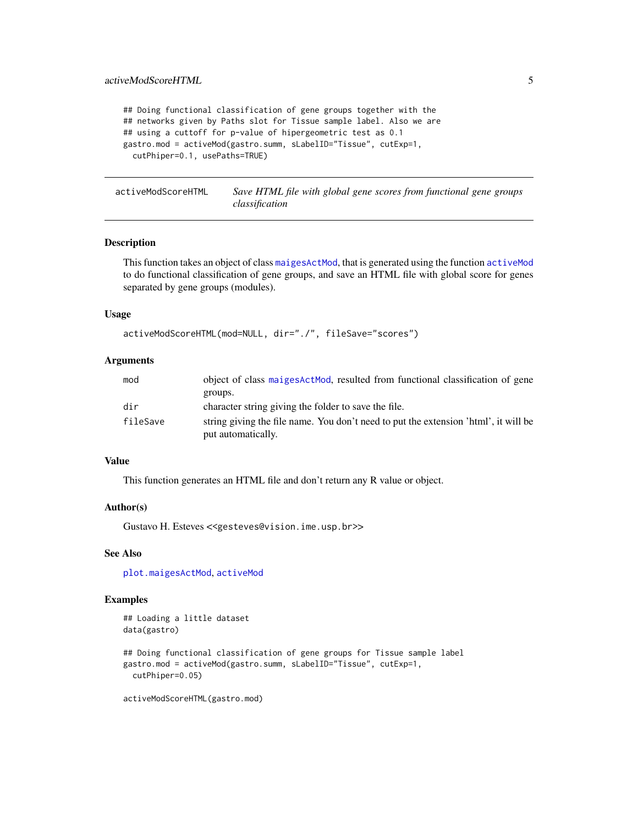```
## Doing functional classification of gene groups together with the
## networks given by Paths slot for Tissue sample label. Also we are
## using a cuttoff for p-value of hipergeometric test as 0.1
gastro.mod = activeMod(gastro.summ, sLabelID="Tissue", cutExp=1,
 cutPhiper=0.1, usePaths=TRUE)
```
<span id="page-4-1"></span>activeModScoreHTML *Save HTML file with global gene scores from functional gene groups classification*

#### Description

This function takes an object of class [maigesActMod](#page-54-1), that is generated using the function [activeMod](#page-2-1) to do functional classification of gene groups, and save an HTML file with global score for genes separated by gene groups (modules).

#### Usage

```
activeModScoreHTML(mod=NULL, dir="./", fileSave="scores")
```
### Arguments

| mod      | object of class maiges Act Mod, resulted from functional classification of gene                           |
|----------|-----------------------------------------------------------------------------------------------------------|
|          | groups.                                                                                                   |
| dir      | character string giving the folder to save the file.                                                      |
| fileSave | string giving the file name. You don't need to put the extension 'html', it will be<br>put automatically. |
|          |                                                                                                           |

### Value

This function generates an HTML file and don't return any R value or object.

#### Author(s)

Gustavo H. Esteves <<gesteves@vision.ime.usp.br>>

### See Also

[plot.maigesActMod](#page-72-1), [activeMod](#page-2-1)

### Examples

```
## Loading a little dataset
data(gastro)
```
## Doing functional classification of gene groups for Tissue sample label gastro.mod = activeMod(gastro.summ, sLabelID="Tissue", cutExp=1, cutPhiper=0.05)

activeModScoreHTML(gastro.mod)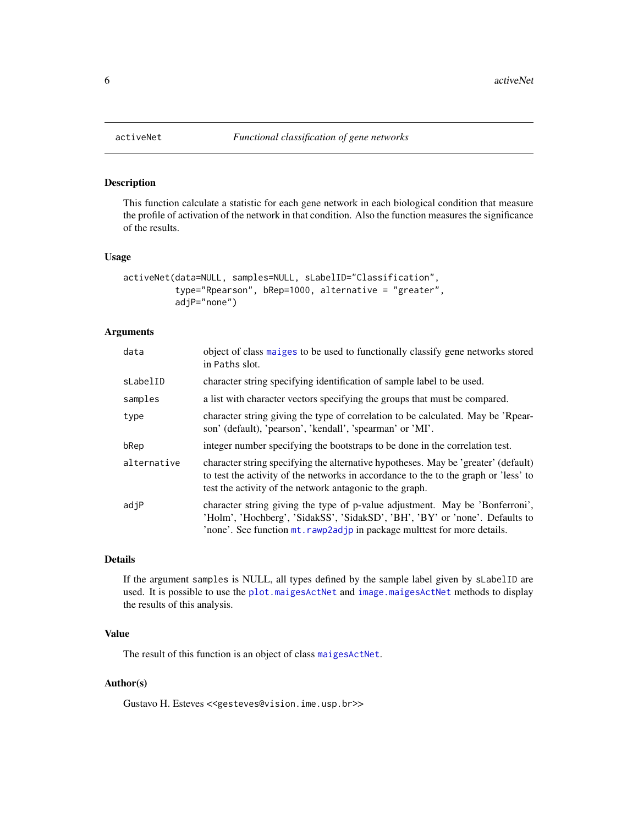<span id="page-5-1"></span><span id="page-5-0"></span>

This function calculate a statistic for each gene network in each biological condition that measure the profile of activation of the network in that condition. Also the function measures the significance of the results.

### Usage

```
activeNet(data=NULL, samples=NULL, sLabelID="Classification",
          type="Rpearson", bRep=1000, alternative = "greater",
          adjP="none")
```
### Arguments

| data        | object of class maiges to be used to functionally classify gene networks stored<br>in Paths slot.                                                                                                                                       |
|-------------|-----------------------------------------------------------------------------------------------------------------------------------------------------------------------------------------------------------------------------------------|
| sLabelID    | character string specifying identification of sample label to be used.                                                                                                                                                                  |
| samples     | a list with character vectors specifying the groups that must be compared.                                                                                                                                                              |
| type        | character string giving the type of correlation to be calculated. May be 'Rpear-<br>son' (default), 'pearson', 'kendall', 'spearman' or 'MI'.                                                                                           |
| bRep        | integer number specifying the bootstraps to be done in the correlation test.                                                                                                                                                            |
| alternative | character string specifying the alternative hypotheses. May be 'greater' (default)<br>to test the activity of the networks in accordance to the to the graph or 'less' to<br>test the activity of the network antagonic to the graph.   |
| adjP        | character string giving the type of p-value adjustment. May be 'Bonferroni',<br>'Holm', 'Hochberg', 'SidakSS', 'SidakSD', 'BH', 'BY' or 'none'. Defaults to<br>'none'. See function mt. rawp2adjp in package multtest for more details. |

### Details

If the argument samples is NULL, all types defined by the sample label given by sLabelID are used. It is possible to use the [plot.maigesActNet](#page-72-1) and [image.maigesActNet](#page-45-1) methods to display the results of this analysis.

#### Value

The result of this function is an object of class [maigesActNet](#page-55-1).

### Author(s)

Gustavo H. Esteves <<gesteves@vision.ime.usp.br>>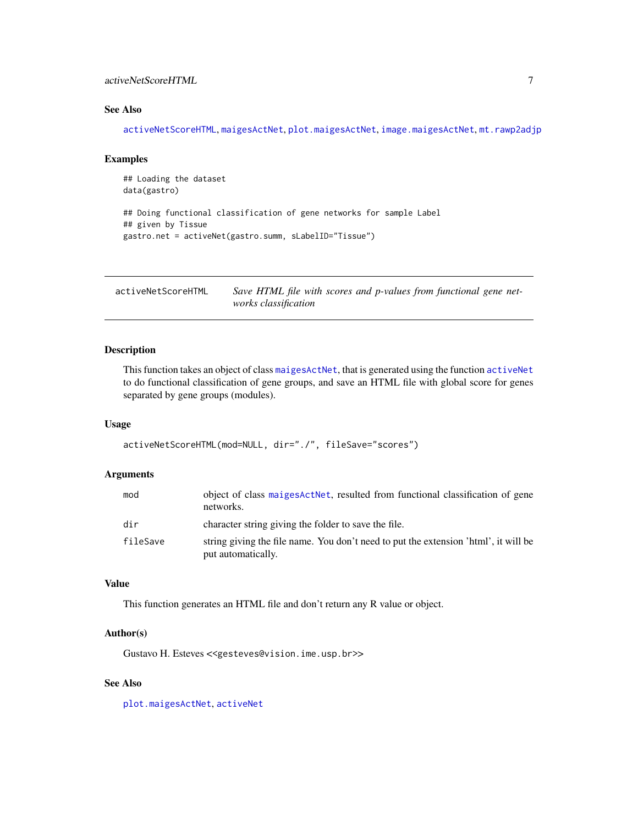### <span id="page-6-0"></span>activeNetScoreHTML 7

### See Also

[activeNetScoreHTML](#page-6-1), [maigesActNet](#page-55-1), [plot.maigesActNet](#page-72-1), [image.maigesActNet](#page-45-1), [mt.rawp2adjp](#page-0-0)

#### Examples

```
## Loading the dataset
data(gastro)
## Doing functional classification of gene networks for sample Label
## given by Tissue
gastro.net = activeNet(gastro.summ, sLabelID="Tissue")
```
<span id="page-6-1"></span>activeNetScoreHTML *Save HTML file with scores and p-values from functional gene networks classification*

### Description

This function takes an object of class [maigesActNet](#page-55-1), that is generated using the function [activeNet](#page-5-1) to do functional classification of gene groups, and save an HTML file with global score for genes separated by gene groups (modules).

### Usage

```
activeNetScoreHTML(mod=NULL, dir="./", fileSave="scores")
```
### Arguments

| mod      | object of class maiges ActNet, resulted from functional classification of gene<br>networks.               |
|----------|-----------------------------------------------------------------------------------------------------------|
| dir      | character string giving the folder to save the file.                                                      |
| fileSave | string giving the file name. You don't need to put the extension 'html', it will be<br>put automatically. |

### Value

This function generates an HTML file and don't return any R value or object.

#### Author(s)

Gustavo H. Esteves <<gesteves@vision.ime.usp.br>>

### See Also

[plot.maigesActNet](#page-72-1), [activeNet](#page-5-1)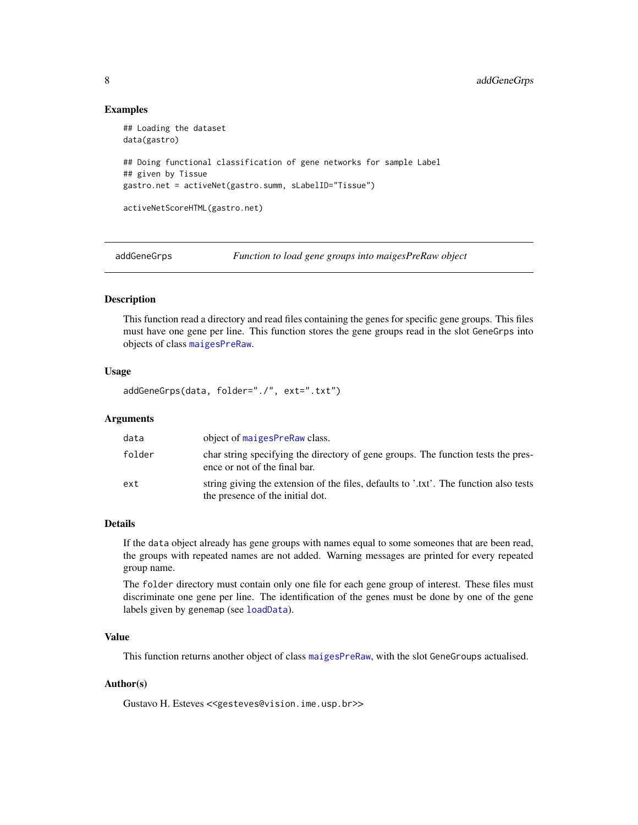### Examples

```
## Loading the dataset
data(gastro)
## Doing functional classification of gene networks for sample Label
## given by Tissue
gastro.net = activeNet(gastro.summ, sLabelID="Tissue")
activeNetScoreHTML(gastro.net)
```
<span id="page-7-1"></span>addGeneGrps *Function to load gene groups into maigesPreRaw object*

### Description

This function read a directory and read files containing the genes for specific gene groups. This files must have one gene per line. This function stores the gene groups read in the slot GeneGrps into objects of class [maigesPreRaw](#page-60-1).

### Usage

addGeneGrps(data, folder="./", ext=".txt")

### Arguments

| data   | object of maigesPreRaw class.                                                                                             |
|--------|---------------------------------------------------------------------------------------------------------------------------|
| folder | char string specifying the directory of gene groups. The function tests the pres-<br>ence or not of the final bar.        |
| ext    | string giving the extension of the files, defaults to '.txt'. The function also tests<br>the presence of the initial dot. |

### Details

If the data object already has gene groups with names equal to some someones that are been read, the groups with repeated names are not added. Warning messages are printed for every repeated group name.

The folder directory must contain only one file for each gene group of interest. These files must discriminate one gene per line. The identification of the genes must be done by one of the gene labels given by genemap (see [loadData](#page-50-1)).

### Value

This function returns another object of class [maigesPreRaw](#page-60-1), with the slot GeneGroups actualised.

#### Author(s)

Gustavo H. Esteves <<gesteves@vision.ime.usp.br>>

<span id="page-7-0"></span>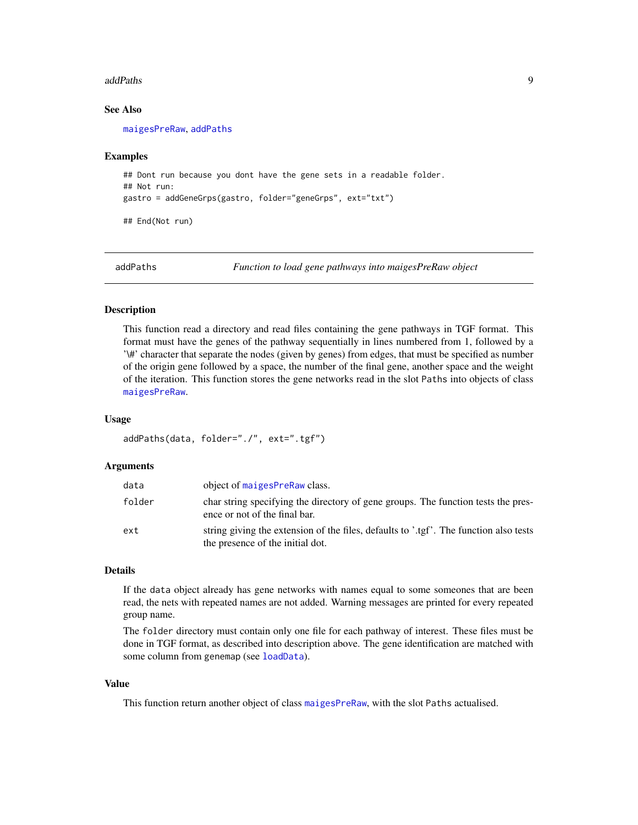#### <span id="page-8-0"></span>addPaths 9

#### See Also

[maigesPreRaw](#page-60-1), [addPaths](#page-8-1)

#### Examples

```
## Dont run because you dont have the gene sets in a readable folder.
## Not run:
gastro = addGeneGrps(gastro, folder="geneGrps", ext="txt")
## End(Not run)
```
<span id="page-8-1"></span>addPaths *Function to load gene pathways into maigesPreRaw object*

#### Description

This function read a directory and read files containing the gene pathways in TGF format. This format must have the genes of the pathway sequentially in lines numbered from 1, followed by a '\#' character that separate the nodes (given by genes) from edges, that must be specified as number of the origin gene followed by a space, the number of the final gene, another space and the weight of the iteration. This function stores the gene networks read in the slot Paths into objects of class [maigesPreRaw](#page-60-1).

#### Usage

```
addPaths(data, folder="./", ext=".tgf")
```
#### Arguments

| data   | object of maigesPreRaw class.                                                                                             |
|--------|---------------------------------------------------------------------------------------------------------------------------|
| folder | char string specifying the directory of gene groups. The function tests the pres-<br>ence or not of the final bar.        |
| ext    | string giving the extension of the files, defaults to '.tgf'. The function also tests<br>the presence of the initial dot. |

### Details

If the data object already has gene networks with names equal to some someones that are been read, the nets with repeated names are not added. Warning messages are printed for every repeated group name.

The folder directory must contain only one file for each pathway of interest. These files must be done in TGF format, as described into description above. The gene identification are matched with some column from genemap (see [loadData](#page-50-1)).

### Value

This function return another object of class [maigesPreRaw](#page-60-1), with the slot Paths actualised.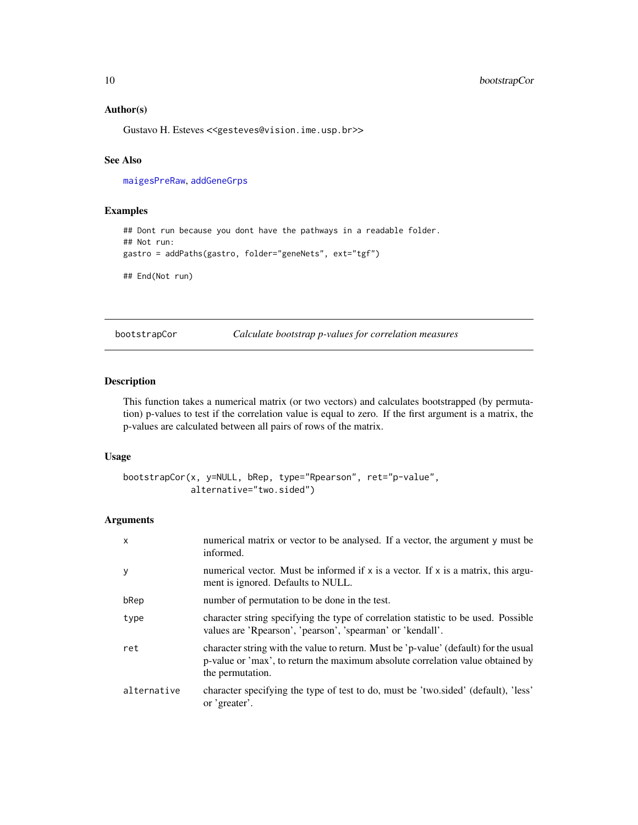### Author(s)

Gustavo H. Esteves <<gesteves@vision.ime.usp.br>>

### See Also

[maigesPreRaw](#page-60-1), [addGeneGrps](#page-7-1)

### Examples

```
## Dont run because you dont have the pathways in a readable folder.
## Not run:
gastro = addPaths(gastro, folder="geneNets", ext="tgf")
```
## End(Not run)

bootstrapCor *Calculate bootstrap p-values for correlation measures*

### Description

This function takes a numerical matrix (or two vectors) and calculates bootstrapped (by permutation) p-values to test if the correlation value is equal to zero. If the first argument is a matrix, the p-values are calculated between all pairs of rows of the matrix.

#### Usage

```
bootstrapCor(x, y=NULL, bRep, type="Rpearson", ret="p-value",
             alternative="two.sided")
```
#### Arguments

| X           | numerical matrix or vector to be analysed. If a vector, the argument y must be<br>informed.                                                                                                |
|-------------|--------------------------------------------------------------------------------------------------------------------------------------------------------------------------------------------|
| у           | numerical vector. Must be informed if $x$ is a vector. If $x$ is a matrix, this argu-<br>ment is ignored. Defaults to NULL.                                                                |
| bRep        | number of permutation to be done in the test.                                                                                                                                              |
| type        | character string specifying the type of correlation statistic to be used. Possible<br>values are 'Repression', 'pearson', 'spearman' or 'kendall'.                                         |
| ret         | character string with the value to return. Must be 'p-value' (default) for the usual<br>p-value or 'max', to return the maximum absolute correlation value obtained by<br>the permutation. |
| alternative | character specifying the type of test to do, must be 'two sided' (default), 'less'<br>or 'greater'.                                                                                        |

<span id="page-9-0"></span>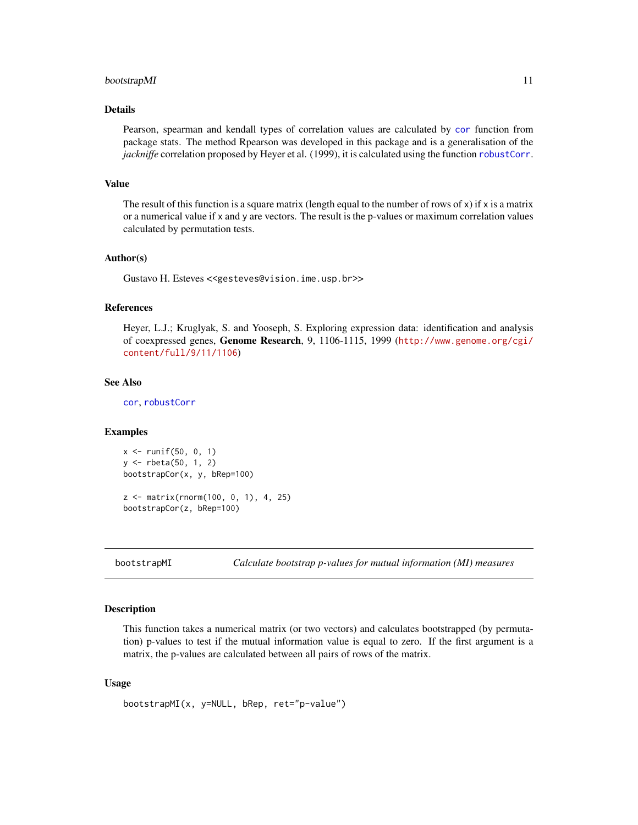#### <span id="page-10-0"></span>bootstrapMI 11

### Details

Pearson, spearman and kendall types of correlation values are calculated by [cor](#page-0-0) function from package stats. The method Rpearson was developed in this package and is a generalisation of the *jackniffe* correlation proposed by Heyer et al. (1999), it is calculated using the function [robustCorr](#page-83-1).

### Value

The result of this function is a square matrix (length equal to the number of rows of  $x$ ) if  $x$  is a matrix or a numerical value if x and y are vectors. The result is the p-values or maximum correlation values calculated by permutation tests.

#### Author(s)

Gustavo H. Esteves <<gesteves@vision.ime.usp.br>>

#### References

Heyer, L.J.; Kruglyak, S. and Yooseph, S. Exploring expression data: identification and analysis of coexpressed genes, Genome Research, 9, 1106-1115, 1999 ([http://www.genome.org/cgi/](http://www.genome.org/cgi/content/full/9/11/1106) [content/full/9/11/1106](http://www.genome.org/cgi/content/full/9/11/1106))

#### See Also

[cor](#page-0-0), [robustCorr](#page-83-1)

#### Examples

```
x <- runif(50, 0, 1)
y <- rbeta(50, 1, 2)
bootstrapCor(x, y, bRep=100)
```
z <- matrix(rnorm(100, 0, 1), 4, 25) bootstrapCor(z, bRep=100)

bootstrapMI *Calculate bootstrap p-values for mutual information (MI) measures*

#### **Description**

This function takes a numerical matrix (or two vectors) and calculates bootstrapped (by permutation) p-values to test if the mutual information value is equal to zero. If the first argument is a matrix, the p-values are calculated between all pairs of rows of the matrix.

```
bootstrapMI(x, y=NULL, bRep, ret="p-value")
```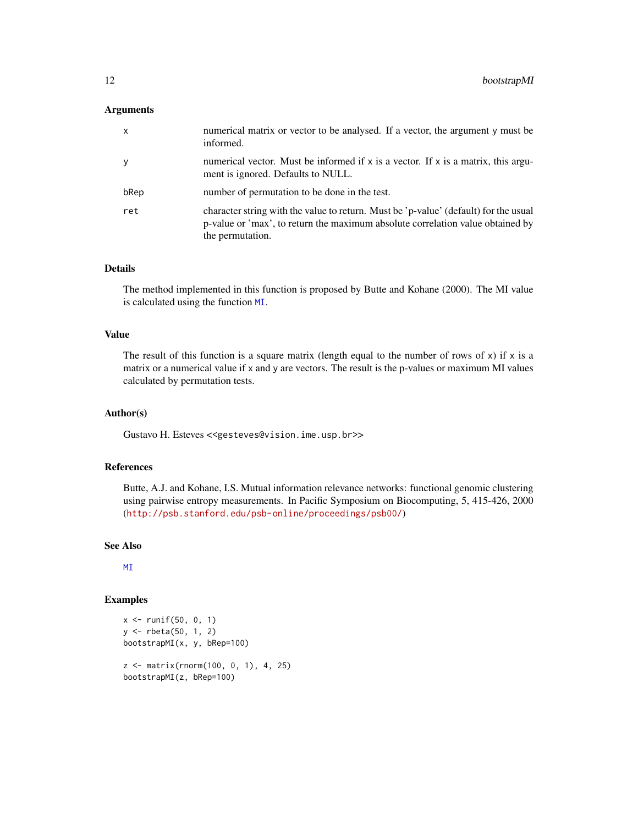#### Arguments

| $\mathsf{x}$ | numerical matrix or vector to be analysed. If a vector, the argument y must be<br>informed.                                                                                                |
|--------------|--------------------------------------------------------------------------------------------------------------------------------------------------------------------------------------------|
| y            | numerical vector. Must be informed if $x$ is a vector. If $x$ is a matrix, this argu-<br>ment is ignored. Defaults to NULL.                                                                |
| bRep         | number of permutation to be done in the test.                                                                                                                                              |
| ret          | character string with the value to return. Must be 'p-value' (default) for the usual<br>p-value or 'max', to return the maximum absolute correlation value obtained by<br>the permutation. |

### Details

The method implemented in this function is proposed by Butte and Kohane (2000). The MI value is calculated using the function [MI](#page-66-1).

### Value

The result of this function is a square matrix (length equal to the number of rows of  $x$ ) if  $x$  is a matrix or a numerical value if x and y are vectors. The result is the p-values or maximum MI values calculated by permutation tests.

### Author(s)

Gustavo H. Esteves <<gesteves@vision.ime.usp.br>>

#### References

Butte, A.J. and Kohane, I.S. Mutual information relevance networks: functional genomic clustering using pairwise entropy measurements. In Pacific Symposium on Biocomputing, 5, 415-426, 2000 (<http://psb.stanford.edu/psb-online/proceedings/psb00/>)

### See Also

[MI](#page-66-1)

### Examples

```
x \leftarrow runif(50, 0, 1)y <- rbeta(50, 1, 2)
bootstrapMI(x, y, bRep=100)
z <- matrix(rnorm(100, 0, 1), 4, 25)
bootstrapMI(z, bRep=100)
```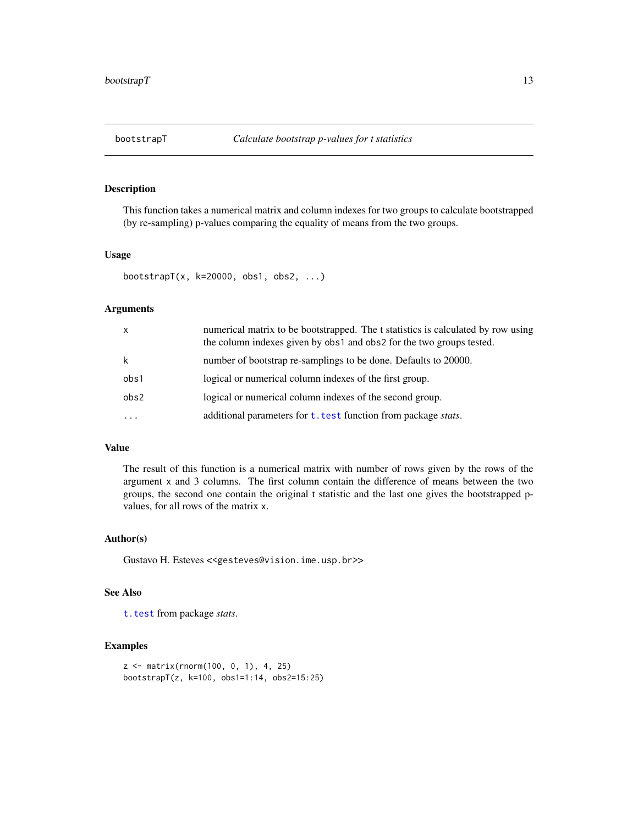<span id="page-12-1"></span><span id="page-12-0"></span>

This function takes a numerical matrix and column indexes for two groups to calculate bootstrapped (by re-sampling) p-values comparing the equality of means from the two groups.

#### Usage

```
bootstrapT(x, k=20000, obs1, obs2, ...)
```
### Arguments

| $\mathsf{x}$ | numerical matrix to be bootstrapped. The t statistics is calculated by row using<br>the column indexes given by obs1 and obs2 for the two groups tested. |
|--------------|----------------------------------------------------------------------------------------------------------------------------------------------------------|
| k            | number of bootstrap re-samplings to be done. Defaults to 20000.                                                                                          |
| obs1         | logical or numerical column indexes of the first group.                                                                                                  |
| obs2         | logical or numerical column indexes of the second group.                                                                                                 |
|              | additional parameters for t. test function from package stats.                                                                                           |

### Value

The result of this function is a numerical matrix with number of rows given by the rows of the argument x and 3 columns. The first column contain the difference of means between the two groups, the second one contain the original t statistic and the last one gives the bootstrapped pvalues, for all rows of the matrix x.

### Author(s)

Gustavo H. Esteves <<gesteves@vision.ime.usp.br>>

### See Also

[t.test](#page-0-0) from package *stats*.

#### Examples

```
z <- matrix(rnorm(100, 0, 1), 4, 25)
bootstrapT(z, k=100, obs1=1:14, obs2=15:25)
```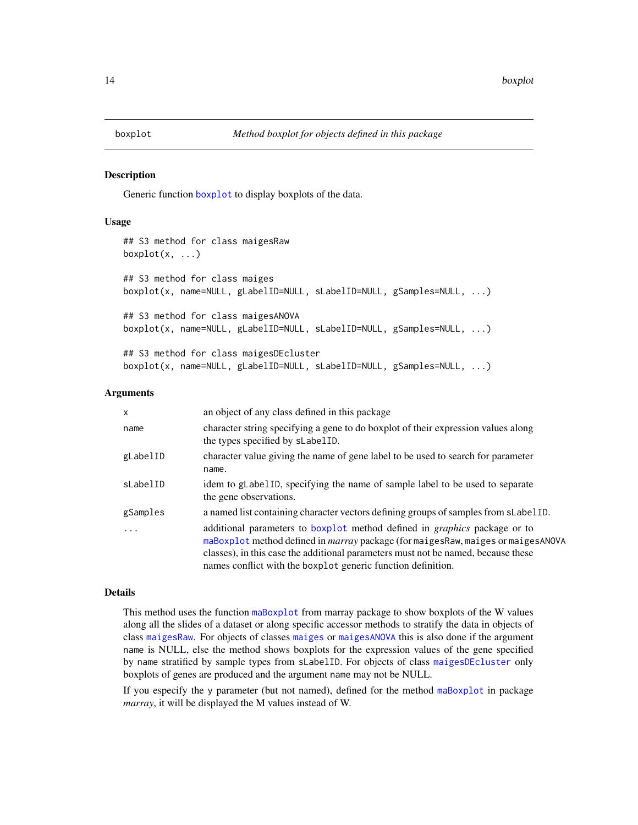<span id="page-13-1"></span><span id="page-13-0"></span>

Generic function [boxplot](#page-13-1) to display boxplots of the data.

### Usage

```
## S3 method for class maigesRaw
boxplot(x, ...)## S3 method for class maiges
boxplot(x, name=NULL, gLabelID=NULL, sLabelID=NULL, gSamples=NULL, ...)
## S3 method for class maigesANOVA
boxplot(x, name=NULL, gLabelID=NULL, sLabelID=NULL, gSamples=NULL, ...)
## S3 method for class maigesDEcluster
boxplot(x, name=NULL, gLabelID=NULL, sLabelID=NULL, gSamples=NULL, ...)
```
#### Arguments

| $\mathsf{x}$ | an object of any class defined in this package                                                                                                                                                                                                                                                                                     |
|--------------|------------------------------------------------------------------------------------------------------------------------------------------------------------------------------------------------------------------------------------------------------------------------------------------------------------------------------------|
| name         | character string specifying a gene to do boxplot of their expression values along<br>the types specified by sLabelID.                                                                                                                                                                                                              |
| gLabelID     | character value giving the name of gene label to be used to search for parameter<br>name.                                                                                                                                                                                                                                          |
| sLabelID     | idem to glabel ID, specifying the name of sample label to be used to separate<br>the gene observations.                                                                                                                                                                                                                            |
| gSamples     | a named list containing character vectors defining groups of samples from sLabelID.                                                                                                                                                                                                                                                |
|              | additional parameters to boxplot method defined in <i>graphics</i> package or to<br>maBoxplot method defined in <i>marray</i> package (for maiges Raw, maiges or maiges ANOVA<br>classes), in this case the additional parameters must not be named, because these<br>names conflict with the boxplot generic function definition. |

#### Details

This method uses the function [maBoxplot](#page-0-0) from marray package to show boxplots of the W values along all the slides of a dataset or along specific accessor methods to stratify the data in objects of class [maigesRaw](#page-62-1). For objects of classes [maiges](#page-52-1) or [maigesANOVA](#page-56-1) this is also done if the argument name is NULL, else the method shows boxplots for the expression values of the gene specified by name stratified by sample types from sLabelID. For objects of class [maigesDEcluster](#page-59-1) only boxplots of genes are produced and the argument name may not be NULL.

If you especify the y parameter (but not named), defined for the method [maBoxplot](#page-0-0) in package *marray*, it will be displayed the M values instead of W.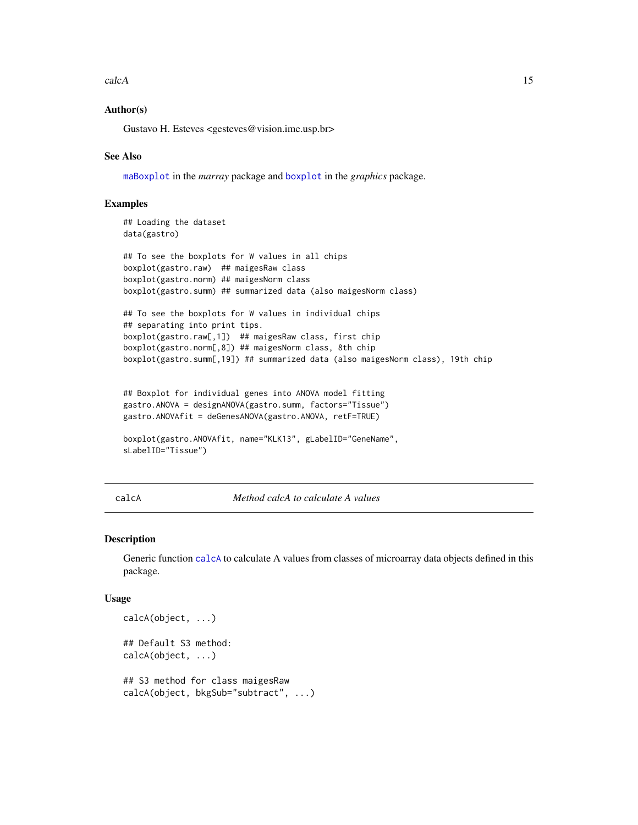<span id="page-14-0"></span>calcA 15

### Author(s)

Gustavo H. Esteves <gesteves@vision.ime.usp.br>

### See Also

[maBoxplot](#page-0-0) in the *marray* package and [boxplot](#page-13-1) in the *graphics* package.

### Examples

```
## Loading the dataset
data(gastro)
```

```
## To see the boxplots for W values in all chips
boxplot(gastro.raw) ## maigesRaw class
boxplot(gastro.norm) ## maigesNorm class
boxplot(gastro.summ) ## summarized data (also maigesNorm class)
```

```
## To see the boxplots for W values in individual chips
## separating into print tips.
boxplot(gastro.raw[,1]) ## maigesRaw class, first chip
boxplot(gastro.norm[,8]) ## maigesNorm class, 8th chip
boxplot(gastro.summ[,19]) ## summarized data (also maigesNorm class), 19th chip
```

```
## Boxplot for individual genes into ANOVA model fitting
gastro.ANOVA = designANOVA(gastro.summ, factors="Tissue")
gastro.ANOVAfit = deGenesANOVA(gastro.ANOVA, retF=TRUE)
```

```
boxplot(gastro.ANOVAfit, name="KLK13", gLabelID="GeneName",
sLabelID="Tissue")
```
<span id="page-14-1"></span>calcA *Method calcA to calculate A values*

#### Description

Generic function [calcA](#page-14-1) to calculate A values from classes of microarray data objects defined in this package.

```
calcA(object, ...)
## Default S3 method:
calcA(object, ...)
## S3 method for class maigesRaw
calcA(object, bkgSub="subtract", ...)
```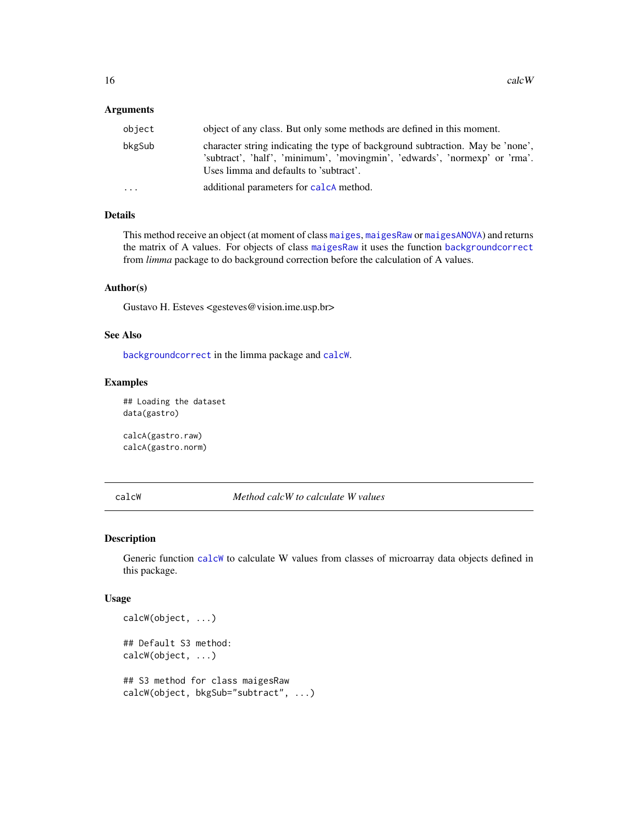### <span id="page-15-0"></span>Arguments

|                                                                                                                                                                                                                  | object of any class. But only some methods are defined in this moment. |
|------------------------------------------------------------------------------------------------------------------------------------------------------------------------------------------------------------------|------------------------------------------------------------------------|
| character string indicating the type of background subtraction. May be 'none',<br>bkgSub<br>'subtract', 'half', 'minimum', 'movingmin', 'edwards', 'normexp' or 'rma'.<br>Uses limma and defaults to 'subtract'. |                                                                        |
| additional parameters for calcA method.<br>$\cdots$                                                                                                                                                              |                                                                        |

### Details

This method receive an object (at moment of class [maiges](#page-52-1), [maigesRaw](#page-62-1) or [maigesANOVA](#page-56-1)) and returns the matrix of A values. For objects of class [maigesRaw](#page-62-1) it uses the function [backgroundcorrect](#page-0-0) from *limma* package to do background correction before the calculation of A values.

#### Author(s)

Gustavo H. Esteves <gesteves@vision.ime.usp.br>

#### See Also

[backgroundcorrect](#page-0-0) in the limma package and [calcW](#page-15-1).

#### Examples

## Loading the dataset data(gastro)

calcA(gastro.raw) calcA(gastro.norm)

<span id="page-15-1"></span>calcW *Method calcW to calculate W values*

### Description

Generic function [calcW](#page-15-1) to calculate W values from classes of microarray data objects defined in this package.

```
calcW(object, ...)
## Default S3 method:
calcW(object, ...)
## S3 method for class maigesRaw
calcW(object, bkgSub="subtract", ...)
```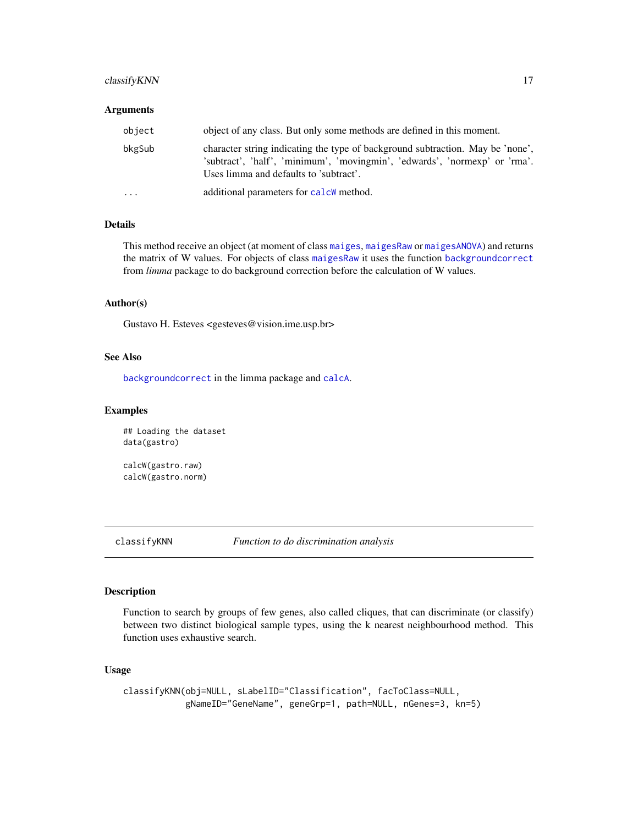### <span id="page-16-0"></span>classify KNN 17

#### Arguments

| object    | object of any class. But only some methods are defined in this moment.                                                                                                                                 |  |  |  |  |  |  |
|-----------|--------------------------------------------------------------------------------------------------------------------------------------------------------------------------------------------------------|--|--|--|--|--|--|
| bkgSub    | character string indicating the type of background subtraction. May be 'none',<br>'subtract', 'half', 'minimum', 'movingmin', 'edwards', 'normexp' or 'rma'.<br>Uses limma and defaults to 'subtract'. |  |  |  |  |  |  |
| $\ddotsc$ | additional parameters for calcW method.                                                                                                                                                                |  |  |  |  |  |  |

### Details

This method receive an object (at moment of class [maiges](#page-52-1), [maigesRaw](#page-62-1) or [maigesANOVA](#page-56-1)) and returns the matrix of W values. For objects of class [maigesRaw](#page-62-1) it uses the function [backgroundcorrect](#page-0-0) from *limma* package to do background correction before the calculation of W values.

### Author(s)

Gustavo H. Esteves <gesteves@vision.ime.usp.br>

### See Also

[backgroundcorrect](#page-0-0) in the limma package and [calcA](#page-14-1).

#### Examples

```
## Loading the dataset
data(gastro)
```
calcW(gastro.raw) calcW(gastro.norm)

<span id="page-16-1"></span>classifyKNN *Function to do discrimination analysis*

#### Description

Function to search by groups of few genes, also called cliques, that can discriminate (or classify) between two distinct biological sample types, using the k nearest neighbourhood method. This function uses exhaustive search.

```
classifyKNN(obj=NULL, sLabelID="Classification", facToClass=NULL,
            gNameID="GeneName", geneGrp=1, path=NULL, nGenes=3, kn=5)
```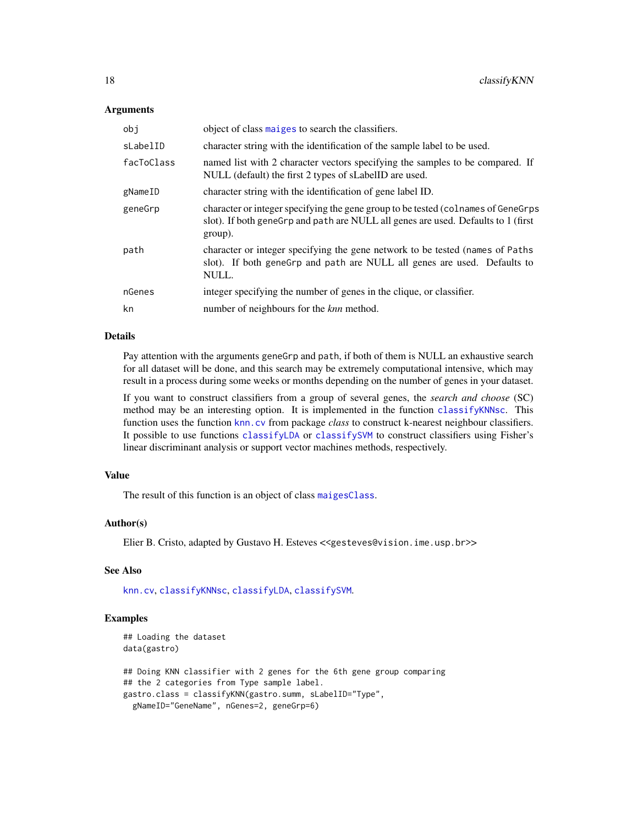### Arguments

| obj        | object of class maiges to search the classifiers.                                                                                                                                  |  |  |  |  |  |
|------------|------------------------------------------------------------------------------------------------------------------------------------------------------------------------------------|--|--|--|--|--|
| sLabelID   | character string with the identification of the sample label to be used.                                                                                                           |  |  |  |  |  |
| facToClass | named list with 2 character vectors specifying the samples to be compared. If<br>NULL (default) the first 2 types of sLabelID are used.                                            |  |  |  |  |  |
| gNameID    | character string with the identification of gene label ID.                                                                                                                         |  |  |  |  |  |
| geneGrp    | character or integer specifying the gene group to be tested (colnames of GeneGrps)<br>slot). If both genegrp and path are NULL all genes are used. Defaults to 1 (first<br>group). |  |  |  |  |  |
| path       | character or integer specifying the gene network to be tested (names of Paths)<br>slot). If both geneGrp and path are NULL all genes are used. Defaults to<br>NULL.                |  |  |  |  |  |
| nGenes     | integer specifying the number of genes in the clique, or classifier.                                                                                                               |  |  |  |  |  |
| kn         | number of neighbours for the <i>knn</i> method.                                                                                                                                    |  |  |  |  |  |

### Details

Pay attention with the arguments geneGrp and path, if both of them is NULL an exhaustive search for all dataset will be done, and this search may be extremely computational intensive, which may result in a process during some weeks or months depending on the number of genes in your dataset.

If you want to construct classifiers from a group of several genes, the *search and choose* (SC) method may be an interesting option. It is implemented in the function [classifyKNNsc](#page-18-1). This function uses the function [knn.cv](#page-0-0) from package *class* to construct k-nearest neighbour classifiers. It possible to use functions [classifyLDA](#page-19-1) or [classifySVM](#page-23-1) to construct classifiers using Fisher's linear discriminant analysis or support vector machines methods, respectively.

#### Value

The result of this function is an object of class [maigesClass](#page-57-1).

### Author(s)

Elier B. Cristo, adapted by Gustavo H. Esteves <<gesteves@vision.ime.usp.br>>

#### See Also

[knn.cv](#page-0-0), [classifyKNNsc](#page-18-1), [classifyLDA](#page-19-1), [classifySVM](#page-23-1).

### Examples

```
## Loading the dataset
data(gastro)
## Doing KNN classifier with 2 genes for the 6th gene group comparing
## the 2 categories from Type sample label.
gastro.class = classifyKNN(gastro.summ, sLabelID="Type",
 gNameID="GeneName", nGenes=2, geneGrp=6)
```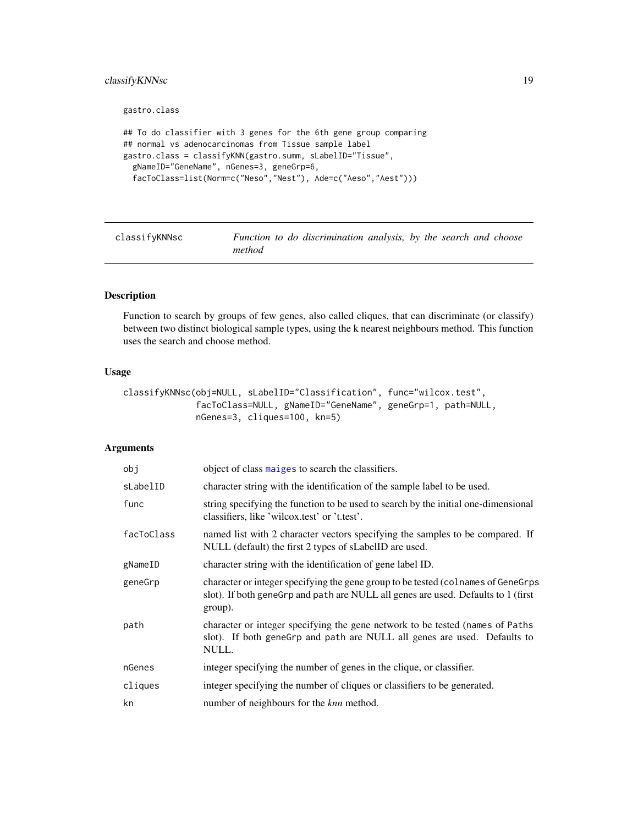### <span id="page-18-0"></span>classify KNNsc 19

gastro.class

```
## To do classifier with 3 genes for the 6th gene group comparing
## normal vs adenocarcinomas from Tissue sample label
gastro.class = classifyKNN(gastro.summ, sLabelID="Tissue",
  gNameID="GeneName", nGenes=3, geneGrp=6,
  facToClass=list(Norm=c("Neso","Nest"), Ade=c("Aeso","Aest")))
```
<span id="page-18-1"></span>

| classifyKNNsc |        | Function to do discrimination analysis, by the search and choose |  |  |  |
|---------------|--------|------------------------------------------------------------------|--|--|--|
|               | method |                                                                  |  |  |  |

### Description

Function to search by groups of few genes, also called cliques, that can discriminate (or classify) between two distinct biological sample types, using the k nearest neighbours method. This function uses the search and choose method.

### Usage

```
classifyKNNsc(obj=NULL, sLabelID="Classification", func="wilcox.test",
              facToClass=NULL, gNameID="GeneName", geneGrp=1, path=NULL,
              nGenes=3, cliques=100, kn=5)
```
### Arguments

| obj        | object of class maiges to search the classifiers.                                                                                                                                 |
|------------|-----------------------------------------------------------------------------------------------------------------------------------------------------------------------------------|
| sLabelID   | character string with the identification of the sample label to be used.                                                                                                          |
| func       | string specifying the function to be used to search by the initial one-dimensional<br>classifiers, like 'wilcox.test' or 't.test'.                                                |
| facToClass | named list with 2 character vectors specifying the samples to be compared. If<br>NULL (default) the first 2 types of sLabelID are used.                                           |
| gNameID    | character string with the identification of gene label ID.                                                                                                                        |
| geneGrp    | character or integer specifying the gene group to be tested (colnames of GeneGrps<br>slot). If both genegrp and path are NULL all genes are used. Defaults to 1 (first<br>group). |
| path       | character or integer specifying the gene network to be tested (names of Paths<br>slot). If both geneGrp and path are NULL all genes are used. Defaults to<br>NULL.                |
| nGenes     | integer specifying the number of genes in the clique, or classifier.                                                                                                              |
| cliques    | integer specifying the number of cliques or classifiers to be generated.                                                                                                          |
| kn         | number of neighbours for the <i>knn</i> method.                                                                                                                                   |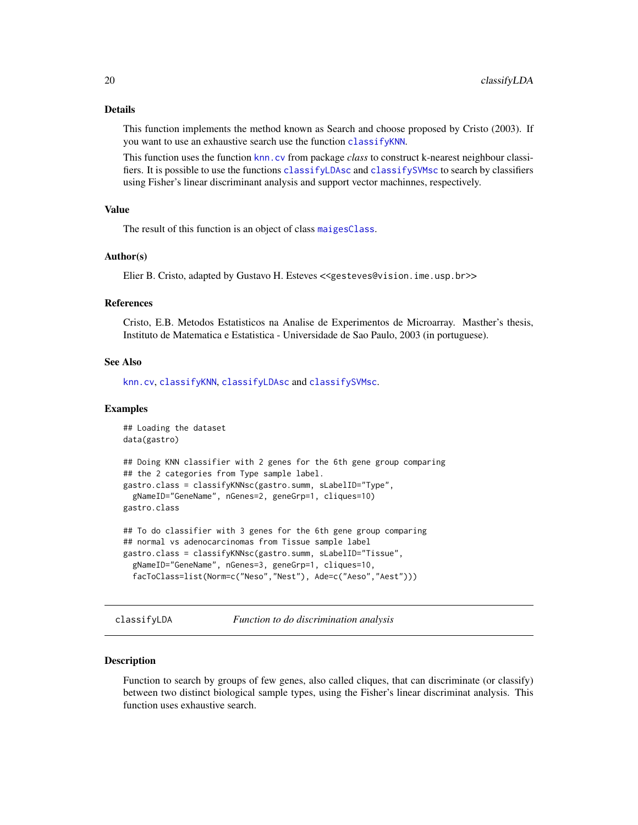#### <span id="page-19-0"></span>Details

This function implements the method known as Search and choose proposed by Cristo (2003). If you want to use an exhaustive search use the function [classifyKNN](#page-16-1).

This function uses the function [knn.cv](#page-0-0) from package *class* to construct k-nearest neighbour classifiers. It is possible to use the functions [classifyLDAsc](#page-21-1) and [classifySVMsc](#page-24-1) to search by classifiers using Fisher's linear discriminant analysis and support vector machinnes, respectively.

### Value

The result of this function is an object of class [maigesClass](#page-57-1).

### Author(s)

Elier B. Cristo, adapted by Gustavo H. Esteves <<gesteves@vision.ime.usp.br>>

### References

Cristo, E.B. Metodos Estatisticos na Analise de Experimentos de Microarray. Masther's thesis, Instituto de Matematica e Estatistica - Universidade de Sao Paulo, 2003 (in portuguese).

### See Also

[knn.cv](#page-0-0), [classifyKNN](#page-16-1), [classifyLDAsc](#page-21-1) and [classifySVMsc](#page-24-1).

#### Examples

```
## Loading the dataset
data(gastro)
## Doing KNN classifier with 2 genes for the 6th gene group comparing
## the 2 categories from Type sample label.
gastro.class = classifyKNNsc(gastro.summ, sLabelID="Type",
 gNameID="GeneName", nGenes=2, geneGrp=1, cliques=10)
gastro.class
## To do classifier with 3 genes for the 6th gene group comparing
## normal vs adenocarcinomas from Tissue sample label
gastro.class = classifyKNNsc(gastro.summ, sLabelID="Tissue",
 gNameID="GeneName", nGenes=3, geneGrp=1, cliques=10,
```

```
facToClass=list(Norm=c("Neso","Nest"), Ade=c("Aeso","Aest")))
```
<span id="page-19-1"></span>classifyLDA *Function to do discrimination analysis*

#### Description

Function to search by groups of few genes, also called cliques, that can discriminate (or classify) between two distinct biological sample types, using the Fisher's linear discriminat analysis. This function uses exhaustive search.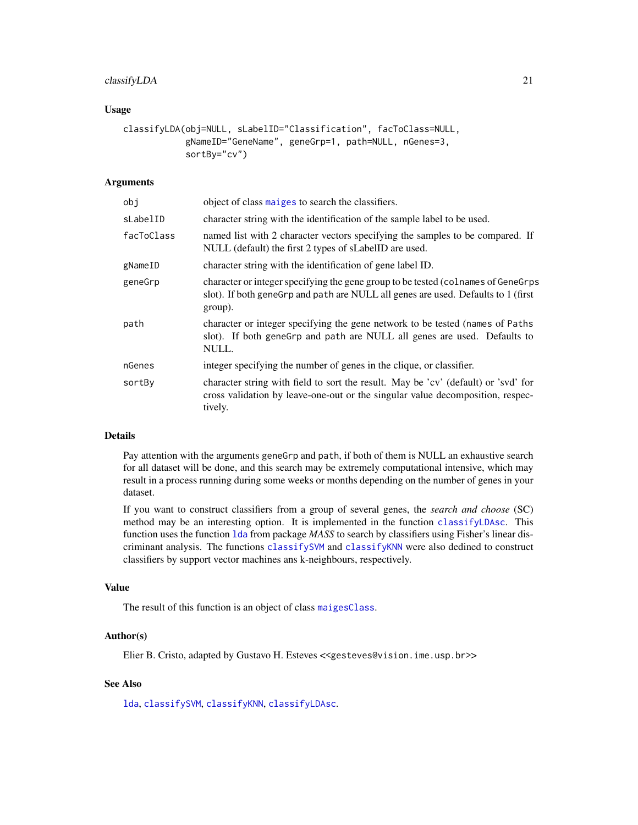### classifyLDA 21

### Usage

```
classifyLDA(obj=NULL, sLabelID="Classification", facToClass=NULL,
            gNameID="GeneName", geneGrp=1, path=NULL, nGenes=3,
            sortBy="cv")
```
### Arguments

| obj        | object of class maiges to search the classifiers.                                                                                                                                 |
|------------|-----------------------------------------------------------------------------------------------------------------------------------------------------------------------------------|
| sLabelID   | character string with the identification of the sample label to be used.                                                                                                          |
| facToClass | named list with 2 character vectors specifying the samples to be compared. If<br>NULL (default) the first 2 types of sLabelID are used.                                           |
| gNameID    | character string with the identification of gene label ID.                                                                                                                        |
| geneGrp    | character or integer specifying the gene group to be tested (colnames of GeneGrps<br>slot). If both geneGrp and path are NULL all genes are used. Defaults to 1 (first<br>group). |
| path       | character or integer specifying the gene network to be tested (names of Paths<br>slot). If both geneGrp and path are NULL all genes are used. Defaults to<br>NULL.                |
| nGenes     | integer specifying the number of genes in the clique, or classifier.                                                                                                              |
| sortBy     | character string with field to sort the result. May be 'cv' (default) or 'svd' for<br>cross validation by leave-one-out or the singular value decomposition, respec-<br>tively.   |

### Details

Pay attention with the arguments geneGrp and path, if both of them is NULL an exhaustive search for all dataset will be done, and this search may be extremely computational intensive, which may result in a process running during some weeks or months depending on the number of genes in your dataset.

If you want to construct classifiers from a group of several genes, the *search and choose* (SC) method may be an interesting option. It is implemented in the function [classifyLDAsc](#page-21-1). This function uses the function [lda](#page-0-0) from package *MASS* to search by classifiers using Fisher's linear discriminant analysis. The functions [classifySVM](#page-23-1) and [classifyKNN](#page-16-1) were also dedined to construct classifiers by support vector machines ans k-neighbours, respectively.

#### Value

The result of this function is an object of class [maigesClass](#page-57-1).

### Author(s)

Elier B. Cristo, adapted by Gustavo H. Esteves <<gesteves@vision.ime.usp.br>>

### See Also

[lda](#page-0-0), [classifySVM](#page-23-1), [classifyKNN](#page-16-1), [classifyLDAsc](#page-21-1).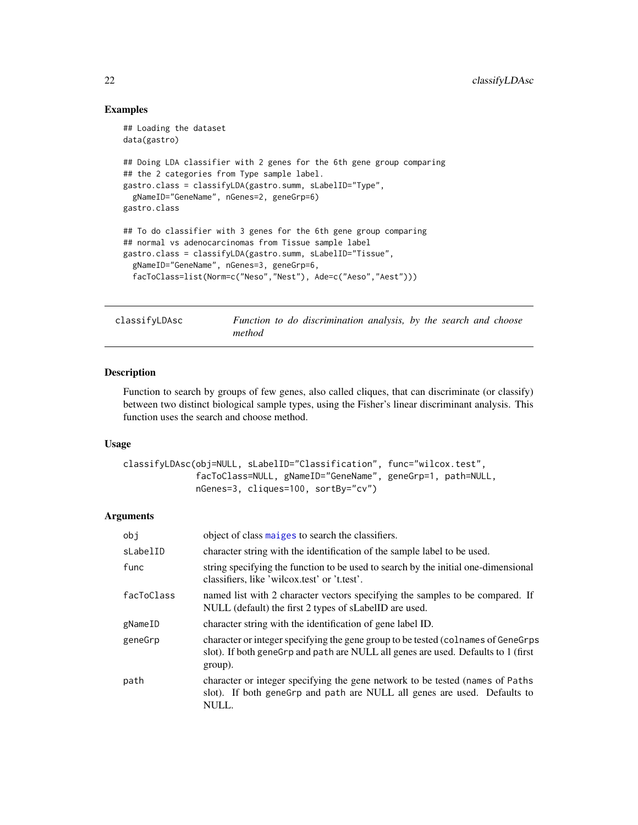### Examples

```
## Loading the dataset
data(gastro)
## Doing LDA classifier with 2 genes for the 6th gene group comparing
## the 2 categories from Type sample label.
gastro.class = classifyLDA(gastro.summ, sLabelID="Type",
  gNameID="GeneName", nGenes=2, geneGrp=6)
gastro.class
## To do classifier with 3 genes for the 6th gene group comparing
## normal vs adenocarcinomas from Tissue sample label
gastro.class = classifyLDA(gastro.summ, sLabelID="Tissue",
  gNameID="GeneName", nGenes=3, geneGrp=6,
  facToClass=list(Norm=c("Neso","Nest"), Ade=c("Aeso","Aest")))
```
<span id="page-21-1"></span>classifyLDAsc *Function to do discrimination analysis, by the search and choose method*

### Description

Function to search by groups of few genes, also called cliques, that can discriminate (or classify) between two distinct biological sample types, using the Fisher's linear discriminant analysis. This function uses the search and choose method.

#### Usage

```
classifyLDAsc(obj=NULL, sLabelID="Classification", func="wilcox.test",
              facToClass=NULL, gNameID="GeneName", geneGrp=1, path=NULL,
              nGenes=3, cliques=100, sortBy="cv")
```
#### Arguments

| obj        | object of class maiges to search the classifiers.                                                                                                                                  |
|------------|------------------------------------------------------------------------------------------------------------------------------------------------------------------------------------|
| sLabelID   | character string with the identification of the sample label to be used.                                                                                                           |
| func       | string specifying the function to be used to search by the initial one-dimensional<br>classifiers, like 'wilcox.test' or 't.test'.                                                 |
| facToClass | named list with 2 character vectors specifying the samples to be compared. If<br>NULL (default) the first 2 types of sLabelID are used.                                            |
| gNameID    | character string with the identification of gene label ID.                                                                                                                         |
| geneGrp    | character or integer specifying the gene group to be tested (colnames of GeneGrps)<br>slot). If both genegrp and path are NULL all genes are used. Defaults to 1 (first<br>group). |
| path       | character or integer specifying the gene network to be tested (names of Paths<br>slot). If both geneGrp and path are NULL all genes are used. Defaults to<br>NULL.                 |

<span id="page-21-0"></span>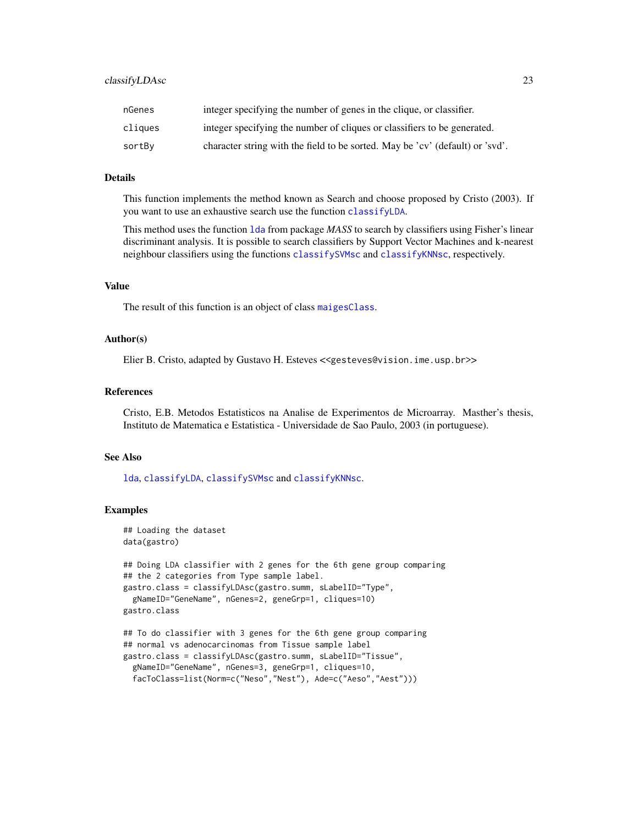### classifyLDAsc 23

| nGenes  | integer specifying the number of genes in the clique, or classifier.          |
|---------|-------------------------------------------------------------------------------|
| cliques | integer specifying the number of cliques or classifiers to be generated.      |
| sortBy  | character string with the field to be sorted. May be 'cv' (default) or 'svd'. |

### Details

This function implements the method known as Search and choose proposed by Cristo (2003). If you want to use an exhaustive search use the function [classifyLDA](#page-19-1).

This method uses the function [lda](#page-0-0) from package *MASS* to search by classifiers using Fisher's linear discriminant analysis. It is possible to search classifiers by Support Vector Machines and k-nearest neighbour classifiers using the functions [classifySVMsc](#page-24-1) and [classifyKNNsc](#page-18-1), respectively.

### Value

The result of this function is an object of class [maigesClass](#page-57-1).

### Author(s)

Elier B. Cristo, adapted by Gustavo H. Esteves <<gesteves@vision.ime.usp.br>>

#### References

Cristo, E.B. Metodos Estatisticos na Analise de Experimentos de Microarray. Masther's thesis, Instituto de Matematica e Estatistica - Universidade de Sao Paulo, 2003 (in portuguese).

### See Also

[lda](#page-0-0), [classifyLDA](#page-19-1), [classifySVMsc](#page-24-1) and [classifyKNNsc](#page-18-1).

### Examples

```
## Loading the dataset
data(gastro)
## Doing LDA classifier with 2 genes for the 6th gene group comparing
## the 2 categories from Type sample label.
gastro.class = classifyLDAsc(gastro.summ, sLabelID="Type",
 gNameID="GeneName", nGenes=2, geneGrp=1, cliques=10)
gastro.class
## To do classifier with 3 genes for the 6th gene group comparing
## normal vs adenocarcinomas from Tissue sample label
gastro.class = classifyLDAsc(gastro.summ, sLabelID="Tissue",
```

```
gNameID="GeneName", nGenes=3, geneGrp=1, cliques=10,
facToClass=list(Norm=c("Neso","Nest"), Ade=c("Aeso","Aest")))
```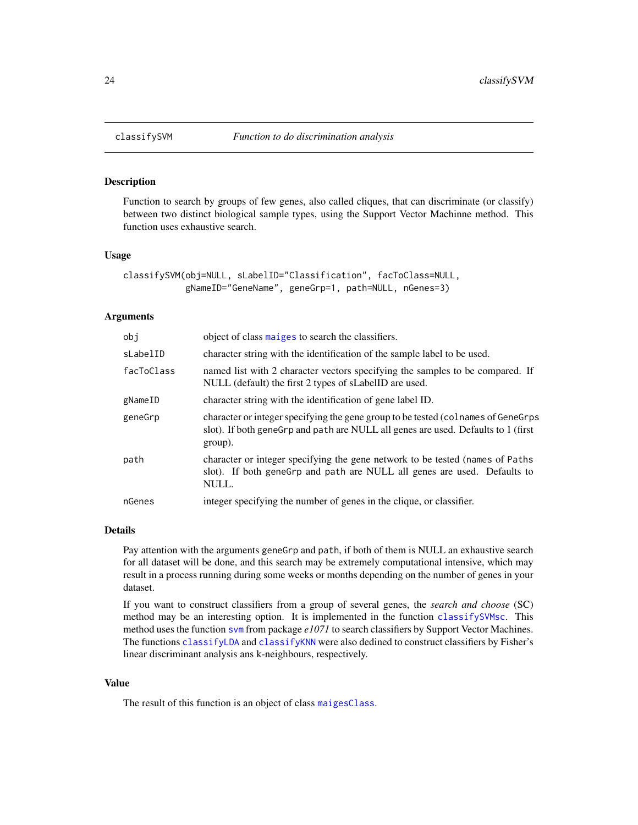<span id="page-23-1"></span><span id="page-23-0"></span>

Function to search by groups of few genes, also called cliques, that can discriminate (or classify) between two distinct biological sample types, using the Support Vector Machinne method. This function uses exhaustive search.

#### Usage

```
classifySVM(obj=NULL, sLabelID="Classification", facToClass=NULL,
            gNameID="GeneName", geneGrp=1, path=NULL, nGenes=3)
```
#### Arguments

| obi        | object of class maiges to search the classifiers.                                                                                                                                  |  |  |  |  |  |
|------------|------------------------------------------------------------------------------------------------------------------------------------------------------------------------------------|--|--|--|--|--|
| sLabelID   | character string with the identification of the sample label to be used.                                                                                                           |  |  |  |  |  |
| facToClass | named list with 2 character vectors specifying the samples to be compared. If<br>NULL (default) the first 2 types of sLabelID are used.                                            |  |  |  |  |  |
| gNameID    | character string with the identification of gene label ID.                                                                                                                         |  |  |  |  |  |
| geneGrp    | character or integer specifying the gene group to be tested (colnames of GeneGrps)<br>slot). If both genegrp and path are NULL all genes are used. Defaults to 1 (first<br>group). |  |  |  |  |  |
| path       | character or integer specifying the gene network to be tested (names of Paths)<br>slot). If both genegrp and path are NULL all genes are used. Defaults to<br>NULL.                |  |  |  |  |  |
| nGenes     | integer specifying the number of genes in the clique, or classifier.                                                                                                               |  |  |  |  |  |

#### Details

Pay attention with the arguments geneGrp and path, if both of them is NULL an exhaustive search for all dataset will be done, and this search may be extremely computational intensive, which may result in a process running during some weeks or months depending on the number of genes in your dataset.

If you want to construct classifiers from a group of several genes, the *search and choose* (SC) method may be an interesting option. It is implemented in the function [classifySVMsc](#page-24-1). This method uses the function [svm](#page-0-0) from package *e1071* to search classifiers by Support Vector Machines. The functions [classifyLDA](#page-19-1) and [classifyKNN](#page-16-1) were also dedined to construct classifiers by Fisher's linear discriminant analysis ans k-neighbours, respectively.

### Value

The result of this function is an object of class [maigesClass](#page-57-1).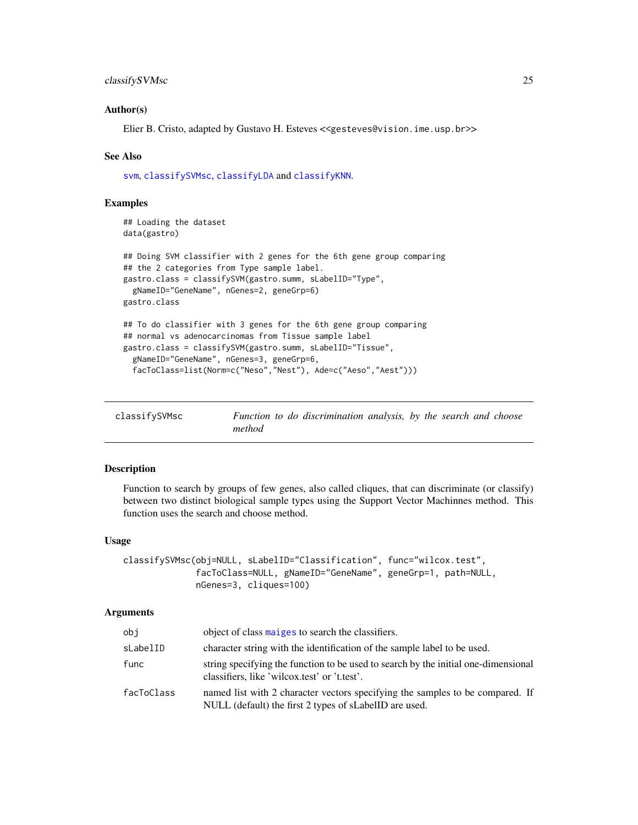### <span id="page-24-0"></span>classifySVMsc 25

### Author(s)

Elier B. Cristo, adapted by Gustavo H. Esteves <<gesteves@vision.ime.usp.br>>

#### See Also

[svm](#page-0-0), [classifySVMsc](#page-24-1), [classifyLDA](#page-19-1) and [classifyKNN](#page-16-1).

### Examples

```
## Loading the dataset
data(gastro)
## Doing SVM classifier with 2 genes for the 6th gene group comparing
## the 2 categories from Type sample label.
gastro.class = classifySVM(gastro.summ, sLabelID="Type",
 gNameID="GeneName", nGenes=2, geneGrp=6)
gastro.class
## To do classifier with 3 genes for the 6th gene group comparing
## normal vs adenocarcinomas from Tissue sample label
gastro.class = classifySVM(gastro.summ, sLabelID="Tissue",
 gNameID="GeneName", nGenes=3, geneGrp=6,
 facToClass=list(Norm=c("Neso","Nest"), Ade=c("Aeso","Aest")))
```
<span id="page-24-1"></span>

| classifySVMsc |        | Function to do discrimination analysis, by the search and choose |  |  |  |
|---------------|--------|------------------------------------------------------------------|--|--|--|
|               | method |                                                                  |  |  |  |

### Description

Function to search by groups of few genes, also called cliques, that can discriminate (or classify) between two distinct biological sample types using the Support Vector Machinnes method. This function uses the search and choose method.

#### Usage

```
classifySVMsc(obj=NULL, sLabelID="Classification", func="wilcox.test",
              facToClass=NULL, gNameID="GeneName", geneGrp=1, path=NULL,
              nGenes=3, cliques=100)
```
#### Arguments

| obj        | object of class maiges to search the classifiers.                                                                                       |
|------------|-----------------------------------------------------------------------------------------------------------------------------------------|
| sLabelID   | character string with the identification of the sample label to be used.                                                                |
| func       | string specifying the function to be used to search by the initial one-dimensional<br>classifiers, like 'wilcox.test' or 't.test'.      |
| facToClass | named list with 2 character vectors specifying the samples to be compared. If<br>NULL (default) the first 2 types of sLabelID are used. |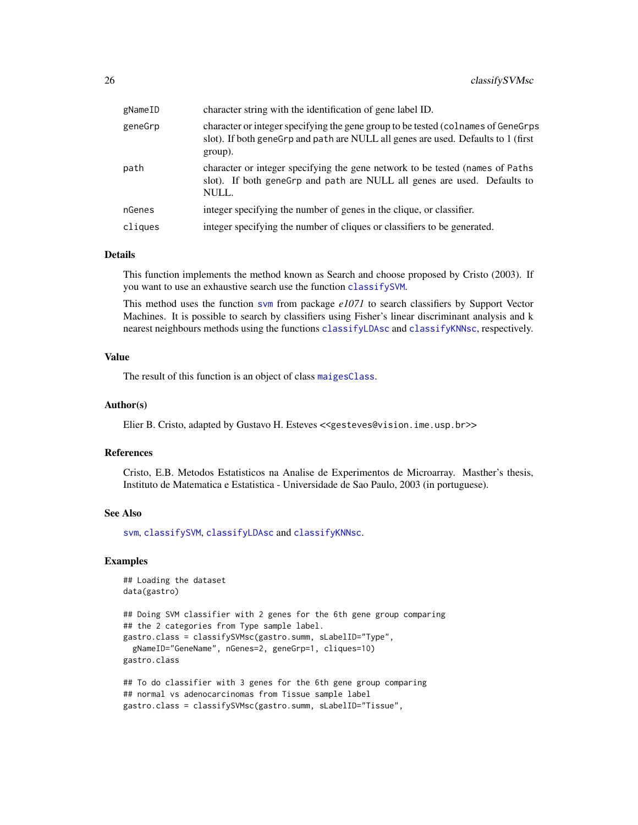| gNameID | character string with the identification of gene label ID.                                                                                                                        |
|---------|-----------------------------------------------------------------------------------------------------------------------------------------------------------------------------------|
| geneGrp | character or integer specifying the gene group to be tested (colnames of GeneGrps<br>slot). If both geneGrp and path are NULL all genes are used. Defaults to 1 (first<br>group). |
| path    | character or integer specifying the gene network to be tested (names of Paths<br>slot). If both genegrp and path are NULL all genes are used. Defaults to<br>NULL.                |
| nGenes  | integer specifying the number of genes in the clique, or classifier.                                                                                                              |
| cliques | integer specifying the number of cliques or classifiers to be generated.                                                                                                          |
|         |                                                                                                                                                                                   |

### Details

This function implements the method known as Search and choose proposed by Cristo (2003). If you want to use an exhaustive search use the function [classifySVM](#page-23-1).

This method uses the function [svm](#page-0-0) from package *e1071* to search classifiers by Support Vector Machines. It is possible to search by classifiers using Fisher's linear discriminant analysis and k nearest neighbours methods using the functions [classifyLDAsc](#page-21-1) and [classifyKNNsc](#page-18-1), respectively.

#### Value

The result of this function is an object of class [maigesClass](#page-57-1).

#### Author(s)

Elier B. Cristo, adapted by Gustavo H. Esteves <<gesteves@vision.ime.usp.br>>

#### References

Cristo, E.B. Metodos Estatisticos na Analise de Experimentos de Microarray. Masther's thesis, Instituto de Matematica e Estatistica - Universidade de Sao Paulo, 2003 (in portuguese).

### See Also

[svm](#page-0-0), [classifySVM](#page-23-1), [classifyLDAsc](#page-21-1) and [classifyKNNsc](#page-18-1).

### Examples

```
## Loading the dataset
data(gastro)
## Doing SVM classifier with 2 genes for the 6th gene group comparing
## the 2 categories from Type sample label.
gastro.class = classifySVMsc(gastro.summ, sLabelID="Type",
 gNameID="GeneName", nGenes=2, geneGrp=1, cliques=10)
gastro.class
```

```
## To do classifier with 3 genes for the 6th gene group comparing
## normal vs adenocarcinomas from Tissue sample label
gastro.class = classifySVMsc(gastro.summ, sLabelID="Tissue",
```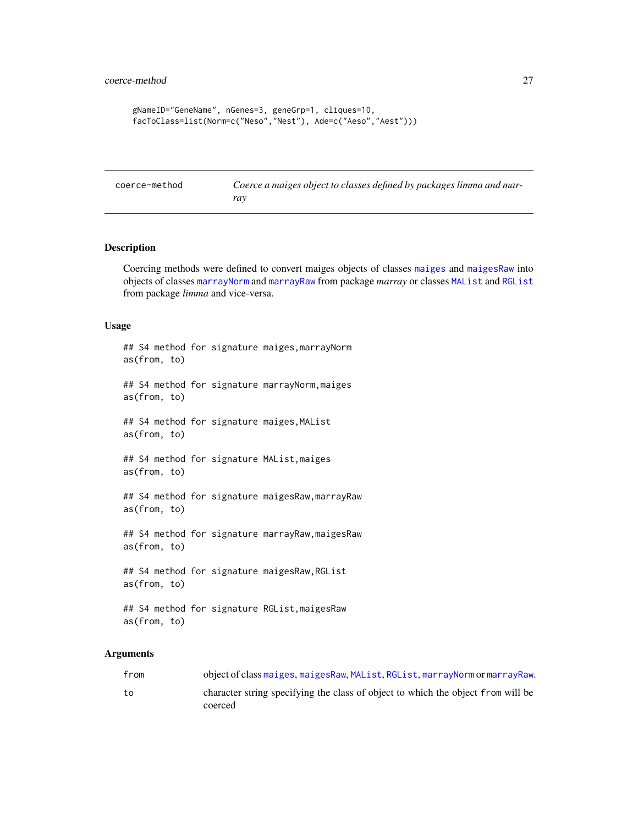```
gNameID="GeneName", nGenes=3, geneGrp=1, cliques=10,
facToClass=list(Norm=c("Neso","Nest"), Ade=c("Aeso","Aest")))
```

```
coerce-method Coerce a maiges object to classes defined by packages limma and mar-
                        ray
```
<span id="page-26-1"></span>Coercing methods were defined to convert maiges objects of classes [maiges](#page-52-1) and [maigesRaw](#page-62-1) into objects of classes [marrayNorm](#page-0-0) and [marrayRaw](#page-0-0) from package *marray* or classes [MAList](#page-0-0) and [RGList](#page-0-0) from package *limma* and vice-versa.

### Usage

## S4 method for signature maiges,marrayNorm as(from, to) ## S4 method for signature marrayNorm,maiges as(from, to) ## S4 method for signature maiges,MAList as(from, to) ## S4 method for signature MAList,maiges as(from, to) ## S4 method for signature maigesRaw,marrayRaw as(from, to) ## S4 method for signature marrayRaw,maigesRaw as(from, to) ## S4 method for signature maigesRaw,RGList as(from, to) ## S4 method for signature RGList,maigesRaw as(from, to)

#### Arguments

| from | object of class maiges, maiges Raw, MAList, RGList, marray Norm or marray Raw.              |
|------|---------------------------------------------------------------------------------------------|
| to   | character string specifying the class of object to which the object from will be<br>coerced |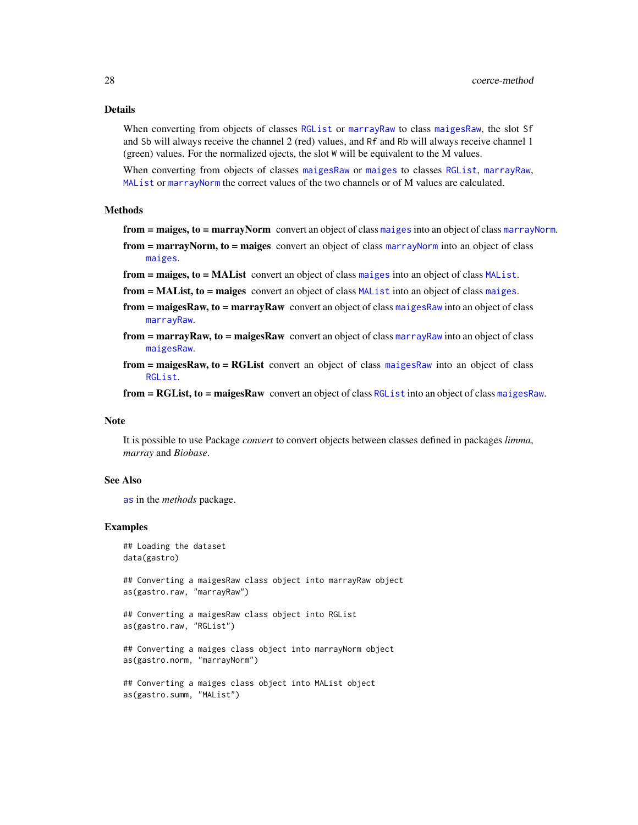#### Details

When converting from objects of classes [RGList](#page-0-0) or [marrayRaw](#page-0-0) to class [maigesRaw](#page-62-1), the slot Sf and Sb will always receive the channel 2 (red) values, and Rf and Rb will always receive channel 1 (green) values. For the normalized ojects, the slot W will be equivalent to the M values.

When converting from objects of classes [maigesRaw](#page-62-1) or [maiges](#page-52-1) to classes [RGList](#page-0-0), [marrayRaw](#page-0-0), [MAList](#page-0-0) or [marrayNorm](#page-0-0) the correct values of the two channels or of M values are calculated.

#### Methods

from = [maiges](#page-52-1), to = [marrayNorm](#page-0-0) convert an object of class maiges into an object of class marrayNorm.

- from = [marrayNorm](#page-0-0), to = maiges convert an object of class marrayNorm into an object of class [maiges](#page-52-1).
- from = [maiges](#page-52-1), to = [MAList](#page-0-0) convert an object of class maiges into an object of class MAList.
- from = MAList, to = maiges convert an object of class [MAList](#page-0-0) into an object of class [maiges](#page-52-1).
- from = [maigesRaw](#page-62-1), to = marrayRaw convert an object of class maigesRaw into an object of class [marrayRaw](#page-0-0).
- $from = marray Raw, to = maiges Raw$  convert an object of class [marrayRaw](#page-0-0) into an object of class [maigesRaw](#page-62-1).
- from = [maigesRaw](#page-62-1), to = RGList convert an object of class maigesRaw into an object of class [RGList](#page-0-0).

from = RGList, to = maigesRaw convert an object of class [RGList](#page-0-0) into an object of class [maigesRaw](#page-62-1).

#### **Note**

It is possible to use Package *convert* to convert objects between classes defined in packages *limma*, *marray* and *Biobase*.

#### See Also

[as](#page-26-1) in the *methods* package.

#### Examples

```
## Loading the dataset
data(gastro)
```
## Converting a maigesRaw class object into marrayRaw object as(gastro.raw, "marrayRaw")

```
## Converting a maigesRaw class object into RGList
as(gastro.raw, "RGList")
```
## Converting a maiges class object into marrayNorm object as(gastro.norm, "marrayNorm")

```
## Converting a maiges class object into MAList object
as(gastro.summ, "MAList")
```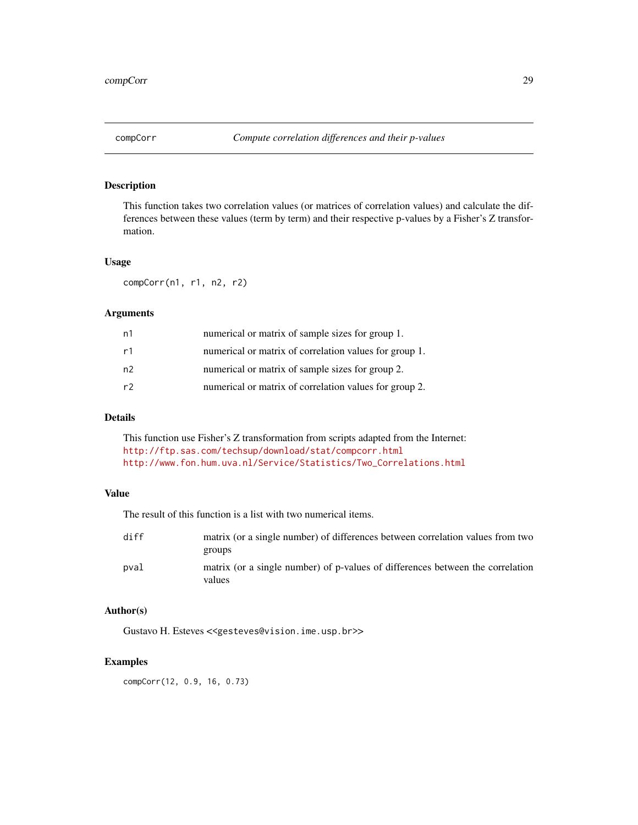<span id="page-28-0"></span>

This function takes two correlation values (or matrices of correlation values) and calculate the differences between these values (term by term) and their respective p-values by a Fisher's Z transformation.

#### Usage

compCorr(n1, r1, n2, r2)

#### Arguments

| n1 | numerical or matrix of sample sizes for group 1.       |
|----|--------------------------------------------------------|
| r1 | numerical or matrix of correlation values for group 1. |
| n2 | numerical or matrix of sample sizes for group 2.       |
| r2 | numerical or matrix of correlation values for group 2. |

### Details

This function use Fisher's Z transformation from scripts adapted from the Internet: <http://ftp.sas.com/techsup/download/stat/compcorr.html> [http://www.fon.hum.uva.nl/Service/Statistics/Two\\_Correlations.html](http://www.fon.hum.uva.nl/Service/Statistics/Two_Correlations.html)

### Value

The result of this function is a list with two numerical items.

| diff | matrix (or a single number) of differences between correlation values from two<br>groups |
|------|------------------------------------------------------------------------------------------|
| pval | matrix (or a single number) of p-values of differences between the correlation<br>values |

#### Author(s)

Gustavo H. Esteves <<gesteves@vision.ime.usp.br>>

### Examples

compCorr(12, 0.9, 16, 0.73)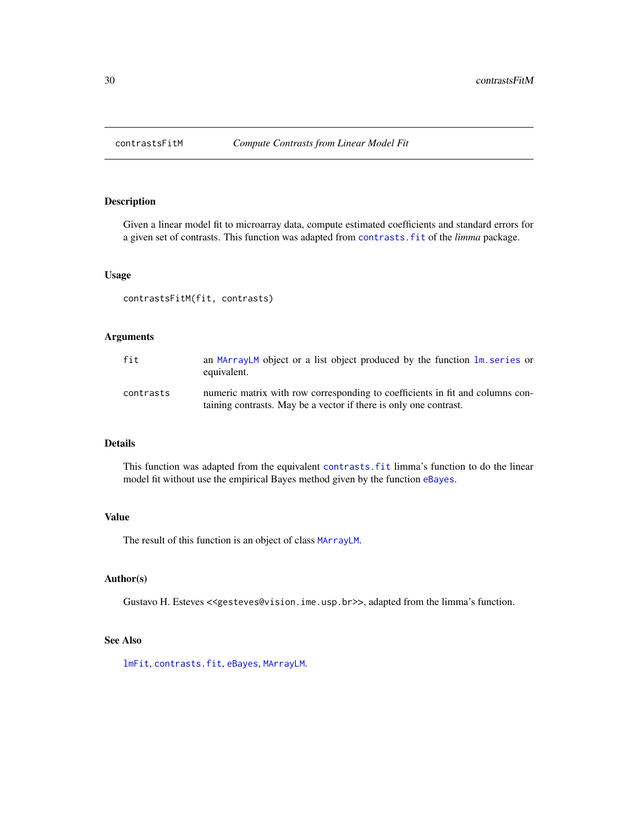<span id="page-29-0"></span>

Given a linear model fit to microarray data, compute estimated coefficients and standard errors for a given set of contrasts. This function was adapted from [contrasts.fit](#page-0-0) of the *limma* package.

### Usage

contrastsFitM(fit, contrasts)

### Arguments

| fit       | an MArrayLM object or a list object produced by the function lm. series or<br>equivalent.                                                          |
|-----------|----------------------------------------------------------------------------------------------------------------------------------------------------|
| contrasts | numeric matrix with row corresponding to coefficients in fit and columns con-<br>taining contrasts. May be a vector if there is only one contrast. |

### Details

This function was adapted from the equivalent [contrasts.fit](#page-0-0) limma's function to do the linear model fit without use the empirical Bayes method given by the function [eBayes](#page-0-0).

#### Value

The result of this function is an object of class [MArrayLM](#page-0-0).

## Author(s)

Gustavo H. Esteves <<gesteves@vision.ime.usp.br>>, adapted from the limma's function.

#### See Also

[lmFit](#page-0-0), [contrasts.fit](#page-0-0), [eBayes](#page-0-0), [MArrayLM](#page-0-0).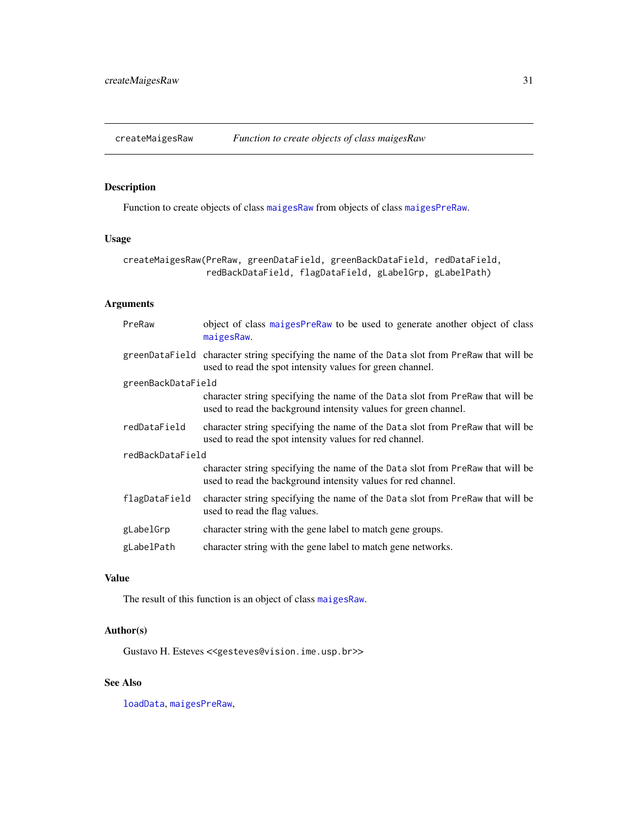<span id="page-30-0"></span>

Function to create objects of class [maigesRaw](#page-62-1) from objects of class [maigesPreRaw](#page-60-1).

### Usage

```
createMaigesRaw(PreRaw, greenDataField, greenBackDataField, redDataField,
                redBackDataField, flagDataField, gLabelGrp, gLabelPath)
```
### Arguments

| PreRaw             | object of class maigesPreRaw to be used to generate another object of class<br>maigesRaw.                                                                  |  |
|--------------------|------------------------------------------------------------------------------------------------------------------------------------------------------------|--|
|                    | greenDataField character string specifying the name of the Data slot from PreRaw that will be<br>used to read the spot intensity values for green channel. |  |
| greenBackDataField |                                                                                                                                                            |  |
|                    | character string specifying the name of the Data slot from PreRaw that will be<br>used to read the background intensity values for green channel.          |  |
| redDataField       | character string specifying the name of the Data slot from PreRaw that will be<br>used to read the spot intensity values for red channel.                  |  |
| redBackDataField   |                                                                                                                                                            |  |
|                    | character string specifying the name of the Data slot from PreRaw that will be<br>used to read the background intensity values for red channel.            |  |
| flagDataField      | character string specifying the name of the Data slot from PreRaw that will be<br>used to read the flag values.                                            |  |
| gLabelGrp          | character string with the gene label to match gene groups.                                                                                                 |  |
| gLabelPath         | character string with the gene label to match gene networks.                                                                                               |  |

### Value

The result of this function is an object of class [maigesRaw](#page-62-1).

### Author(s)

Gustavo H. Esteves <<gesteves@vision.ime.usp.br>>

### See Also

[loadData](#page-50-1), [maigesPreRaw](#page-60-1),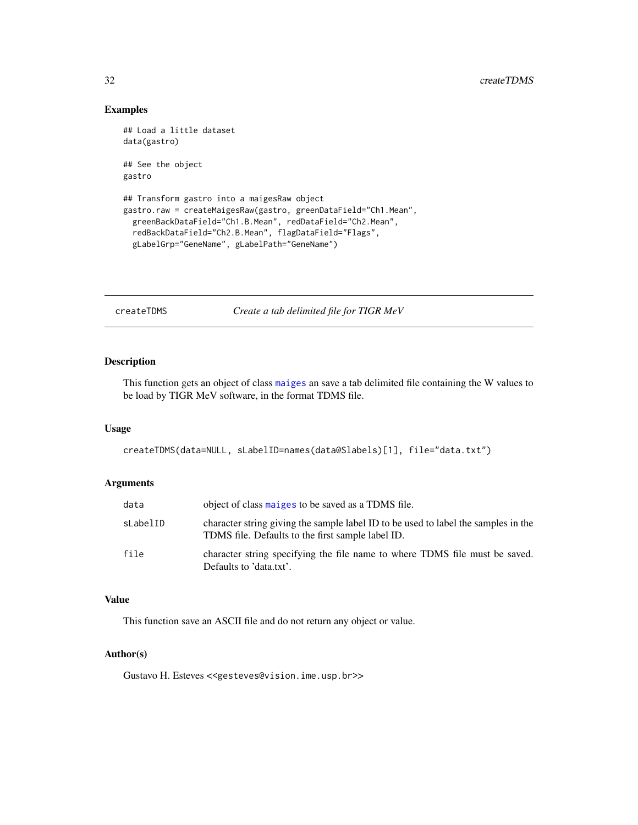### Examples

```
## Load a little dataset
data(gastro)
## See the object
gastro
## Transform gastro into a maigesRaw object
gastro.raw = createMaigesRaw(gastro, greenDataField="Ch1.Mean",
  greenBackDataField="Ch1.B.Mean", redDataField="Ch2.Mean",
```

```
redBackDataField="Ch2.B.Mean", flagDataField="Flags",
gLabelGrp="GeneName", gLabelPath="GeneName")
```
createTDMS *Create a tab delimited file for TIGR MeV*

### Description

This function gets an object of class [maiges](#page-52-1) an save a tab delimited file containing the W values to be load by TIGR MeV software, in the format TDMS file.

### Usage

createTDMS(data=NULL, sLabelID=names(data@Slabels)[1], file="data.txt")

### Arguments

| data     | object of class maiges to be saved as a TDMS file.                                                                                      |
|----------|-----------------------------------------------------------------------------------------------------------------------------------------|
| sLabelID | character string giving the sample label ID to be used to label the samples in the<br>TDMS file. Defaults to the first sample label ID. |
| file     | character string specifying the file name to where TDMS file must be saved.<br>Defaults to 'data.txt'.                                  |

#### Value

This function save an ASCII file and do not return any object or value.

#### Author(s)

Gustavo H. Esteves <<gesteves@vision.ime.usp.br>>

<span id="page-31-0"></span>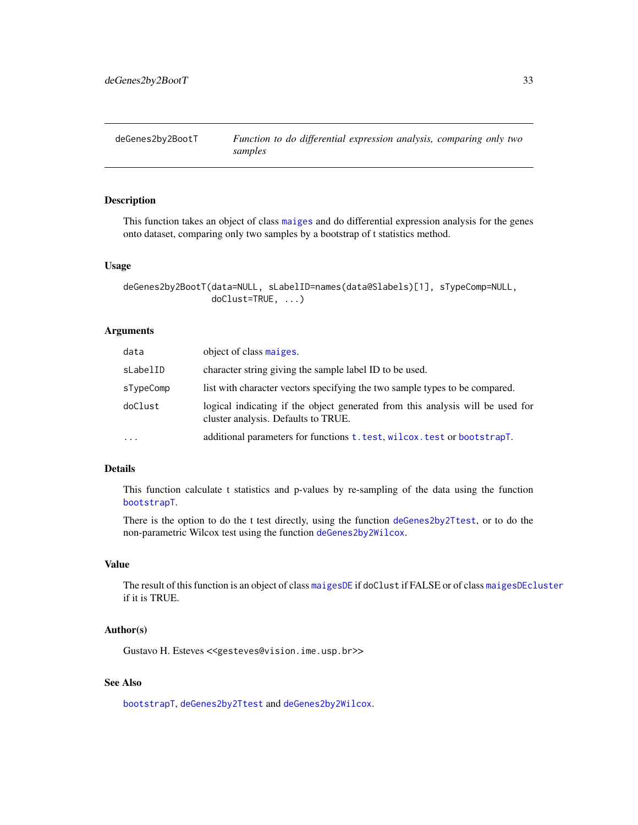<span id="page-32-1"></span><span id="page-32-0"></span>

This function takes an object of class [maiges](#page-52-1) and do differential expression analysis for the genes onto dataset, comparing only two samples by a bootstrap of t statistics method.

#### Usage

```
deGenes2by2BootT(data=NULL, sLabelID=names(data@Slabels)[1], sTypeComp=NULL,
                 doClust=TRUE, ...)
```
### Arguments

| data      | object of class maiges.                                                                                               |
|-----------|-----------------------------------------------------------------------------------------------------------------------|
| sLabelID  | character string giving the sample label ID to be used.                                                               |
| sTypeComp | list with character vectors specifying the two sample types to be compared.                                           |
| doClust   | logical indicating if the object generated from this analysis will be used for<br>cluster analysis. Defaults to TRUE. |
| $\cdots$  | additional parameters for functions t. test, wilcox. test or bootstrapT.                                              |

### Details

This function calculate t statistics and p-values by re-sampling of the data using the function [bootstrapT](#page-12-1).

There is the option to do the t test directly, using the function [deGenes2by2Ttest](#page-33-1), or to do the non-parametric Wilcox test using the function [deGenes2by2Wilcox](#page-34-1).

### Value

The result of this function is an object of class [maigesDE](#page-58-1) if doClust if FALSE or of class [maigesDEcluster](#page-59-1) if it is TRUE.

#### Author(s)

Gustavo H. Esteves <<gesteves@vision.ime.usp.br>>

### See Also

[bootstrapT](#page-12-1), [deGenes2by2Ttest](#page-33-1) and [deGenes2by2Wilcox](#page-34-1).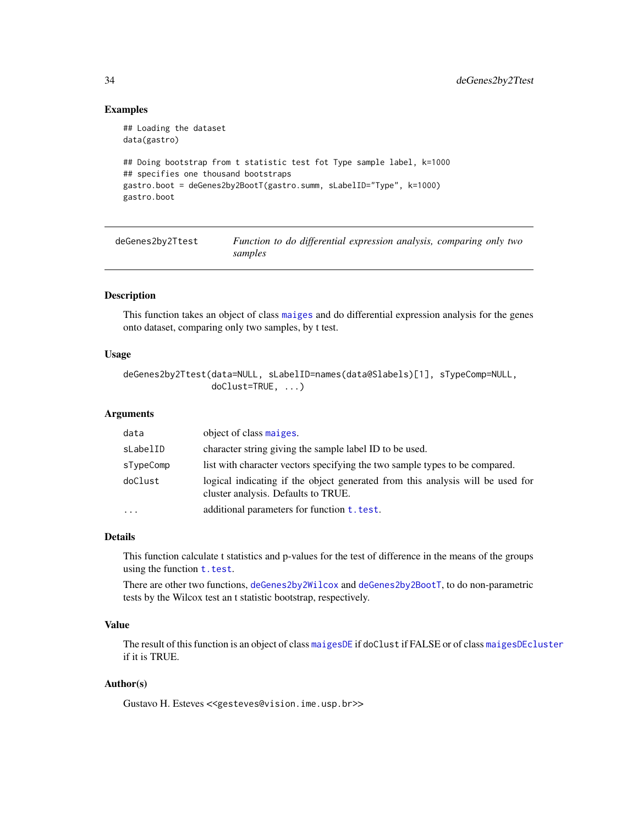### Examples

```
## Loading the dataset
data(gastro)
## Doing bootstrap from t statistic test fot Type sample label, k=1000
## specifies one thousand bootstraps
gastro.boot = deGenes2by2BootT(gastro.summ, sLabelID="Type", k=1000)
gastro.boot
```
<span id="page-33-1"></span>deGenes2by2Ttest *Function to do differential expression analysis, comparing only two samples*

### Description

This function takes an object of class [maiges](#page-52-1) and do differential expression analysis for the genes onto dataset, comparing only two samples, by t test.

### Usage

```
deGenes2by2Ttest(data=NULL, sLabelID=names(data@Slabels)[1], sTypeComp=NULL,
                 doClust=TRUE, ...)
```
### Arguments

| data      | object of class maiges.                                                                                               |
|-----------|-----------------------------------------------------------------------------------------------------------------------|
| sLabelID  | character string giving the sample label ID to be used.                                                               |
| sTypeComp | list with character vectors specifying the two sample types to be compared.                                           |
| doClust   | logical indicating if the object generated from this analysis will be used for<br>cluster analysis. Defaults to TRUE. |
| $\cdot$   | additional parameters for function <b>t</b> . test.                                                                   |

#### Details

This function calculate t statistics and p-values for the test of difference in the means of the groups using the function  $t.$  test.

There are other two functions, [deGenes2by2Wilcox](#page-34-1) and [deGenes2by2BootT](#page-32-1), to do non-parametric tests by the Wilcox test an t statistic bootstrap, respectively.

### Value

The result of this function is an object of class [maigesDE](#page-58-1) if doClust if FALSE or of class [maigesDEcluster](#page-59-1) if it is TRUE.

### Author(s)

Gustavo H. Esteves <<gesteves@vision.ime.usp.br>>

<span id="page-33-0"></span>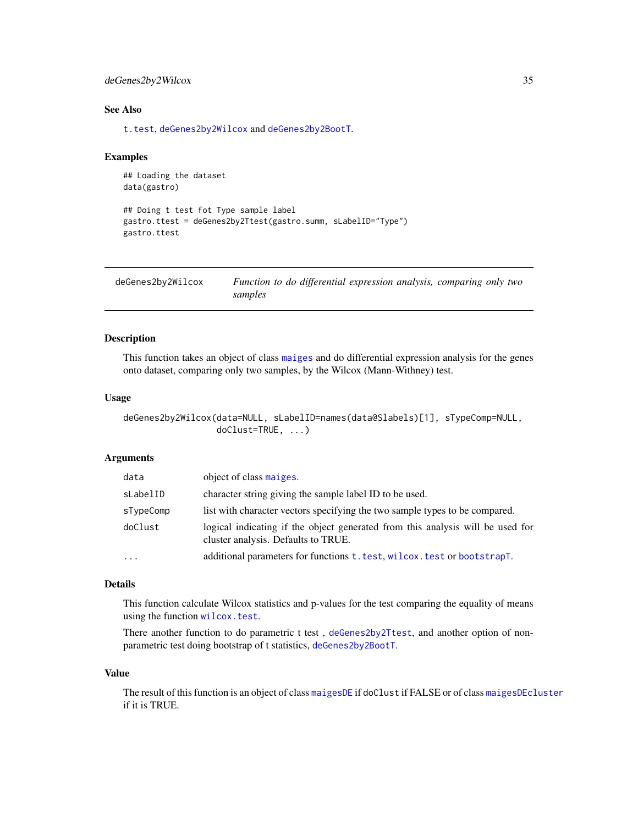### <span id="page-34-0"></span>deGenes2by2Wilcox 35

### See Also

[t.test](#page-0-0), [deGenes2by2Wilcox](#page-34-1) and [deGenes2by2BootT](#page-32-1).

#### Examples

```
## Loading the dataset
data(gastro)
```

```
## Doing t test fot Type sample label
gastro.ttest = deGenes2by2Ttest(gastro.summ, sLabelID="Type")
gastro.ttest
```
<span id="page-34-1"></span>

| deGenes2by2Wilcox | Function to do differential expression analysis, comparing only two |  |
|-------------------|---------------------------------------------------------------------|--|
|                   | samples                                                             |  |

### Description

This function takes an object of class [maiges](#page-52-1) and do differential expression analysis for the genes onto dataset, comparing only two samples, by the Wilcox (Mann-Withney) test.

#### Usage

```
deGenes2by2Wilcox(data=NULL, sLabelID=names(data@Slabels)[1], sTypeComp=NULL,
                  doClust=TRUE, ...)
```
### Arguments

| data      | object of class maiges.                                                                                               |
|-----------|-----------------------------------------------------------------------------------------------------------------------|
| sLabelID  | character string giving the sample label ID to be used.                                                               |
| sTypeComp | list with character vectors specifying the two sample types to be compared.                                           |
| doClust   | logical indicating if the object generated from this analysis will be used for<br>cluster analysis. Defaults to TRUE. |
| $\cdots$  | additional parameters for functions t. test, wilcox. test or bootstrapT.                                              |

### Details

This function calculate Wilcox statistics and p-values for the test comparing the equality of means using the function [wilcox.test](#page-0-0).

There another function to do parametric t test, [deGenes2by2Ttest](#page-33-1), and another option of nonparametric test doing bootstrap of t statistics, [deGenes2by2BootT](#page-32-1).

#### Value

The result of this function is an object of class [maigesDE](#page-58-1) if doClust if FALSE or of class [maigesDEcluster](#page-59-1) if it is TRUE.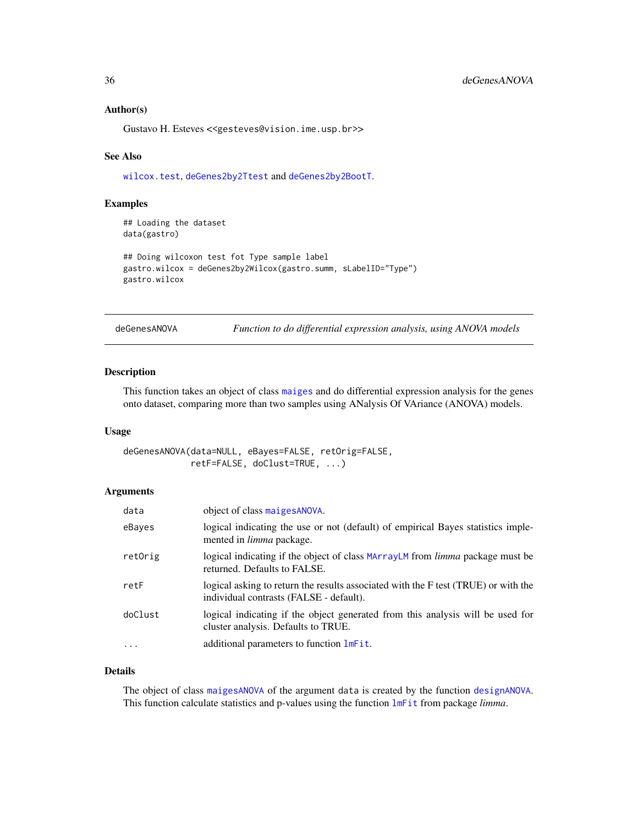#### <span id="page-35-0"></span>Author(s)

Gustavo H. Esteves <<gesteves@vision.ime.usp.br>>

#### See Also

[wilcox.test](#page-0-0), [deGenes2by2Ttest](#page-33-1) and [deGenes2by2BootT](#page-32-1).

### Examples

```
## Loading the dataset
data(gastro)
```

```
## Doing wilcoxon test fot Type sample label
gastro.wilcox = deGenes2by2Wilcox(gastro.summ, sLabelID="Type")
gastro.wilcox
```
deGenesANOVA *Function to do differential expression analysis, using ANOVA models*

### Description

This function takes an object of class [maiges](#page-52-1) and do differential expression analysis for the genes onto dataset, comparing more than two samples using ANalysis Of VAriance (ANOVA) models.

#### Usage

deGenesANOVA(data=NULL, eBayes=FALSE, retOrig=FALSE, retF=FALSE, doClust=TRUE, ...)

#### Arguments

| data     | object of class maiges ANOVA.                                                                                                 |
|----------|-------------------------------------------------------------------------------------------------------------------------------|
| eBayes   | logical indicating the use or not (default) of empirical Bayes statistics imple-<br>mented in <i>limma</i> package.           |
| retOrig  | logical indicating if the object of class MArrayLM from <i>limma</i> package must be<br>returned. Defaults to FALSE.          |
| retF     | logical asking to return the results associated with the F test (TRUE) or with the<br>individual contrasts (FALSE - default). |
| doClust  | logical indicating if the object generated from this analysis will be used for<br>cluster analysis. Defaults to TRUE.         |
| $\cdots$ | additional parameters to function lmFit.                                                                                      |

### Details

The object of class [maigesANOVA](#page-56-1) of the argument data is created by the function [designANOVA](#page-36-1). This function calculate statistics and p-values using the function [lmFit](#page-0-0) from package *limma*.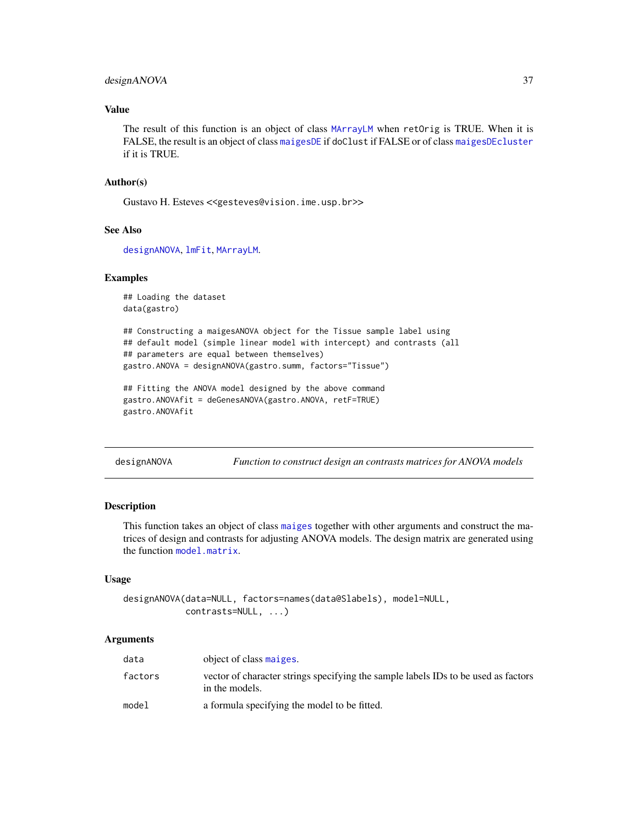## designANOVA 37

## Value

The result of this function is an object of class [MArrayLM](#page-0-0) when retOrig is TRUE. When it is FALSE, the result is an object of class [maigesDE](#page-58-0) if doClust if FALSE or of class [maigesDEcluster](#page-59-0) if it is TRUE.

## Author(s)

Gustavo H. Esteves <<gesteves@vision.ime.usp.br>>

## See Also

[designANOVA](#page-36-0), [lmFit](#page-0-0), [MArrayLM](#page-0-0).

### Examples

```
## Loading the dataset
data(gastro)
```

```
## Constructing a maigesANOVA object for the Tissue sample label using
## default model (simple linear model with intercept) and contrasts (all
## parameters are equal between themselves)
gastro.ANOVA = designANOVA(gastro.summ, factors="Tissue")
```

```
## Fitting the ANOVA model designed by the above command
gastro.ANOVAfit = deGenesANOVA(gastro.ANOVA, retF=TRUE)
gastro.ANOVAfit
```
<span id="page-36-0"></span>designANOVA *Function to construct design an contrasts matrices for ANOVA models*

#### Description

This function takes an object of class [maiges](#page-52-0) together with other arguments and construct the matrices of design and contrasts for adjusting ANOVA models. The design matrix are generated using the function [model.matrix](#page-0-0).

#### Usage

```
designANOVA(data=NULL, factors=names(data@Slabels), model=NULL,
            contrasts=NULL, ...)
```
## Arguments

| data    | object of class maiges.                                                                              |
|---------|------------------------------------------------------------------------------------------------------|
| factors | vector of character strings specifying the sample labels IDs to be used as factors<br>in the models. |
| model   | a formula specifying the model to be fitted.                                                         |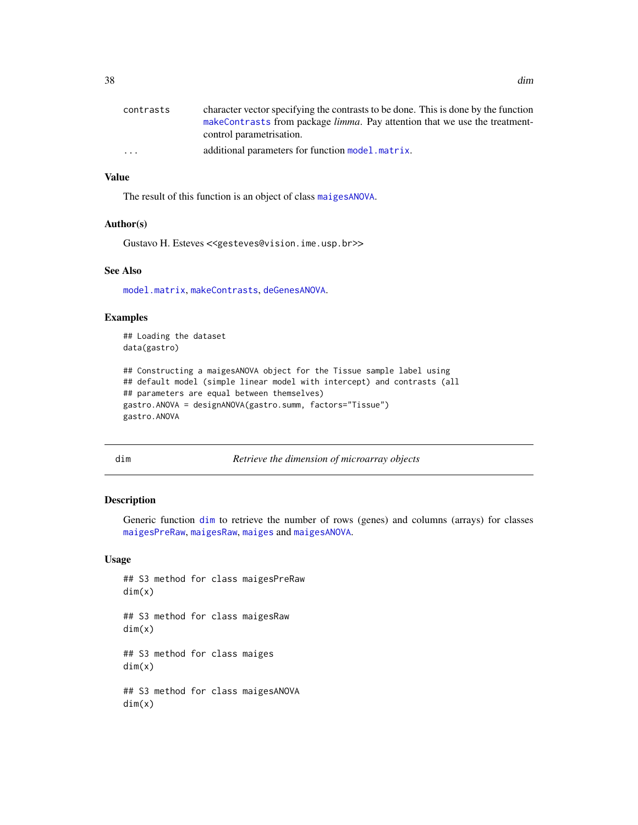| character vector specifying the contrasts to be done. This is done by the function |  |
|------------------------------------------------------------------------------------|--|
| makeContrasts from package <i>limma</i> . Pay attention that we use the treatment- |  |
| control parametrisation.                                                           |  |
| additional parameters for function model matrix.<br>$\cdot$ $\cdot$ $\cdot$        |  |

## Value

The result of this function is an object of class [maigesANOVA](#page-56-0).

## Author(s)

Gustavo H. Esteves <<gesteves@vision.ime.usp.br>>

## See Also

[model.matrix](#page-0-0), [makeContrasts](#page-0-0), [deGenesANOVA](#page-35-0).

## Examples

## Loading the dataset data(gastro)

```
## Constructing a maigesANOVA object for the Tissue sample label using
## default model (simple linear model with intercept) and contrasts (all
## parameters are equal between themselves)
gastro.ANOVA = designANOVA(gastro.summ, factors="Tissue")
gastro.ANOVA
```
<span id="page-37-0"></span>dim *Retrieve the dimension of microarray objects*

#### Description

Generic function [dim](#page-37-0) to retrieve the number of rows (genes) and columns (arrays) for classes [maigesPreRaw](#page-60-0), [maigesRaw](#page-62-0), [maiges](#page-52-0) and [maigesANOVA](#page-56-0).

## Usage

## S3 method for class maigesPreRaw dim(x) ## S3 method for class maigesRaw dim(x) ## S3 method for class maiges dim(x) ## S3 method for class maigesANOVA dim(x)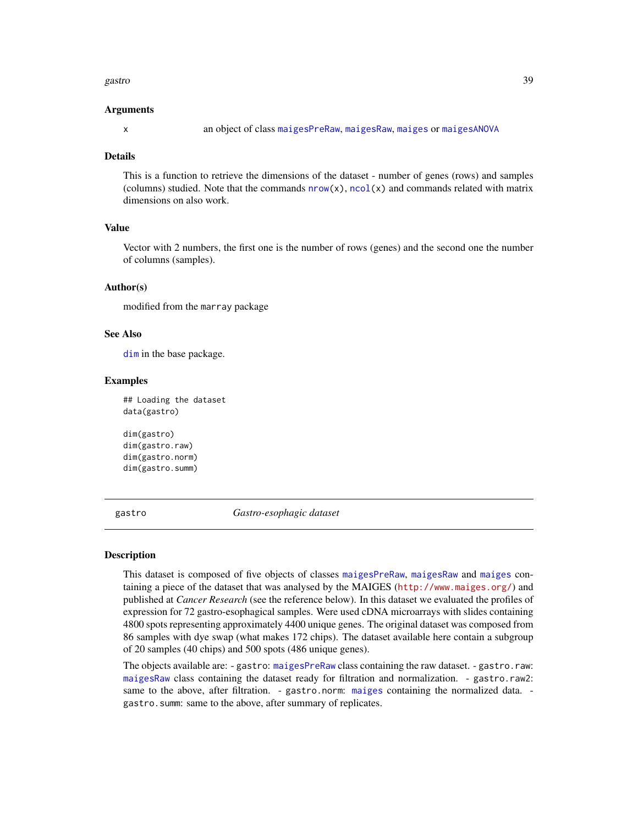#### gastro to a construction of the set of the set of the set of the set of the set of the set of the set of the set of the set of the set of the set of the set of the set of the set of the set of the set of the set of the set

#### Arguments

x an object of class [maigesPreRaw](#page-60-0), [maigesRaw](#page-62-0), [maiges](#page-52-0) or [maigesANOVA](#page-56-0)

### Details

This is a function to retrieve the dimensions of the dataset - number of genes (rows) and samples (columns) studied. Note that the commands  $nrow(x)$  $nrow(x)$ ,  $ncol(x)$  $ncol(x)$  and commands related with matrix dimensions on also work.

## Value

Vector with 2 numbers, the first one is the number of rows (genes) and the second one the number of columns (samples).

### Author(s)

modified from the marray package

## See Also

[dim](#page-37-0) in the base package.

### Examples

## Loading the dataset data(gastro)

```
dim(gastro)
dim(gastro.raw)
dim(gastro.norm)
dim(gastro.summ)
```
gastro *Gastro-esophagic dataset*

## Description

This dataset is composed of five objects of classes [maigesPreRaw](#page-60-0), [maigesRaw](#page-62-0) and [maiges](#page-52-0) containing a piece of the dataset that was analysed by the MAIGES (<http://www.maiges.org/>) and published at *Cancer Research* (see the reference below). In this dataset we evaluated the profiles of expression for 72 gastro-esophagical samples. Were used cDNA microarrays with slides containing 4800 spots representing approximately 4400 unique genes. The original dataset was composed from 86 samples with dye swap (what makes 172 chips). The dataset available here contain a subgroup of 20 samples (40 chips) and 500 spots (486 unique genes).

The objects available are: - gastro: [maigesPreRaw](#page-60-0) class containing the raw dataset. - gastro.raw: [maigesRaw](#page-62-0) class containing the dataset ready for filtration and normalization. - gastro.raw2: same to the above, after filtration. - gastro.norm: [maiges](#page-52-0) containing the normalized data. gastro.summ: same to the above, after summary of replicates.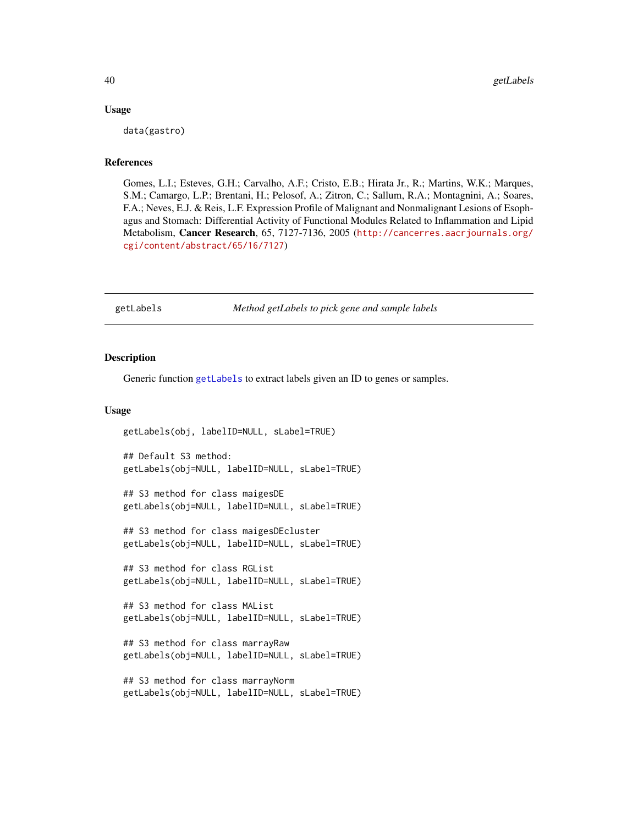### Usage

data(gastro)

### References

Gomes, L.I.; Esteves, G.H.; Carvalho, A.F.; Cristo, E.B.; Hirata Jr., R.; Martins, W.K.; Marques, S.M.; Camargo, L.P.; Brentani, H.; Pelosof, A.; Zitron, C.; Sallum, R.A.; Montagnini, A.; Soares, F.A.; Neves, E.J. & Reis, L.F. Expression Profile of Malignant and Nonmalignant Lesions of Esophagus and Stomach: Differential Activity of Functional Modules Related to Inflammation and Lipid Metabolism, Cancer Research, 65, 7127-7136, 2005 ([http://cancerres.aacrjournals.org/](http://cancerres.aacrjournals.org/cgi/content/abstract/65/16/7127) [cgi/content/abstract/65/16/7127](http://cancerres.aacrjournals.org/cgi/content/abstract/65/16/7127))

<span id="page-39-0"></span>getLabels *Method getLabels to pick gene and sample labels*

#### **Description**

Generic function [getLabels](#page-39-0) to extract labels given an ID to genes or samples.

### Usage

```
getLabels(obj, labelID=NULL, sLabel=TRUE)
## Default S3 method:
getLabels(obj=NULL, labelID=NULL, sLabel=TRUE)
## S3 method for class maigesDE
getLabels(obj=NULL, labelID=NULL, sLabel=TRUE)
## S3 method for class maigesDEcluster
getLabels(obj=NULL, labelID=NULL, sLabel=TRUE)
## S3 method for class RGList
getLabels(obj=NULL, labelID=NULL, sLabel=TRUE)
## S3 method for class MAList
getLabels(obj=NULL, labelID=NULL, sLabel=TRUE)
## S3 method for class marrayRaw
getLabels(obj=NULL, labelID=NULL, sLabel=TRUE)
## S3 method for class marrayNorm
getLabels(obj=NULL, labelID=NULL, sLabel=TRUE)
```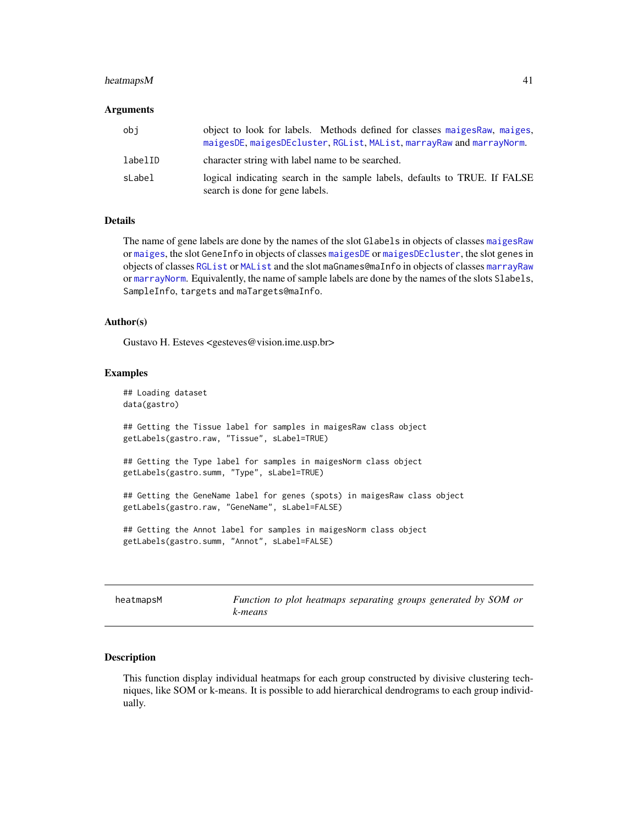## heatmaps M 41

### Arguments

| obi     | object to look for labels. Methods defined for classes maiges Raw, maiges,<br>maigesDE, maigesDEcluster, RGList, MAList, marrayRaw and marrayNorm. |
|---------|----------------------------------------------------------------------------------------------------------------------------------------------------|
| labelID | character string with label name to be searched.                                                                                                   |
| sLabel  | logical indicating search in the sample labels, defaults to TRUE. If FALSE<br>search is done for gene labels.                                      |

### Details

The name of gene labels are done by the names of the slot Glabels in objects of classes [maigesRaw](#page-62-0) or [maiges](#page-52-0), the slot GeneInfo in objects of classes [maigesDE](#page-58-0) or [maigesDEcluster](#page-59-0), the slot genes in objects of classes [RGList](#page-0-0) or [MAList](#page-0-0) and the slot maGnames@maInfo in objects of classes [marrayRaw](#page-0-0) or [marrayNorm](#page-0-0). Equivalently, the name of sample labels are done by the names of the slots Slabels, SampleInfo, targets and maTargets@maInfo.

### Author(s)

Gustavo H. Esteves <gesteves@vision.ime.usp.br>

#### Examples

```
## Loading dataset
data(gastro)
## Getting the Tissue label for samples in maigesRaw class object
getLabels(gastro.raw, "Tissue", sLabel=TRUE)
## Getting the Type label for samples in maigesNorm class object
getLabels(gastro.summ, "Type", sLabel=TRUE)
## Getting the GeneName label for genes (spots) in maigesRaw class object
getLabels(gastro.raw, "GeneName", sLabel=FALSE)
## Getting the Annot label for samples in maigesNorm class object
getLabels(gastro.summ, "Annot", sLabel=FALSE)
```

| heatmapsM |
|-----------|
|-----------|

Function to plot heatmaps separating groups generated by SOM or *k-means*

### Description

This function display individual heatmaps for each group constructed by divisive clustering techniques, like SOM or k-means. It is possible to add hierarchical dendrograms to each group individually.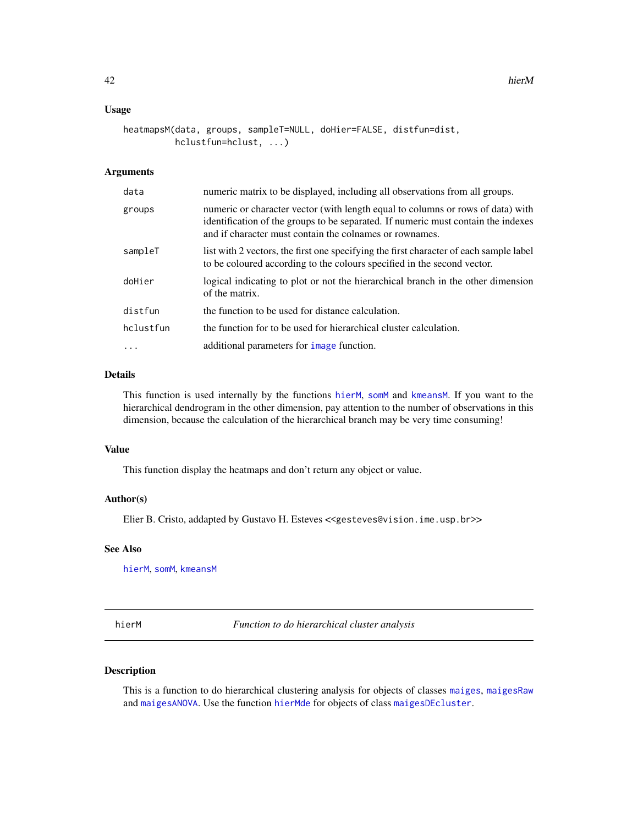### Usage

```
heatmapsM(data, groups, sampleT=NULL, doHier=FALSE, distfun=dist,
         hclustfun=hclust, ...)
```
## Arguments

| data      | numeric matrix to be displayed, including all observations from all groups.                                                                                                                                                     |
|-----------|---------------------------------------------------------------------------------------------------------------------------------------------------------------------------------------------------------------------------------|
| groups    | numeric or character vector (with length equal to columns or rows of data) with<br>identification of the groups to be separated. If numeric must contain the indexes<br>and if character must contain the colnames or rownames. |
| sampleT   | list with 2 vectors, the first one specifying the first character of each sample label<br>to be coloured according to the colours specified in the second vector.                                                               |
| doHier    | logical indicating to plot or not the hierarchical branch in the other dimension<br>of the matrix.                                                                                                                              |
| distfun   | the function to be used for distance calculation.                                                                                                                                                                               |
| hclustfun | the function for to be used for hierarchical cluster calculation.                                                                                                                                                               |
| $\cdots$  | additional parameters for <i>image</i> function.                                                                                                                                                                                |

## Details

This function is used internally by the functions [hierM](#page-41-0), [somM](#page-87-0) and [kmeansM](#page-47-0). If you want to the hierarchical dendrogram in the other dimension, pay attention to the number of observations in this dimension, because the calculation of the hierarchical branch may be very time consuming!

### Value

This function display the heatmaps and don't return any object or value.

## Author(s)

Elier B. Cristo, addapted by Gustavo H. Esteves <<gesteves@vision.ime.usp.br>>

## See Also

[hierM](#page-41-0), [somM](#page-87-0), [kmeansM](#page-47-0)

<span id="page-41-0"></span>hierM *Function to do hierarchical cluster analysis*

## Description

This is a function to do hierarchical clustering analysis for objects of classes [maiges](#page-52-0), [maigesRaw](#page-62-0) and [maigesANOVA](#page-56-0). Use the function [hierMde](#page-43-0) for objects of class [maigesDEcluster](#page-59-0).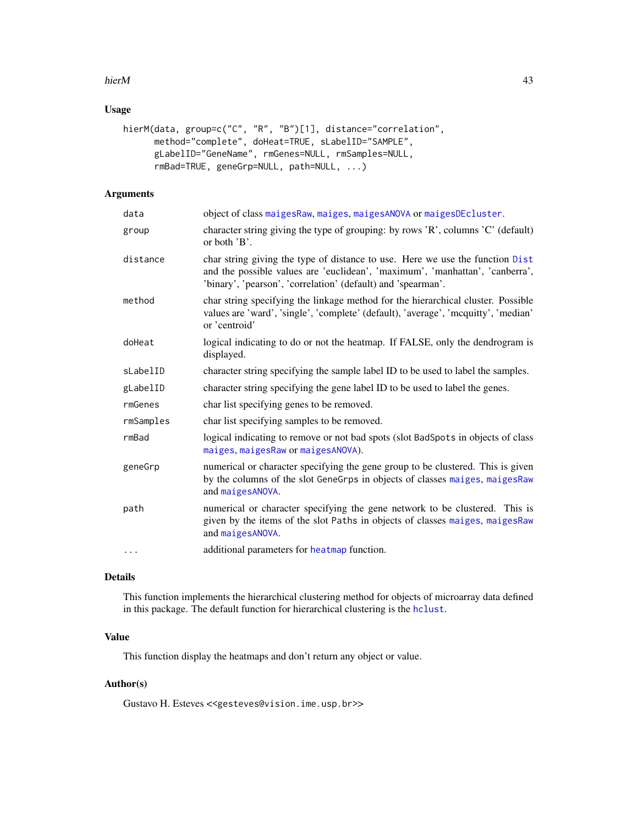### hierM 43

## Usage

```
hierM(data, group=c("C", "R", "B")[1], distance="correlation",
     method="complete", doHeat=TRUE, sLabelID="SAMPLE",
      gLabelID="GeneName", rmGenes=NULL, rmSamples=NULL,
      rmBad=TRUE, geneGrp=NULL, path=NULL, ...)
```
# Arguments

| data      | object of class maiges Raw, maiges, maiges ANOVA or maiges DEcluster.                                                                                                                                                         |
|-----------|-------------------------------------------------------------------------------------------------------------------------------------------------------------------------------------------------------------------------------|
| group     | character string giving the type of grouping: by rows 'R', columns 'C' (default)<br>or both 'B'.                                                                                                                              |
| distance  | char string giving the type of distance to use. Here we use the function Dist<br>and the possible values are 'euclidean', 'maximum', 'manhattan', 'canberra',<br>'binary', 'pearson', 'correlation' (default) and 'spearman'. |
| method    | char string specifying the linkage method for the hierarchical cluster. Possible<br>values are 'ward', 'single', 'complete' (default), 'average', 'mcquitty', 'median'<br>or 'centroid'                                       |
| doHeat    | logical indicating to do or not the heatmap. If FALSE, only the dendrogram is<br>displayed.                                                                                                                                   |
| sLabelID  | character string specifying the sample label ID to be used to label the samples.                                                                                                                                              |
| gLabelID  | character string specifying the gene label ID to be used to label the genes.                                                                                                                                                  |
| rmGenes   | char list specifying genes to be removed.                                                                                                                                                                                     |
| rmSamples | char list specifying samples to be removed.                                                                                                                                                                                   |
| rmBad     | logical indicating to remove or not bad spots (slot BadSpots in objects of class<br>maiges, maigesRaw or maigesANOVA).                                                                                                        |
| geneGrp   | numerical or character specifying the gene group to be clustered. This is given<br>by the columns of the slot GeneGrps in objects of classes maiges, maigesRaw<br>and maigesANOVA.                                            |
| path      | numerical or character specifying the gene network to be clustered. This is<br>given by the items of the slot Paths in objects of classes maiges, maigesRaw<br>and maigesANOVA.                                               |
| $\cdots$  | additional parameters for heatmap function.                                                                                                                                                                                   |
|           |                                                                                                                                                                                                                               |

### Details

This function implements the hierarchical clustering method for objects of microarray data defined in this package. The default function for hierarchical clustering is the [hclust](#page-0-0).

## Value

This function display the heatmaps and don't return any object or value.

### Author(s)

Gustavo H. Esteves <<gesteves@vision.ime.usp.br>>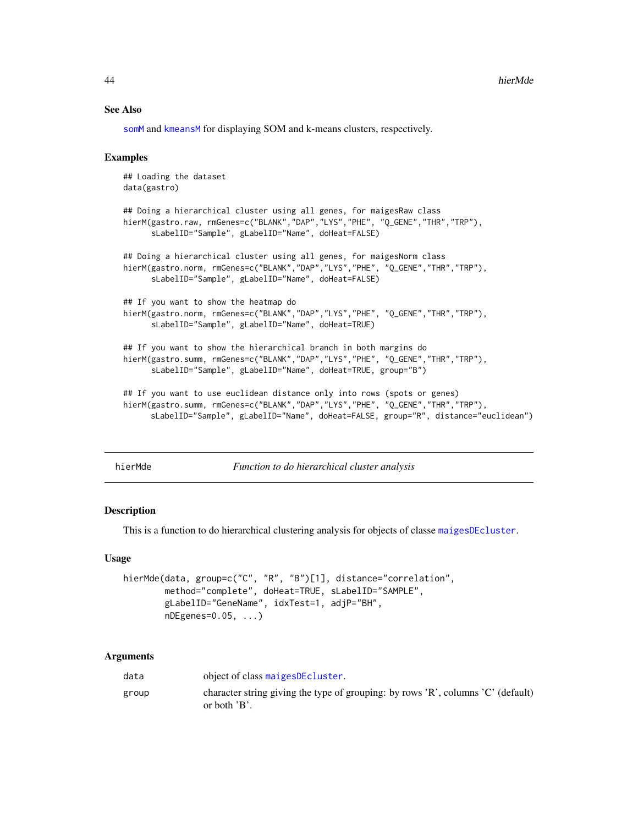### See Also

[somM](#page-87-0) and [kmeansM](#page-47-0) for displaying SOM and k-means clusters, respectively.

## Examples

```
## Loading the dataset
data(gastro)
## Doing a hierarchical cluster using all genes, for maigesRaw class
hierM(gastro.raw, rmGenes=c("BLANK","DAP","LYS","PHE", "Q_GENE","THR","TRP"),
      sLabelID="Sample", gLabelID="Name", doHeat=FALSE)
## Doing a hierarchical cluster using all genes, for maigesNorm class
hierM(gastro.norm, rmGenes=c("BLANK","DAP","LYS","PHE", "Q_GENE","THR","TRP"),
      sLabelID="Sample", gLabelID="Name", doHeat=FALSE)
## If you want to show the heatmap do
hierM(gastro.norm, rmGenes=c("BLANK","DAP","LYS","PHE", "Q_GENE","THR","TRP"),
      sLabelID="Sample", gLabelID="Name", doHeat=TRUE)
## If you want to show the hierarchical branch in both margins do
hierM(gastro.summ, rmGenes=c("BLANK","DAP","LYS","PHE", "Q_GENE","THR","TRP"),
      sLabelID="Sample", gLabelID="Name", doHeat=TRUE, group="B")
## If you want to use euclidean distance only into rows (spots or genes)
hierM(gastro.summ, rmGenes=c("BLANK","DAP","LYS","PHE", "Q_GENE","THR","TRP"),
     sLabelID="Sample", gLabelID="Name", doHeat=FALSE, group="R", distance="euclidean")
```
<span id="page-43-0"></span>

hierMde *Function to do hierarchical cluster analysis*

### Description

This is a function to do hierarchical clustering analysis for objects of classe [maigesDEcluster](#page-59-0).

### Usage

```
hierMde(data, group=c("C", "R", "B")[1], distance="correlation",
        method="complete", doHeat=TRUE, sLabelID="SAMPLE",
        gLabelID="GeneName", idxTest=1, adjP="BH",
        nDEgenes=0.05, ...)
```
#### Arguments

| data  | object of class maiges DE cluster.                                                                |
|-------|---------------------------------------------------------------------------------------------------|
| group | character string giving the type of grouping: by rows 'R', columns 'C' (default)<br>or both $B$ . |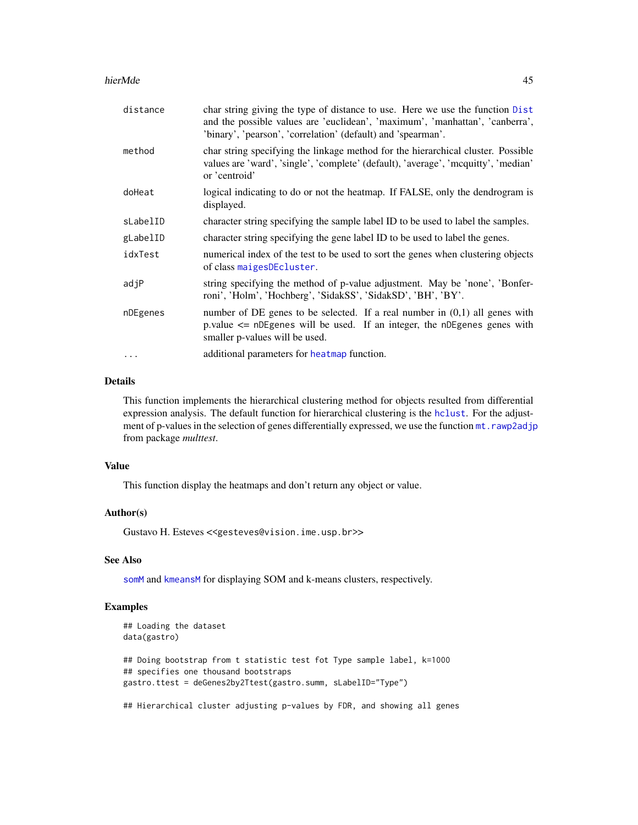#### hierMde and the state of the state of the state of the state of the state of the state of the state of the state of the state of the state of the state of the state of the state of the state of the state of the state of th

| distance | char string giving the type of distance to use. Here we use the function Dist<br>and the possible values are 'euclidean', 'maximum', 'manhattan', 'canberra',<br>'binary', 'pearson', 'correlation' (default) and 'spearman'. |
|----------|-------------------------------------------------------------------------------------------------------------------------------------------------------------------------------------------------------------------------------|
| method   | char string specifying the linkage method for the hierarchical cluster. Possible<br>values are 'ward', 'single', 'complete' (default), 'average', 'mcquitty', 'median'<br>or 'centroid'                                       |
| doHeat   | logical indicating to do or not the heatmap. If FALSE, only the dendrogram is<br>displayed.                                                                                                                                   |
| sLabelID | character string specifying the sample label ID to be used to label the samples.                                                                                                                                              |
| gLabelID | character string specifying the gene label ID to be used to label the genes.                                                                                                                                                  |
| idxTest  | numerical index of the test to be used to sort the genes when clustering objects<br>of class maigesDEcluster.                                                                                                                 |
| adjP     | string specifying the method of p-value adjustment. May be 'none', 'Bonfer-<br>roni', 'Holm', 'Hochberg', 'SidakSS', 'SidakSD', 'BH', 'BY'.                                                                                   |
| nDEgenes | number of DE genes to be selected. If a real number in $(0,1)$ all genes with<br>p.value $\leq$ nDEgenes will be used. If an integer, the nDEgenes genes with<br>smaller p-values will be used.                               |
| $\cdots$ | additional parameters for heatmap function.                                                                                                                                                                                   |

## Details

This function implements the hierarchical clustering method for objects resulted from differential expression analysis. The default function for hierarchical clustering is the [hclust](#page-0-0). For the adjustment of p-values in the selection of genes differentially expressed, we use the function mt. rawp2adjp from package *multtest*.

## Value

This function display the heatmaps and don't return any object or value.

## Author(s)

Gustavo H. Esteves <<gesteves@vision.ime.usp.br>>

## See Also

[somM](#page-87-0) and [kmeansM](#page-47-0) for displaying SOM and k-means clusters, respectively.

## Examples

```
## Loading the dataset
data(gastro)
## Doing bootstrap from t statistic test fot Type sample label, k=1000
## specifies one thousand bootstraps
gastro.ttest = deGenes2by2Ttest(gastro.summ, sLabelID="Type")
## Hierarchical cluster adjusting p-values by FDR, and showing all genes
```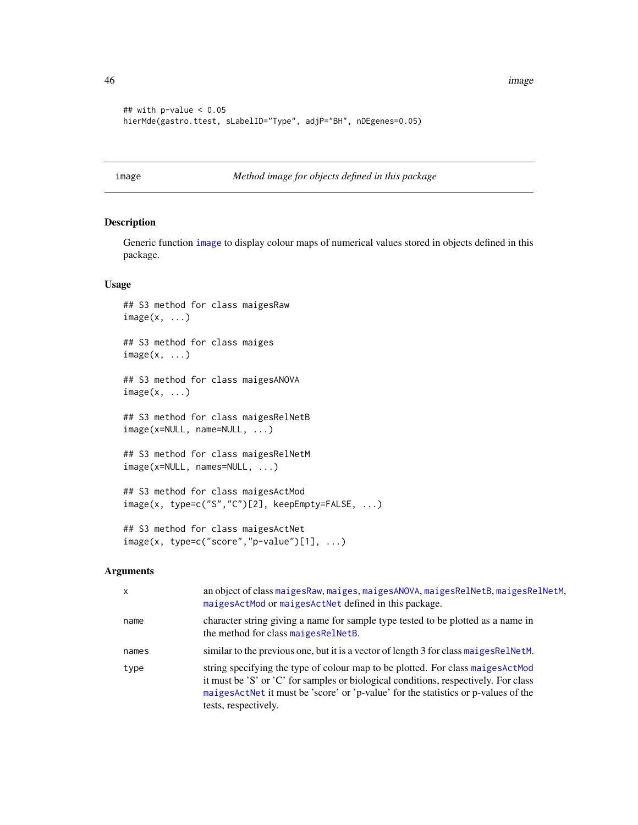46 image and the state of the state of the state of the state of the state of the state of the state of the state of the state of the state of the state of the state of the state of the state of the state of the state of t

```
## with p-value < 0.05
hierMde(gastro.ttest, sLabelID="Type", adjP="BH", nDEgenes=0.05)
```
<span id="page-45-0"></span>image *Method image for objects defined in this package*

## Description

Generic function [image](#page-45-0) to display colour maps of numerical values stored in objects defined in this package.

### Usage

## S3 method for class maigesRaw  $image(x, \ldots)$ ## S3 method for class maiges  $image(x, \ldots)$ ## S3 method for class maigesANOVA  $image(x, \ldots)$ ## S3 method for class maigesRelNetB image(x=NULL, name=NULL, ...) ## S3 method for class maigesRelNetM image(x=NULL, names=NULL, ...) ## S3 method for class maigesActMod image(x, type=c("S","C")[2], keepEmpty=FALSE, ...)

# ## S3 method for class maigesActNet  $image(x, type=c("score", "p-value") [1], ...)$

### Arguments

| x     | an object of class maiges Raw, maiges, maiges ANOVA, maiges Rel NetB, maiges Rel NetM,<br>maigesActMod or maigesActNet defined in this package.                                                                                                                                       |
|-------|---------------------------------------------------------------------------------------------------------------------------------------------------------------------------------------------------------------------------------------------------------------------------------------|
| name  | character string giving a name for sample type tested to be plotted as a name in<br>the method for class maigesRelNetB.                                                                                                                                                               |
| names | similar to the previous one, but it is a vector of length 3 for class maiges Rel NetM.                                                                                                                                                                                                |
| type  | string specifying the type of colour map to be plotted. For class maiges Act Mod<br>it must be 'S' or 'C' for samples or biological conditions, respectively. For class<br>maigesActNet it must be 'score' or 'p-value' for the statistics or p-values of the<br>tests, respectively. |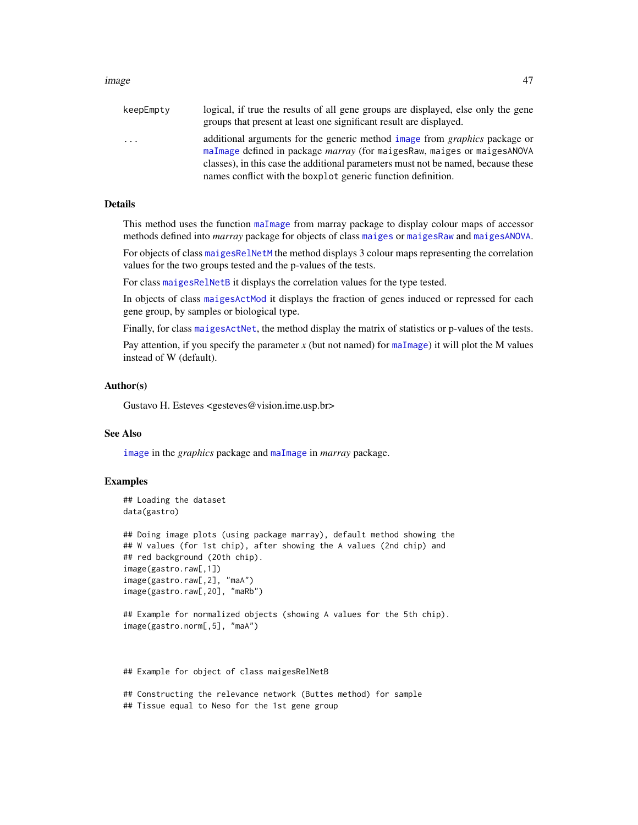#### image and the contract of the contract of the contract of the contract of the contract of the contract of the contract of the contract of the contract of the contract of the contract of the contract of the contract of the

| keepEmpty | logical, if true the results of all gene groups are displayed, else only the gene<br>groups that present at least one significant result are displayed.                                                                                                                                                                  |
|-----------|--------------------------------------------------------------------------------------------------------------------------------------------------------------------------------------------------------------------------------------------------------------------------------------------------------------------------|
| .         | additional arguments for the generic method image from <i>graphics</i> package or<br>maImage defined in package <i>marray</i> (for maigesRaw, maiges or maigesANOVA<br>classes), in this case the additional parameters must not be named, because these<br>names conflict with the boxplot generic function definition. |
|           |                                                                                                                                                                                                                                                                                                                          |

## Details

This method uses the function [maImage](#page-0-0) from marray package to display colour maps of accessor methods defined into *marray* package for objects of class [maiges](#page-52-0) or [maigesRaw](#page-62-0) and [maigesANOVA](#page-56-0).

For objects of class [maigesRelNetM](#page-65-0) the method displays 3 colour maps representing the correlation values for the two groups tested and the p-values of the tests.

For class [maigesRelNetB](#page-63-0) it displays the correlation values for the type tested.

In objects of class [maigesActMod](#page-54-0) it displays the fraction of genes induced or repressed for each gene group, by samples or biological type.

Finally, for class [maigesActNet](#page-55-0), the method display the matrix of statistics or p-values of the tests.

Pay attention, if you specify the parameter  $x$  (but not named) for [maImage](#page-0-0)) it will plot the M values instead of W (default).

### Author(s)

Gustavo H. Esteves <gesteves@vision.ime.usp.br>

## See Also

[image](#page-45-0) in the *graphics* package and [maImage](#page-0-0) in *marray* package.

### Examples

```
## Loading the dataset
data(gastro)
```
## Doing image plots (using package marray), default method showing the ## W values (for 1st chip), after showing the A values (2nd chip) and ## red background (20th chip). image(gastro.raw[,1]) image(gastro.raw[,2], "maA") image(gastro.raw[,20], "maRb")

```
## Example for normalized objects (showing A values for the 5th chip).
image(gastro.norm[,5], "maA")
```
## Example for object of class maigesRelNetB

## Constructing the relevance network (Buttes method) for sample ## Tissue equal to Neso for the 1st gene group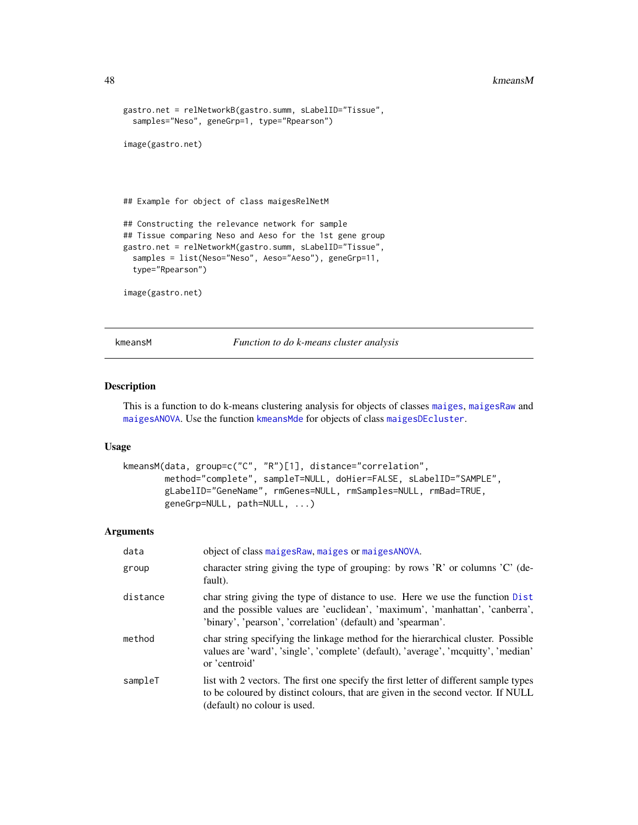```
gastro.net = relNetworkB(gastro.summ, sLabelID="Tissue",
 samples="Neso", geneGrp=1, type="Rpearson")
image(gastro.net)
## Example for object of class maigesRelNetM
## Constructing the relevance network for sample
## Tissue comparing Neso and Aeso for the 1st gene group
gastro.net = relNetworkM(gastro.summ, sLabelID="Tissue",
 samples = list(Neso="Neso", Aeso="Aeso"), geneGrp=11,
 type="Rpearson")
image(gastro.net)
```
<span id="page-47-0"></span>kmeansM *Function to do k-means cluster analysis*

## Description

This is a function to do k-means clustering analysis for objects of classes [maiges](#page-52-0), [maigesRaw](#page-62-0) and [maigesANOVA](#page-56-0). Use the function [kmeansMde](#page-49-0) for objects of class [maigesDEcluster](#page-59-0).

### Usage

```
kmeansM(data, group=c("C", "R")[1], distance="correlation",
       method="complete", sampleT=NULL, doHier=FALSE, sLabelID="SAMPLE",
       gLabelID="GeneName", rmGenes=NULL, rmSamples=NULL, rmBad=TRUE,
       geneGrp=NULL, path=NULL, ...)
```
## Arguments

| data     | object of class maiges Raw, maiges or maiges ANOVA.                                                                                                                                                                           |
|----------|-------------------------------------------------------------------------------------------------------------------------------------------------------------------------------------------------------------------------------|
| group    | character string giving the type of grouping: by rows 'R' or columns 'C' (de-<br>fault).                                                                                                                                      |
| distance | char string giving the type of distance to use. Here we use the function Dist<br>and the possible values are 'euclidean', 'maximum', 'manhattan', 'canberra',<br>'binary', 'pearson', 'correlation' (default) and 'spearman'. |
| method   | char string specifying the linkage method for the hierarchical cluster. Possible<br>values are 'ward', 'single', 'complete' (default), 'average', 'mcquitty', 'median'<br>or 'centroid'                                       |
| sampleT  | list with 2 vectors. The first one specify the first letter of different sample types<br>to be coloured by distinct colours, that are given in the second vector. If NULL<br>(default) no colour is used.                     |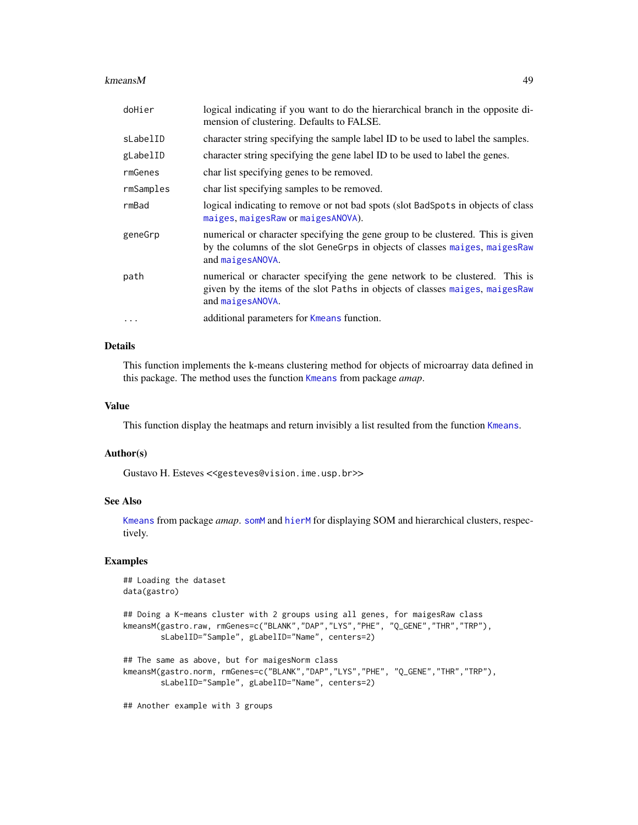### kmeansM and the set of the set of the set of the set of the set of the set of the set of the set of the set of the set of the set of the set of the set of the set of the set of the set of the set of the set of the set of t

| doHier    | logical indicating if you want to do the hierarchical branch in the opposite di-<br>mension of clustering. Defaults to FALSE.                                                       |
|-----------|-------------------------------------------------------------------------------------------------------------------------------------------------------------------------------------|
| sLabelID  | character string specifying the sample label ID to be used to label the samples.                                                                                                    |
| gLabelID  | character string specifying the gene label ID to be used to label the genes.                                                                                                        |
| rmGenes   | char list specifying genes to be removed.                                                                                                                                           |
| rmSamples | char list specifying samples to be removed.                                                                                                                                         |
| rmBad     | logical indicating to remove or not bad spots (slot BadSpots in objects of class<br>maiges, maigesRaw or maigesANOVA).                                                              |
| geneGrp   | numerical or character specifying the gene group to be clustered. This is given<br>by the columns of the slot GeneGrps in objects of classes maiges, maiges Raw<br>and maigesANOVA. |
| path      | numerical or character specifying the gene network to be clustered. This is<br>given by the items of the slot Paths in objects of classes maiges, maiges Raw<br>and maigesANOVA.    |
| .         | additional parameters for Kmeans function.                                                                                                                                          |

### Details

This function implements the k-means clustering method for objects of microarray data defined in this package. The method uses the function [Kmeans](#page-0-0) from package *amap*.

## Value

This function display the heatmaps and return invisibly a list resulted from the function [Kmeans](#page-0-0).

### Author(s)

Gustavo H. Esteves <<gesteves@vision.ime.usp.br>>

### See Also

[Kmeans](#page-0-0) from package *amap*. [somM](#page-87-0) and [hierM](#page-41-0) for displaying SOM and hierarchical clusters, respectively.

## Examples

```
## Loading the dataset
data(gastro)
## Doing a K-means cluster with 2 groups using all genes, for maigesRaw class
kmeansM(gastro.raw, rmGenes=c("BLANK","DAP","LYS","PHE", "Q_GENE","THR","TRP"),
        sLabelID="Sample", gLabelID="Name", centers=2)
## The same as above, but for maigesNorm class
kmeansM(gastro.norm, rmGenes=c("BLANK","DAP","LYS","PHE", "Q_GENE","THR","TRP"),
        sLabelID="Sample", gLabelID="Name", centers=2)
## Another example with 3 groups
```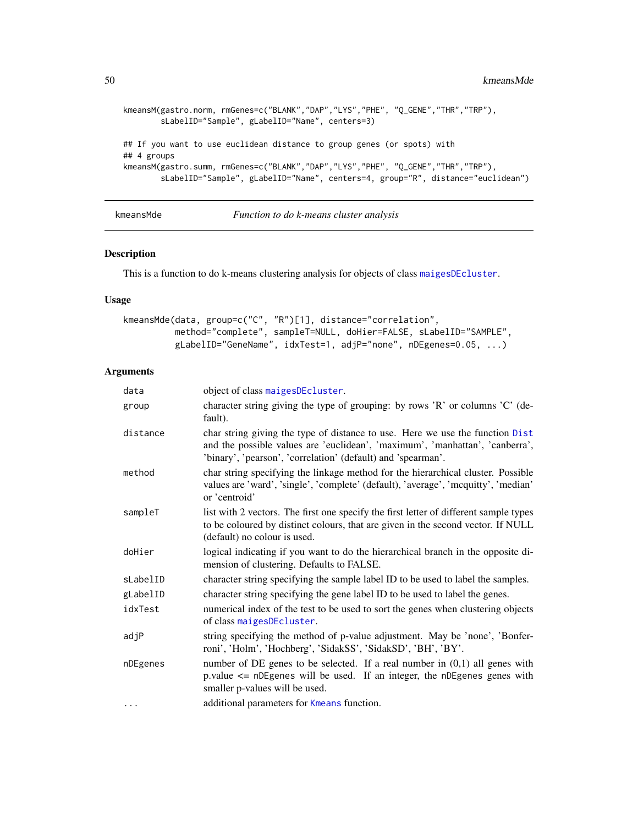```
kmeansM(gastro.norm, rmGenes=c("BLANK","DAP","LYS","PHE", "Q_GENE","THR","TRP"),
        sLabelID="Sample", gLabelID="Name", centers=3)
## If you want to use euclidean distance to group genes (or spots) with
## 4 groups
kmeansM(gastro.summ, rmGenes=c("BLANK","DAP","LYS","PHE", "Q_GENE","THR","TRP"),
       sLabelID="Sample", gLabelID="Name", centers=4, group="R", distance="euclidean")
```
<span id="page-49-0"></span>kmeansMde *Function to do k-means cluster analysis*

### Description

This is a function to do k-means clustering analysis for objects of class [maigesDEcluster](#page-59-0).

### Usage

```
kmeansMde(data, group=c("C", "R")[1], distance="correlation",
         method="complete", sampleT=NULL, doHier=FALSE, sLabelID="SAMPLE",
         gLabelID="GeneName", idxTest=1, adjP="none", nDEgenes=0.05, ...)
```
### Arguments

| data     | object of class maigesDEcluster.                                                                                                                                                                                              |
|----------|-------------------------------------------------------------------------------------------------------------------------------------------------------------------------------------------------------------------------------|
| group    | character string giving the type of grouping: by rows 'R' or columns 'C' (de-<br>fault).                                                                                                                                      |
| distance | char string giving the type of distance to use. Here we use the function Dist<br>and the possible values are 'euclidean', 'maximum', 'manhattan', 'canberra',<br>'binary', 'pearson', 'correlation' (default) and 'spearman'. |
| method   | char string specifying the linkage method for the hierarchical cluster. Possible<br>values are 'ward', 'single', 'complete' (default), 'average', 'mcquitty', 'median'<br>or 'centroid'                                       |
| sampleT  | list with 2 vectors. The first one specify the first letter of different sample types<br>to be coloured by distinct colours, that are given in the second vector. If NULL<br>(default) no colour is used.                     |
| doHier   | logical indicating if you want to do the hierarchical branch in the opposite di-<br>mension of clustering. Defaults to FALSE.                                                                                                 |
| sLabelID | character string specifying the sample label ID to be used to label the samples.                                                                                                                                              |
| gLabelID | character string specifying the gene label ID to be used to label the genes.                                                                                                                                                  |
| idxTest  | numerical index of the test to be used to sort the genes when clustering objects<br>of class maigesDEcluster.                                                                                                                 |
| adjP     | string specifying the method of p-value adjustment. May be 'none', 'Bonfer-<br>roni', 'Holm', 'Hochberg', 'SidakSS', 'SidakSD', 'BH', 'BY'.                                                                                   |
| nDEgenes | number of DE genes to be selected. If a real number in $(0,1)$ all genes with<br>p.value $\leq$ nDEgenes will be used. If an integer, the nDEgenes genes with<br>smaller p-values will be used.                               |
| $\cdots$ | additional parameters for Kmeans function.                                                                                                                                                                                    |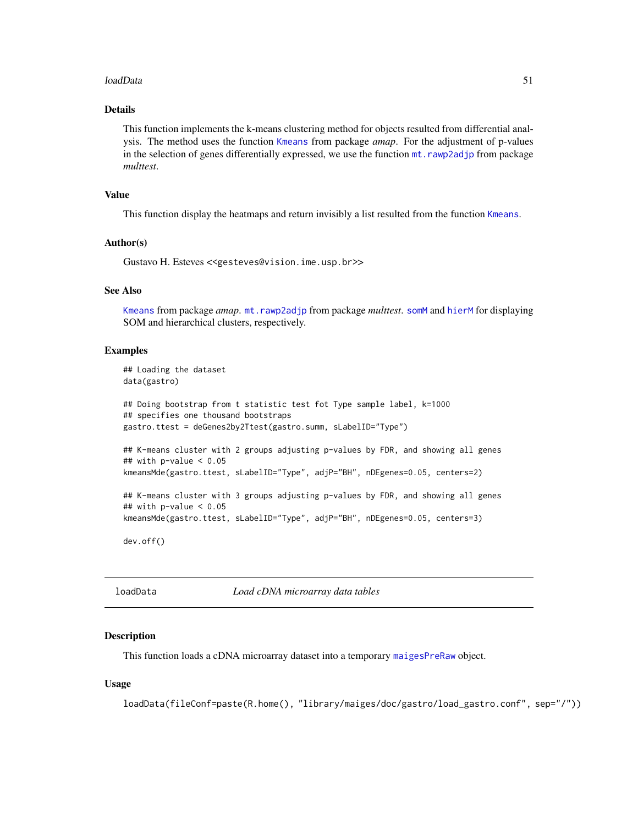### loadData 51

## Details

This function implements the k-means clustering method for objects resulted from differential analysis. The method uses the function [Kmeans](#page-0-0) from package *amap*. For the adjustment of p-values in the selection of genes differentially expressed, we use the function [mt.rawp2adjp](#page-0-0) from package *multtest*.

### Value

This function display the heatmaps and return invisibly a list resulted from the function [Kmeans](#page-0-0).

### Author(s)

Gustavo H. Esteves <<gesteves@vision.ime.usp.br>>

## See Also

[Kmeans](#page-0-0) from package *amap*. [mt.rawp2adjp](#page-0-0) from package *multtest*. [somM](#page-87-0) and [hierM](#page-41-0) for displaying SOM and hierarchical clusters, respectively.

### Examples

```
## Loading the dataset
data(gastro)
## Doing bootstrap from t statistic test fot Type sample label, k=1000
## specifies one thousand bootstraps
gastro.ttest = deGenes2by2Ttest(gastro.summ, sLabelID="Type")
## K-means cluster with 2 groups adjusting p-values by FDR, and showing all genes
## with p-value < 0.05
kmeansMde(gastro.ttest, sLabelID="Type", adjP="BH", nDEgenes=0.05, centers=2)
## K-means cluster with 3 groups adjusting p-values by FDR, and showing all genes
## with p-value < 0.05
kmeansMde(gastro.ttest, sLabelID="Type", adjP="BH", nDEgenes=0.05, centers=3)
```
dev.off()

<span id="page-50-0"></span>loadData *Load cDNA microarray data tables*

### Description

This function loads a cDNA microarray dataset into a temporary [maigesPreRaw](#page-60-0) object.

### Usage

```
loadData(fileConf=paste(R.home(), "library/maiges/doc/gastro/load_gastro.conf", sep="/"))
```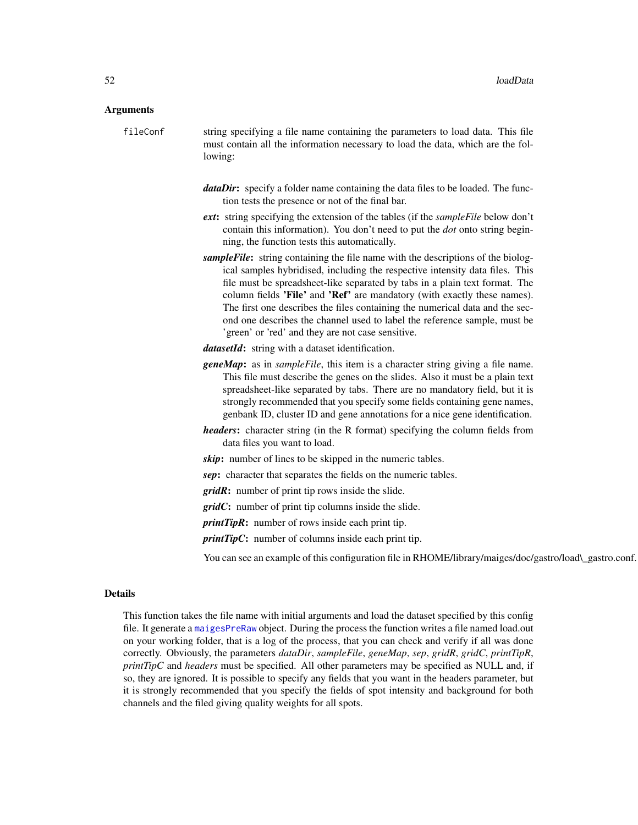#### Arguments

fileConf string specifying a file name containing the parameters to load data. This file must contain all the information necessary to load the data, which are the following:

- *dataDir*: specify a folder name containing the data files to be loaded. The function tests the presence or not of the final bar.
- *ext*: string specifying the extension of the tables (if the *sampleFile* below don't contain this information). You don't need to put the *dot* onto string beginning, the function tests this automatically.
- *sampleFile*: string containing the file name with the descriptions of the biological samples hybridised, including the respective intensity data files. This file must be spreadsheet-like separated by tabs in a plain text format. The column fields 'File' and 'Ref' are mandatory (with exactly these names). The first one describes the files containing the numerical data and the second one describes the channel used to label the reference sample, must be 'green' or 'red' and they are not case sensitive.
- *datasetId*: string with a dataset identification.
- *geneMap*: as in *sampleFile*, this item is a character string giving a file name. This file must describe the genes on the slides. Also it must be a plain text spreadsheet-like separated by tabs. There are no mandatory field, but it is strongly recommended that you specify some fields containing gene names, genbank ID, cluster ID and gene annotations for a nice gene identification.
- *headers*: character string (in the R format) specifying the column fields from data files you want to load.

*skip*: number of lines to be skipped in the numeric tables.

*sep*: character that separates the fields on the numeric tables.

*gridR*: number of print tip rows inside the slide.

*gridC*: number of print tip columns inside the slide.

*printTipR*: number of rows inside each print tip.

*printTipC*: number of columns inside each print tip.

You can see an example of this configuration file in RHOME/library/maiges/doc/gastro/load\\_gastro.conf.

#### Details

This function takes the file name with initial arguments and load the dataset specified by this config file. It generate a [maigesPreRaw](#page-60-0) object. During the process the function writes a file named load.out on your working folder, that is a log of the process, that you can check and verify if all was done correctly. Obviously, the parameters *dataDir*, *sampleFile*, *geneMap*, *sep*, *gridR*, *gridC*, *printTipR*, *printTipC* and *headers* must be specified. All other parameters may be specified as NULL and, if so, they are ignored. It is possible to specify any fields that you want in the headers parameter, but it is strongly recommended that you specify the fields of spot intensity and background for both channels and the filed giving quality weights for all spots.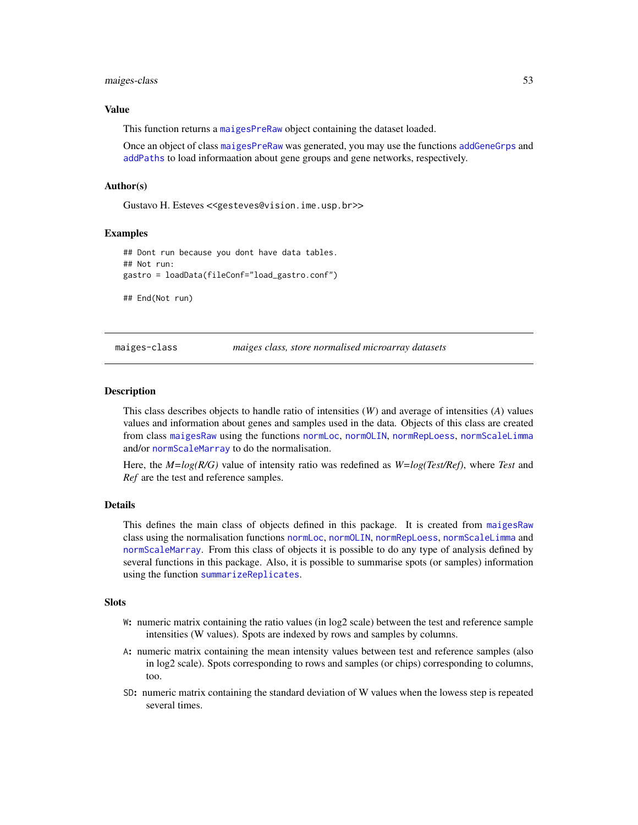#### maiges-class 53

#### Value

This function returns a [maigesPreRaw](#page-60-0) object containing the dataset loaded.

Once an object of class [maigesPreRaw](#page-60-0) was generated, you may use the functions [addGeneGrps](#page-7-0) and [addPaths](#page-8-0) to load informaation about gene groups and gene networks, respectively.

### Author(s)

Gustavo H. Esteves <<gesteves@vision.ime.usp.br>>

#### Examples

```
## Dont run because you dont have data tables.
## Not run:
gastro = loadData(fileConf="load_gastro.conf")
## End(Not run)
```
maiges-class *maiges class, store normalised microarray datasets*

#### <span id="page-52-0"></span>**Description**

This class describes objects to handle ratio of intensities (*W*) and average of intensities (*A*) values values and information about genes and samples used in the data. Objects of this class are created from class [maigesRaw](#page-62-0) using the functions [normLoc](#page-67-0), [normOLIN](#page-68-0), [normRepLoess](#page-69-0), [normScaleLimma](#page-70-0) and/or [normScaleMarray](#page-71-0) to do the normalisation.

Here, the *M=log(R/G)* value of intensity ratio was redefined as *W=log(Test/Ref)*, where *Test* and *Ref* are the test and reference samples.

### Details

This defines the main class of objects defined in this package. It is created from [maigesRaw](#page-62-0) class using the normalisation functions [normLoc](#page-67-0), [normOLIN](#page-68-0), [normRepLoess](#page-69-0), [normScaleLimma](#page-70-0) and [normScaleMarray](#page-71-0). From this class of objects it is possible to do any type of analysis defined by several functions in this package. Also, it is possible to summarise spots (or samples) information using the function [summarizeReplicates](#page-91-0).

## **Slots**

- W: numeric matrix containing the ratio values (in log2 scale) between the test and reference sample intensities (W values). Spots are indexed by rows and samples by columns.
- A: numeric matrix containing the mean intensity values between test and reference samples (also in log2 scale). Spots corresponding to rows and samples (or chips) corresponding to columns, too.
- SD: numeric matrix containing the standard deviation of W values when the lowess step is repeated several times.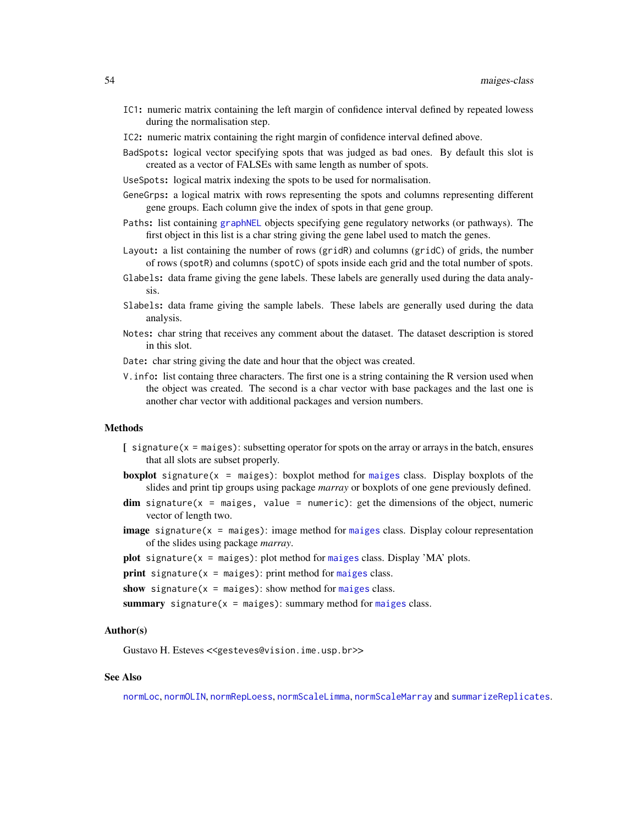- IC1: numeric matrix containing the left margin of confidence interval defined by repeated lowess during the normalisation step.
- IC2: numeric matrix containing the right margin of confidence interval defined above.
- BadSpots: logical vector specifying spots that was judged as bad ones. By default this slot is created as a vector of FALSEs with same length as number of spots.
- UseSpots: logical matrix indexing the spots to be used for normalisation.
- GeneGrps: a logical matrix with rows representing the spots and columns representing different gene groups. Each column give the index of spots in that gene group.
- Paths: list containing [graphNEL](#page-0-0) objects specifying gene regulatory networks (or pathways). The first object in this list is a char string giving the gene label used to match the genes.
- Layout: a list containing the number of rows (gridR) and columns (gridC) of grids, the number of rows (spotR) and columns (spotC) of spots inside each grid and the total number of spots.
- Glabels: data frame giving the gene labels. These labels are generally used during the data analysis.
- Slabels: data frame giving the sample labels. These labels are generally used during the data analysis.
- Notes: char string that receives any comment about the dataset. The dataset description is stored in this slot.
- Date: char string giving the date and hour that the object was created.
- V.info: list containg three characters. The first one is a string containing the R version used when the object was created. The second is a char vector with base packages and the last one is another char vector with additional packages and version numbers.

#### Methods

- $\left[$  signature( $x = \text{maiges}$ ): subsetting operator for spots on the array or arrays in the batch, ensures that all slots are subset properly.
- **boxplot** signature( $x = maiges$  $x = maiges$ ): boxplot method for maiges class. Display boxplots of the slides and print tip groups using package *marray* or boxplots of one gene previously defined.
- $\dim$  signature(x = maiges, value = numeric): get the dimensions of the object, numeric vector of length two.
- **image** signature( $x =$  [maiges](#page-52-0)): image method for maiges class. Display colour representation of the slides using package *marray*.

plot signature( $x = maiges$  $x = maiges$ ): plot method for maiges class. Display 'MA' plots.

```
print signature(maiges): print method for maiges class.
```
show signature( $x = maiges$  $x = maiges$ ): show method for maiges class.

summary signature( $x = maiges$  $x = maiges$ ): summary method for maiges class.

### Author(s)

Gustavo H. Esteves <<gesteves@vision.ime.usp.br>>

### See Also

[normLoc](#page-67-0), [normOLIN](#page-68-0), [normRepLoess](#page-69-0), [normScaleLimma](#page-70-0), [normScaleMarray](#page-71-0) and [summarizeReplicates](#page-91-0).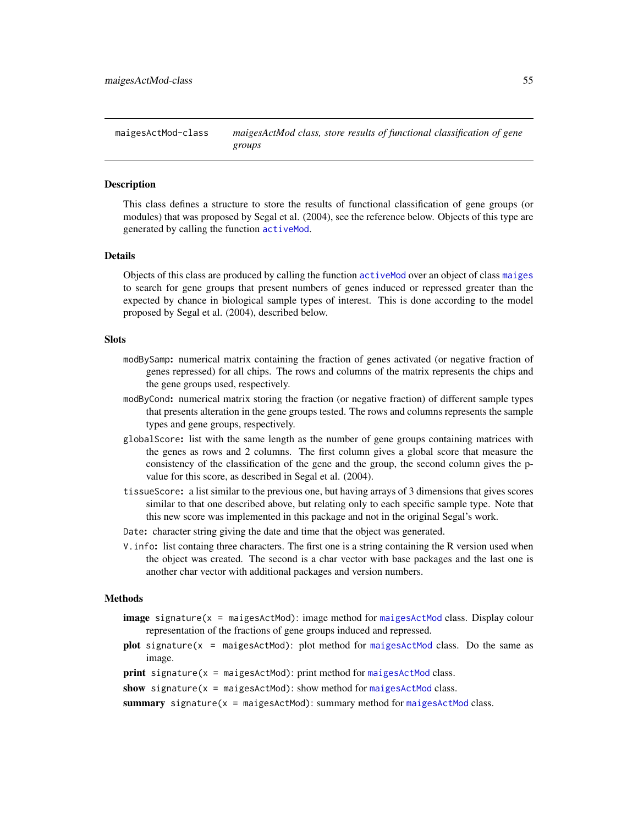maigesActMod-class *maigesActMod class, store results of functional classification of gene groups*

### <span id="page-54-0"></span>**Description**

This class defines a structure to store the results of functional classification of gene groups (or modules) that was proposed by Segal et al. (2004), see the reference below. Objects of this type are generated by calling the function [activeMod](#page-2-0).

### Details

Objects of this class are produced by calling the function [activeMod](#page-2-0) over an object of class [maiges](#page-52-0) to search for gene groups that present numbers of genes induced or repressed greater than the expected by chance in biological sample types of interest. This is done according to the model proposed by Segal et al. (2004), described below.

## Slots

- modBySamp: numerical matrix containing the fraction of genes activated (or negative fraction of genes repressed) for all chips. The rows and columns of the matrix represents the chips and the gene groups used, respectively.
- modByCond: numerical matrix storing the fraction (or negative fraction) of different sample types that presents alteration in the gene groups tested. The rows and columns represents the sample types and gene groups, respectively.
- globalScore: list with the same length as the number of gene groups containing matrices with the genes as rows and 2 columns. The first column gives a global score that measure the consistency of the classification of the gene and the group, the second column gives the pvalue for this score, as described in Segal et al. (2004).
- tissueScore: a list similar to the previous one, but having arrays of 3 dimensions that gives scores similar to that one described above, but relating only to each specific sample type. Note that this new score was implemented in this package and not in the original Segal's work.
- Date: character string giving the date and time that the object was generated.
- V.info: list containg three characters. The first one is a string containing the R version used when the object was created. The second is a char vector with base packages and the last one is another char vector with additional packages and version numbers.

### Methods

- image signature(x = [maigesActMod](#page-54-0)): image method for maigesActMod class. Display colour representation of the fractions of gene groups induced and repressed.
- plot signature( $x = maigesActMod$  $x = maigesActMod$ ): plot method for maigesActMod class. Do the same as image.
- $print$  signature( $x = maigesActMod$  $x = maigesActMod$ ): print method for maigesActMod class.

```
show signature(x =maigesActMod): show method for maigesActMod class.
```
summary signature( $x = maigesActMod$  $x = maigesActMod$ ): summary method for maigesActMod class.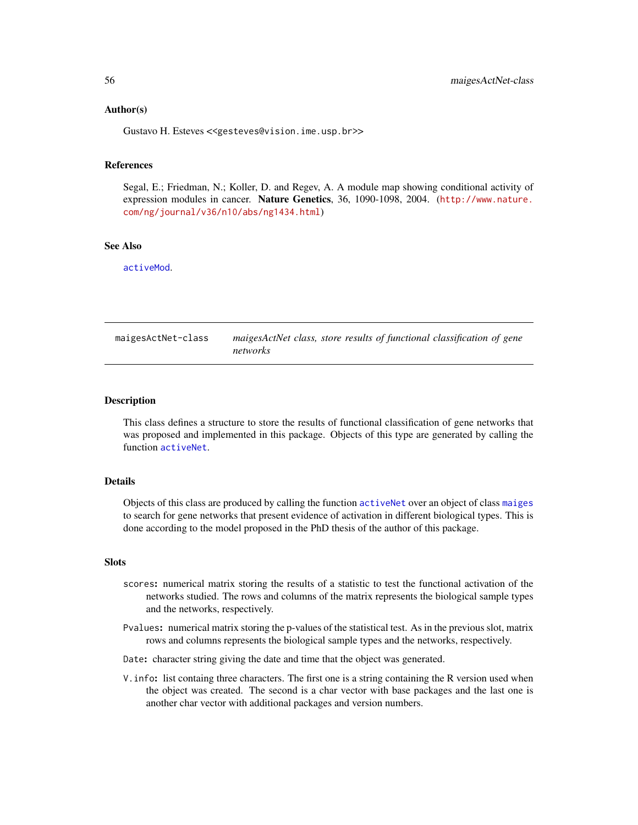### Author(s)

Gustavo H. Esteves <<gesteves@vision.ime.usp.br>>

## References

Segal, E.; Friedman, N.; Koller, D. and Regev, A. A module map showing conditional activity of expression modules in cancer. Nature Genetics, 36, 1090-1098, 2004. ([http://www.nature.](http://www.nature.com/ng/journal/v36/n10/abs/ng1434.html) [com/ng/journal/v36/n10/abs/ng1434.html](http://www.nature.com/ng/journal/v36/n10/abs/ng1434.html))

## See Also

[activeMod](#page-2-0).

| maigesActNet-class | maigesActNet class, store results of functional classification of gene |
|--------------------|------------------------------------------------------------------------|
|                    | networks                                                               |

## <span id="page-55-0"></span>Description

This class defines a structure to store the results of functional classification of gene networks that was proposed and implemented in this package. Objects of this type are generated by calling the function [activeNet](#page-5-0).

## Details

Objects of this class are produced by calling the function [activeNet](#page-5-0) over an object of class [maiges](#page-52-0) to search for gene networks that present evidence of activation in different biological types. This is done according to the model proposed in the PhD thesis of the author of this package.

## **Slots**

- scores: numerical matrix storing the results of a statistic to test the functional activation of the networks studied. The rows and columns of the matrix represents the biological sample types and the networks, respectively.
- Pvalues: numerical matrix storing the p-values of the statistical test. As in the previous slot, matrix rows and columns represents the biological sample types and the networks, respectively.
- Date: character string giving the date and time that the object was generated.
- V.info: list containg three characters. The first one is a string containing the R version used when the object was created. The second is a char vector with base packages and the last one is another char vector with additional packages and version numbers.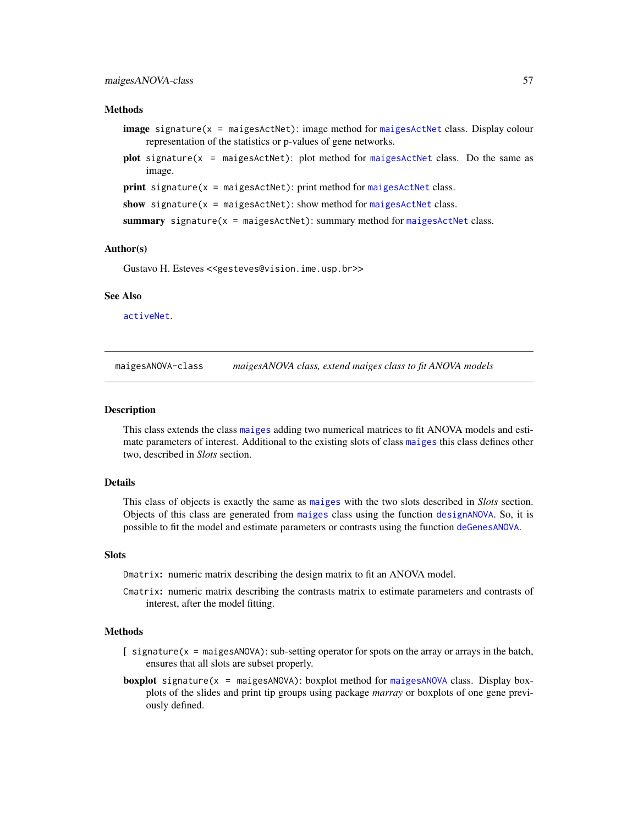### **Methods**

- **image** signature( $x =$  [maigesActNet](#page-55-0)): image method for maigesActNet class. Display colour representation of the statistics or p-values of gene networks.
- plot signature( $x = maigesActNet$  $x = maigesActNet$ ): plot method for maigesActNet class. Do the same as image.

```
print signature(x =maigesActNet): print method for maigesActNet class.
```

```
show signature(x =maigesActNet): show method for maigesActNet class.
```
summary signature( $x = maigesActNet$  $x = maigesActNet$ ): summary method for maigesActNet class.

#### Author(s)

Gustavo H. Esteves <<gesteves@vision.ime.usp.br>>

### See Also

[activeNet](#page-5-0).

maigesANOVA-class *maigesANOVA class, extend maiges class to fit ANOVA models*

### <span id="page-56-0"></span>**Description**

This class extends the class [maiges](#page-52-0) adding two numerical matrices to fit ANOVA models and estimate parameters of interest. Additional to the existing slots of class [maiges](#page-52-0) this class defines other two, described in *Slots* section.

## Details

This class of objects is exactly the same as [maiges](#page-52-0) with the two slots described in *Slots* section. Objects of this class are generated from [maiges](#page-52-0) class using the function [designANOVA](#page-36-0). So, it is possible to fit the model and estimate parameters or contrasts using the function [deGenesANOVA](#page-35-0).

#### Slots

Dmatrix: numeric matrix describing the design matrix to fit an ANOVA model.

Cmatrix: numeric matrix describing the contrasts matrix to estimate parameters and contrasts of interest, after the model fitting.

#### Methods

- $[$  signature( $x =$  maigesANOVA): sub-setting operator for spots on the array or arrays in the batch, ensures that all slots are subset properly.
- **boxplot** signature( $x = maigesANOVA$  $x = maigesANOVA$ ): boxplot method for maigesANOVA class. Display boxplots of the slides and print tip groups using package *marray* or boxplots of one gene previously defined.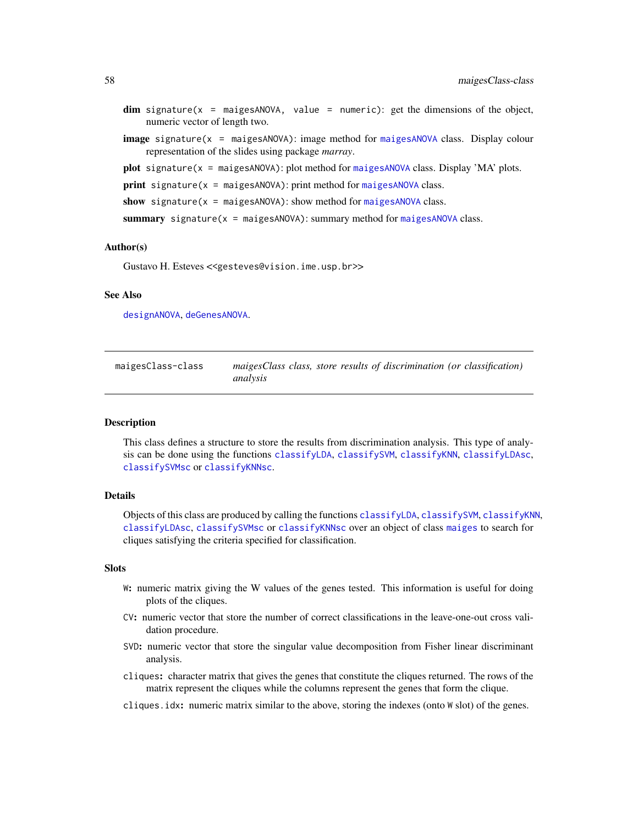- $dim$  signature(x = maigesANOVA, value = numeric): get the dimensions of the object, numeric vector of length two.
- image signature(x = maigesANOVA): image method for [maigesANOVA](#page-56-0) class. Display colour representation of the slides using package *marray*.

plot signature( $x = maigesANOVA$  $x = maigesANOVA$ ): plot method for maigesANOVA class. Display 'MA' plots.

```
print signature(maigesANOVA): print method for maigesANOVA class.
```
show signature( $x = maigesANOVA$  $x = maigesANOVA$ ): show method for maigesANOVA class.

summary signature( $x = maigesANOVA$  $x = maigesANOVA$ ): summary method for maiges $ANOVA$  class.

#### Author(s)

Gustavo H. Esteves <<gesteves@vision.ime.usp.br>>

### See Also

[designANOVA](#page-36-0), [deGenesANOVA](#page-35-0).

| maigesClass-class | maigesClass class, store results of discrimination (or classification) |  |  |
|-------------------|------------------------------------------------------------------------|--|--|
|                   | analysis                                                               |  |  |

### <span id="page-57-0"></span>Description

This class defines a structure to store the results from discrimination analysis. This type of analysis can be done using the functions [classifyLDA](#page-19-0), [classifySVM](#page-23-0), [classifyKNN](#page-16-0), [classifyLDAsc](#page-21-0), [classifySVMsc](#page-24-0) or [classifyKNNsc](#page-18-0).

### Details

Objects of this class are produced by calling the functions [classifyLDA](#page-19-0), [classifySVM](#page-23-0), [classifyKNN](#page-16-0), [classifyLDAsc](#page-21-0), [classifySVMsc](#page-24-0) or [classifyKNNsc](#page-18-0) over an object of class [maiges](#page-52-0) to search for cliques satisfying the criteria specified for classification.

### Slots

- W: numeric matrix giving the W values of the genes tested. This information is useful for doing plots of the cliques.
- CV: numeric vector that store the number of correct classifications in the leave-one-out cross validation procedure.
- SVD: numeric vector that store the singular value decomposition from Fisher linear discriminant analysis.
- cliques: character matrix that gives the genes that constitute the cliques returned. The rows of the matrix represent the cliques while the columns represent the genes that form the clique.
- cliques.idx: numeric matrix similar to the above, storing the indexes (onto W slot) of the genes.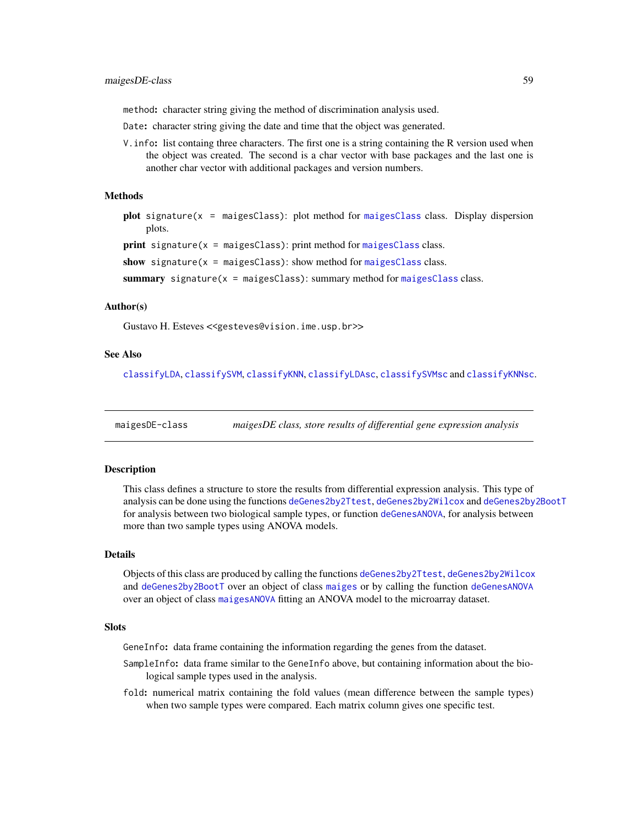method: character string giving the method of discrimination analysis used.

Date: character string giving the date and time that the object was generated.

V.info: list containg three characters. The first one is a string containing the R version used when the object was created. The second is a char vector with base packages and the last one is another char vector with additional packages and version numbers.

## Methods

plot signature(x = maigesClass): plot method for [maigesClass](#page-57-0) class. Display dispersion plots.

 $print$  signature( $x = maigesClass$  $x = maigesClass$ ): print method for maigesClass class.

show signature( $x = maigesClass$  $x = maigesClass$ ): show method for maigesClass class.

summary signature( $x = maigesClass$  $x = maigesClass$ ): summary method for maigesClass class.

#### Author(s)

Gustavo H. Esteves <<gesteves@vision.ime.usp.br>>

### See Also

[classifyLDA](#page-19-0), [classifySVM](#page-23-0), [classifyKNN](#page-16-0), [classifyLDAsc](#page-21-0), [classifySVMsc](#page-24-0) and [classifyKNNsc](#page-18-0).

maigesDE-class *maigesDE class, store results of differential gene expression analysis*

### <span id="page-58-0"></span>Description

This class defines a structure to store the results from differential expression analysis. This type of analysis can be done using the functions [deGenes2by2Ttest](#page-33-0), [deGenes2by2Wilcox](#page-34-0) and [deGenes2by2BootT](#page-32-0) for analysis between two biological sample types, or function [deGenesANOVA](#page-35-0), for analysis between more than two sample types using ANOVA models.

## Details

Objects of this class are produced by calling the functions [deGenes2by2Ttest](#page-33-0), [deGenes2by2Wilcox](#page-34-0) and [deGenes2by2BootT](#page-32-0) over an object of class [maiges](#page-52-0) or by calling the function [deGenesANOVA](#page-35-0) over an object of class [maigesANOVA](#page-56-0) fitting an ANOVA model to the microarray dataset.

#### **Slots**

GeneInfo: data frame containing the information regarding the genes from the dataset.

- SampleInfo: data frame similar to the GeneInfo above, but containing information about the biological sample types used in the analysis.
- fold: numerical matrix containing the fold values (mean difference between the sample types) when two sample types were compared. Each matrix column gives one specific test.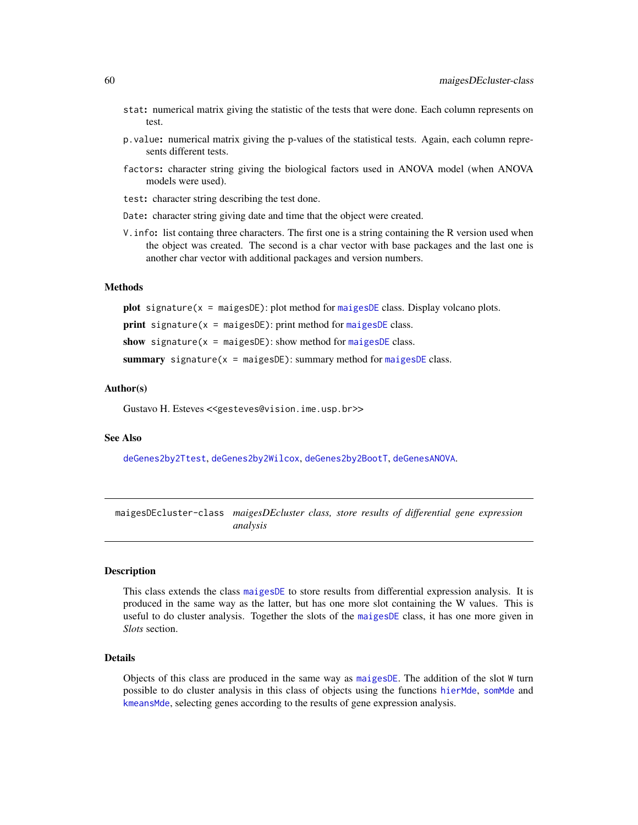- stat: numerical matrix giving the statistic of the tests that were done. Each column represents on test.
- p.value: numerical matrix giving the p-values of the statistical tests. Again, each column represents different tests.
- factors: character string giving the biological factors used in ANOVA model (when ANOVA models were used).
- test: character string describing the test done.
- Date: character string giving date and time that the object were created.
- V.info: list containg three characters. The first one is a string containing the R version used when the object was created. The second is a char vector with base packages and the last one is another char vector with additional packages and version numbers.

## Methods

plot signature( $x = maigesDE$  $x = maigesDE$ ): plot method for maigesDE class. Display volcano plots.

print signature( $x = maigesDE$  $x = maigesDE$ ): print method for maigesDE class.

show signature( $x = maigesDE$  $x = maigesDE$ ): show method for maigesDE class.

summary signature( $x = maigesDE$  $x = maigesDE$ ): summary method for maigesDE class.

### Author(s)

Gustavo H. Esteves <<gesteves@vision.ime.usp.br>>

### See Also

[deGenes2by2Ttest](#page-33-0), [deGenes2by2Wilcox](#page-34-0), [deGenes2by2BootT](#page-32-0), [deGenesANOVA](#page-35-0).

maigesDEcluster-class *maigesDEcluster class, store results of differential gene expression analysis*

### <span id="page-59-0"></span>Description

This class extends the class [maigesDE](#page-58-0) to store results from differential expression analysis. It is produced in the same way as the latter, but has one more slot containing the W values. This is useful to do cluster analysis. Together the slots of the [maigesDE](#page-58-0) class, it has one more given in *Slots* section.

## Details

Objects of this class are produced in the same way as [maigesDE](#page-58-0). The addition of the slot W turn possible to do cluster analysis in this class of objects using the functions [hierMde](#page-43-0), [somMde](#page-89-0) and [kmeansMde](#page-49-0), selecting genes according to the results of gene expression analysis.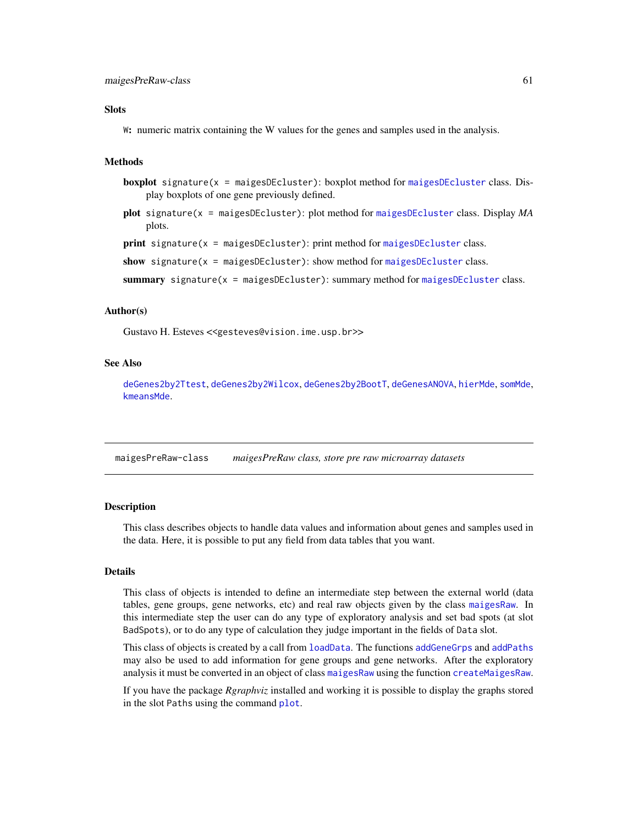### **Slots**

W: numeric matrix containing the W values for the genes and samples used in the analysis.

## Methods

- **boxplot** signature( $x =$  [maigesDEcluster](#page-59-0)): boxplot method for maigesDEcluster class. Display boxplots of one gene previously defined.
- plot signature(x = maigesDEcluster): plot method for [maigesDEcluster](#page-59-0) class. Display *MA* plots.

print signature(x = maigesDEcluster): print method for [maigesDEcluster](#page-59-0) class.

```
show signature(x = maigesmaigesDEcluster class.
```
summary signature( $x =$  [maigesDEcluster](#page-59-0)): summary method for maigesDEcluster class.

### Author(s)

Gustavo H. Esteves <<gesteves@vision.ime.usp.br>>

### See Also

[deGenes2by2Ttest](#page-33-0), [deGenes2by2Wilcox](#page-34-0), [deGenes2by2BootT](#page-32-0), [deGenesANOVA](#page-35-0), [hierMde](#page-43-0), [somMde](#page-89-0), [kmeansMde](#page-49-0).

maigesPreRaw-class *maigesPreRaw class, store pre raw microarray datasets*

### <span id="page-60-0"></span>Description

This class describes objects to handle data values and information about genes and samples used in the data. Here, it is possible to put any field from data tables that you want.

### Details

This class of objects is intended to define an intermediate step between the external world (data tables, gene groups, gene networks, etc) and real raw objects given by the class [maigesRaw](#page-62-0). In this intermediate step the user can do any type of exploratory analysis and set bad spots (at slot BadSpots), or to do any type of calculation they judge important in the fields of Data slot.

This class of objects is created by a call from [loadData](#page-50-0). The functions [addGeneGrps](#page-7-0) and [addPaths](#page-8-0) may also be used to add information for gene groups and gene networks. After the exploratory analysis it must be converted in an object of class [maigesRaw](#page-62-0) using the function [createMaigesRaw](#page-30-0).

If you have the package *Rgraphviz* installed and working it is possible to display the graphs stored in the slot Paths using the command [plot](#page-72-0).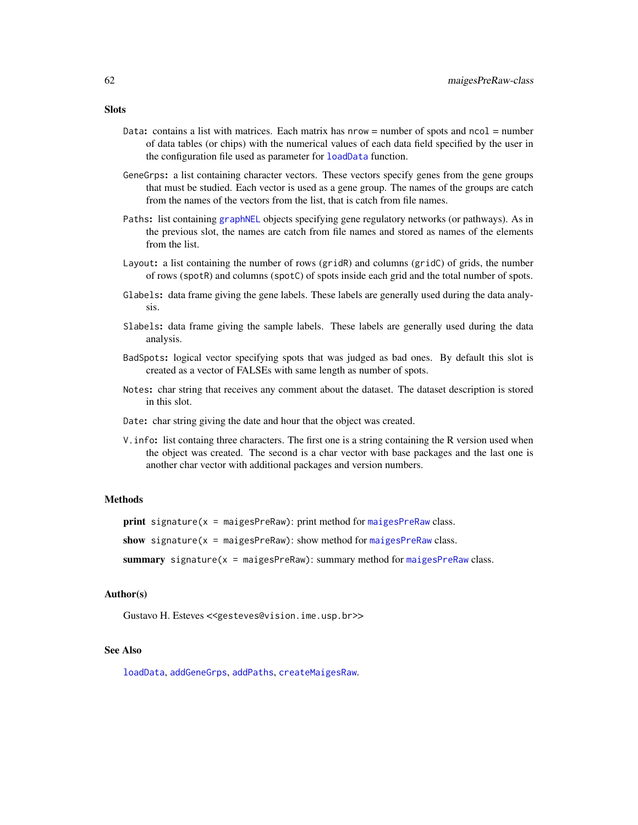- Data: contains a list with matrices. Each matrix has nrow = number of spots and ncol = number of data tables (or chips) with the numerical values of each data field specified by the user in the configuration file used as parameter for [loadData](#page-50-0) function.
- GeneGrps: a list containing character vectors. These vectors specify genes from the gene groups that must be studied. Each vector is used as a gene group. The names of the groups are catch from the names of the vectors from the list, that is catch from file names.
- Paths: list containing [graphNEL](#page-0-0) objects specifying gene regulatory networks (or pathways). As in the previous slot, the names are catch from file names and stored as names of the elements from the list.
- Layout: a list containing the number of rows (gridR) and columns (gridC) of grids, the number of rows (spotR) and columns (spotC) of spots inside each grid and the total number of spots.
- Glabels: data frame giving the gene labels. These labels are generally used during the data analysis.
- Slabels: data frame giving the sample labels. These labels are generally used during the data analysis.
- BadSpots: logical vector specifying spots that was judged as bad ones. By default this slot is created as a vector of FALSEs with same length as number of spots.
- Notes: char string that receives any comment about the dataset. The dataset description is stored in this slot.
- Date: char string giving the date and hour that the object was created.
- V.info: list containg three characters. The first one is a string containing the R version used when the object was created. The second is a char vector with base packages and the last one is another char vector with additional packages and version numbers.

### Methods

 $print$  signature( $x = maigesPreRaw)$  $x = maigesPreRaw)$  $x = maigesPreRaw)$ : print method for maigesPreRaw class.

show signature( $x =$  [maigesPreRaw](#page-60-0)): show method for maigesPreRaw class.

summary signature(x = [maigesPreRaw](#page-60-0)): summary method for maigesPreRaw class.

### Author(s)

Gustavo H. Esteves <<gesteves@vision.ime.usp.br>>

### See Also

[loadData](#page-50-0), [addGeneGrps](#page-7-0), [addPaths](#page-8-0), [createMaigesRaw](#page-30-0).

## **Slots**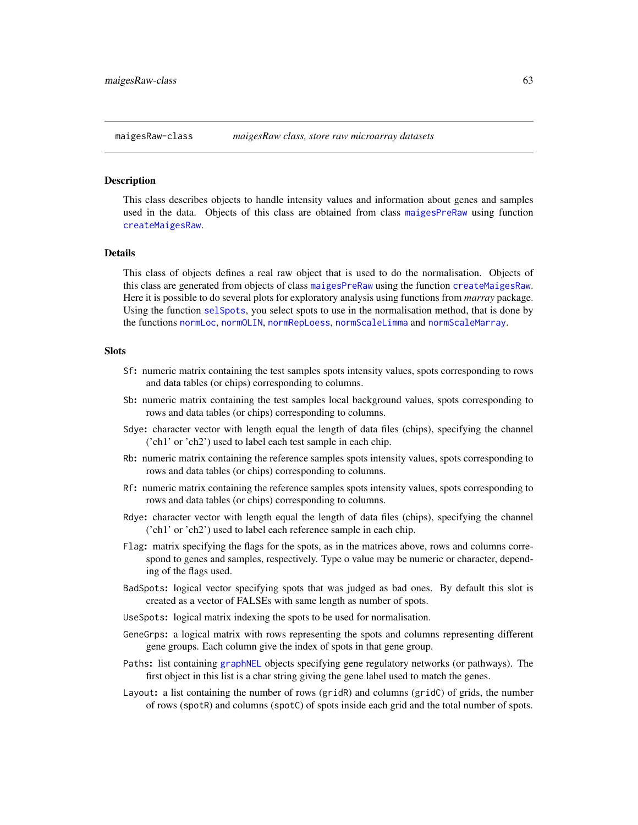#### <span id="page-62-0"></span>Description

This class describes objects to handle intensity values and information about genes and samples used in the data. Objects of this class are obtained from class [maigesPreRaw](#page-60-0) using function [createMaigesRaw](#page-30-0).

#### Details

This class of objects defines a real raw object that is used to do the normalisation. Objects of this class are generated from objects of class [maigesPreRaw](#page-60-0) using the function [createMaigesRaw](#page-30-0). Here it is possible to do several plots for exploratory analysis using functions from *marray* package. Using the function [selSpots](#page-84-0), you select spots to use in the normalisation method, that is done by the functions [normLoc](#page-67-0), [normOLIN](#page-68-0), [normRepLoess](#page-69-0), [normScaleLimma](#page-70-0) and [normScaleMarray](#page-71-0).

#### Slots

- Sf: numeric matrix containing the test samples spots intensity values, spots corresponding to rows and data tables (or chips) corresponding to columns.
- Sb: numeric matrix containing the test samples local background values, spots corresponding to rows and data tables (or chips) corresponding to columns.
- Sdye: character vector with length equal the length of data files (chips), specifying the channel ('ch1' or 'ch2') used to label each test sample in each chip.
- Rb: numeric matrix containing the reference samples spots intensity values, spots corresponding to rows and data tables (or chips) corresponding to columns.
- Rf: numeric matrix containing the reference samples spots intensity values, spots corresponding to rows and data tables (or chips) corresponding to columns.
- Rdye: character vector with length equal the length of data files (chips), specifying the channel ('ch1' or 'ch2') used to label each reference sample in each chip.
- Flag: matrix specifying the flags for the spots, as in the matrices above, rows and columns correspond to genes and samples, respectively. Type o value may be numeric or character, depending of the flags used.
- BadSpots: logical vector specifying spots that was judged as bad ones. By default this slot is created as a vector of FALSEs with same length as number of spots.
- UseSpots: logical matrix indexing the spots to be used for normalisation.
- GeneGrps: a logical matrix with rows representing the spots and columns representing different gene groups. Each column give the index of spots in that gene group.
- Paths: list containing [graphNEL](#page-0-0) objects specifying gene regulatory networks (or pathways). The first object in this list is a char string giving the gene label used to match the genes.
- Layout: a list containing the number of rows (gridR) and columns (gridC) of grids, the number of rows (spotR) and columns (spotC) of spots inside each grid and the total number of spots.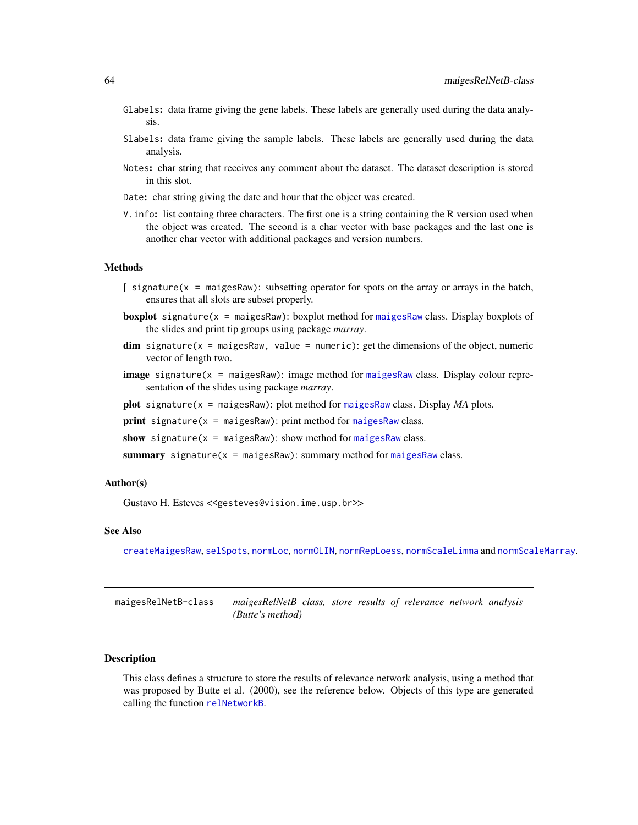- Glabels: data frame giving the gene labels. These labels are generally used during the data analysis.
- Slabels: data frame giving the sample labels. These labels are generally used during the data analysis.
- Notes: char string that receives any comment about the dataset. The dataset description is stored in this slot.
- Date: char string giving the date and hour that the object was created.
- V.info: list containg three characters. The first one is a string containing the R version used when the object was created. The second is a char vector with base packages and the last one is another char vector with additional packages and version numbers.

#### Methods

- $[$  signature( $x =$  maigesRaw): subsetting operator for spots on the array or arrays in the batch, ensures that all slots are subset properly.
- **boxplot** signature( $x =$  [maigesRaw](#page-62-0)): boxplot method for maigesRaw class. Display boxplots of the slides and print tip groups using package *marray*.
- $\dim$  signature(x = maigesRaw, value = numeric): get the dimensions of the object, numeric vector of length two.
- **image** signature( $x = maigesRaw$  $x = maigesRaw$ ): image method for maigesRaw class. Display colour representation of the slides using package *marray*.
- plot signature( $x =$  [maigesRaw](#page-62-0)): plot method for maigesRaw class. Display  $MA$  plots.
- print signature( $x = maigesRaw$  $x = maigesRaw$ ): print method for maigesRaw class.
- show signature( $x = maigesRaw)$  $x = maigesRaw)$  $x = maigesRaw)$ : show method for maigesRaw class.
- summary signature( $x = maigesRaw$  $x = maigesRaw$ ): summary method for maigesRaw class.

#### Author(s)

Gustavo H. Esteves <<gesteves@vision.ime.usp.br>>

### See Also

[createMaigesRaw](#page-30-0), [selSpots](#page-84-0), [normLoc](#page-67-0), [normOLIN](#page-68-0), [normRepLoess](#page-69-0), [normScaleLimma](#page-70-0) and [normScaleMarray](#page-71-0).

maigesRelNetB-class *maigesRelNetB class, store results of relevance network analysis (Butte's method)*

### <span id="page-63-0"></span>Description

This class defines a structure to store the results of relevance network analysis, using a method that was proposed by Butte et al. (2000), see the reference below. Objects of this type are generated calling the function [relNetworkB](#page-80-0).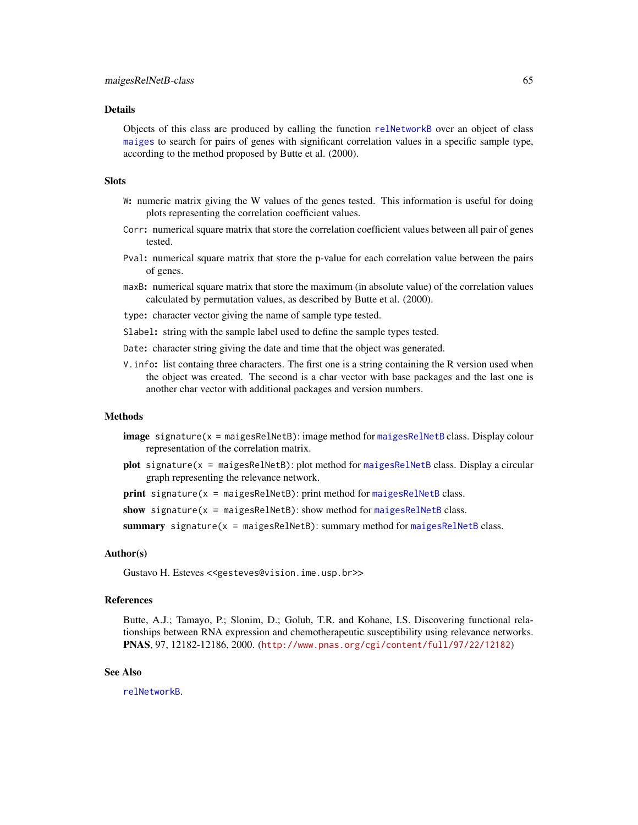### Details

Objects of this class are produced by calling the function [relNetworkB](#page-80-0) over an object of class [maiges](#page-52-0) to search for pairs of genes with significant correlation values in a specific sample type, according to the method proposed by Butte et al. (2000).

#### **Slots**

- W: numeric matrix giving the W values of the genes tested. This information is useful for doing plots representing the correlation coefficient values.
- Corr: numerical square matrix that store the correlation coefficient values between all pair of genes tested.
- Pval: numerical square matrix that store the p-value for each correlation value between the pairs of genes.
- maxB: numerical square matrix that store the maximum (in absolute value) of the correlation values calculated by permutation values, as described by Butte et al. (2000).
- type: character vector giving the name of sample type tested.
- Slabel: string with the sample label used to define the sample types tested.
- Date: character string giving the date and time that the object was generated.
- V.info: list containg three characters. The first one is a string containing the R version used when the object was created. The second is a char vector with base packages and the last one is another char vector with additional packages and version numbers.

### Methods

- image signature(x = maigesRelNetB): image method for [maigesRelNetB](#page-63-0) class. Display colour representation of the correlation matrix.
- plot signature(x = maigesRelNetB): plot method for [maigesRelNetB](#page-63-0) class. Display a circular graph representing the relevance network.

 $print$  signature( $x = maigesRelNetB$  $x = maigesRelNetB$ ): print method for maigesRelNetB class.

show signature( $x = maigesRelNetB$  $x = maigesRelNetB$ ): show method for maigesRelNetB class.

summary signature(x = [maigesRelNetB](#page-63-0)): summary method for maigesRelNetB class.

## Author(s)

Gustavo H. Esteves <<gesteves@vision.ime.usp.br>>

## References

Butte, A.J.; Tamayo, P.; Slonim, D.; Golub, T.R. and Kohane, I.S. Discovering functional relationships between RNA expression and chemotherapeutic susceptibility using relevance networks. PNAS, 97, 12182-12186, 2000. (<http://www.pnas.org/cgi/content/full/97/22/12182>)

#### See Also

[relNetworkB](#page-80-0).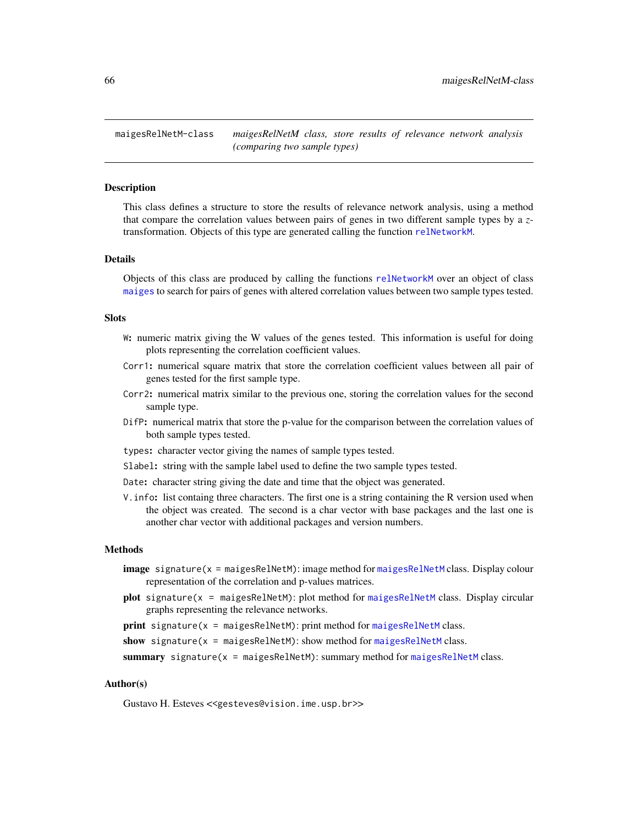maigesRelNetM-class *maigesRelNetM class, store results of relevance network analysis (comparing two sample types)*

### <span id="page-65-0"></span>**Description**

This class defines a structure to store the results of relevance network analysis, using a method that compare the correlation values between pairs of genes in two different sample types by a *z*transformation. Objects of this type are generated calling the function [relNetworkM](#page-82-0).

### Details

Objects of this class are produced by calling the functions [relNetworkM](#page-82-0) over an object of class [maiges](#page-52-0) to search for pairs of genes with altered correlation values between two sample types tested.

#### **Slots**

- W: numeric matrix giving the W values of the genes tested. This information is useful for doing plots representing the correlation coefficient values.
- Corr1: numerical square matrix that store the correlation coefficient values between all pair of genes tested for the first sample type.
- Corr2: numerical matrix similar to the previous one, storing the correlation values for the second sample type.
- DifP: numerical matrix that store the p-value for the comparison between the correlation values of both sample types tested.
- types: character vector giving the names of sample types tested.
- Slabel: string with the sample label used to define the two sample types tested.
- Date: character string giving the date and time that the object was generated.
- V.info: list containg three characters. The first one is a string containing the R version used when the object was created. The second is a char vector with base packages and the last one is another char vector with additional packages and version numbers.

### Methods

- image signature(x = maigesRelNetM): image method for [maigesRelNetM](#page-65-0) class. Display colour representation of the correlation and p-values matrices.
- plot signature(x = maigesRelNetM): plot method for [maigesRelNetM](#page-65-0) class. Display circular graphs representing the relevance networks.

print signature( $x = maigesRelNetM)$  $x = maigesRelNetM)$  $x = maigesRelNetM)$ : print method for maigesRelNetM class.

show signature( $x = maigesRelNetM)$  $x = maigesRelNetM)$  $x = maigesRelNetM)$ : show method for maigesRelNetM class.

**summary** signature( $x =$  [maigesRelNetM](#page-65-0)): summary method for maigesRelNetM class.

#### Author(s)

Gustavo H. Esteves <<gesteves@vision.ime.usp.br>>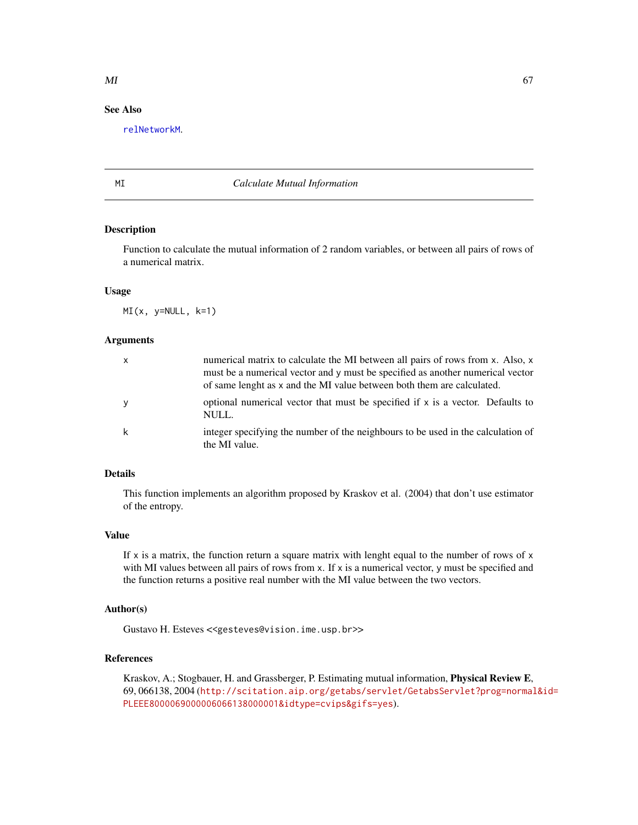## See Also

[relNetworkM](#page-82-0).

### MI *Calculate Mutual Information*

## Description

Function to calculate the mutual information of 2 random variables, or between all pairs of rows of a numerical matrix.

## Usage

 $MI(x, y=NULL, k=1)$ 

### Arguments

| $\mathsf{x}$ | numerical matrix to calculate the MI between all pairs of rows from x. Also, x<br>must be a numerical vector and y must be specified as another numerical vector<br>of same lenght as x and the MI value between both them are calculated. |
|--------------|--------------------------------------------------------------------------------------------------------------------------------------------------------------------------------------------------------------------------------------------|
| У            | optional numerical vector that must be specified if x is a vector. Defaults to<br>NULL.                                                                                                                                                    |
| k            | integer specifying the number of the neighbours to be used in the calculation of<br>the MI value.                                                                                                                                          |

### Details

This function implements an algorithm proposed by Kraskov et al. (2004) that don't use estimator of the entropy.

## Value

If  $x$  is a matrix, the function return a square matrix with lenght equal to the number of rows of  $x$ with MI values between all pairs of rows from  $x$ . If  $x$  is a numerical vector,  $y$  must be specified and the function returns a positive real number with the MI value between the two vectors.

### Author(s)

Gustavo H. Esteves <<gesteves@vision.ime.usp.br>>

## References

Kraskov, A.; Stogbauer, H. and Grassberger, P. Estimating mutual information, Physical Review E, 69, 066138, 2004 ([http://scitation.aip.org/getabs/servlet/GetabsServlet?prog=normal](http://scitation.aip.org/getabs/servlet/GetabsServlet?prog=normal&id=PLEEE8000069000006066138000001&idtype=cvips&gifs=yes)&id= [PLEEE8000069000006066138000001&idtype=cvips&gifs=yes](http://scitation.aip.org/getabs/servlet/GetabsServlet?prog=normal&id=PLEEE8000069000006066138000001&idtype=cvips&gifs=yes)).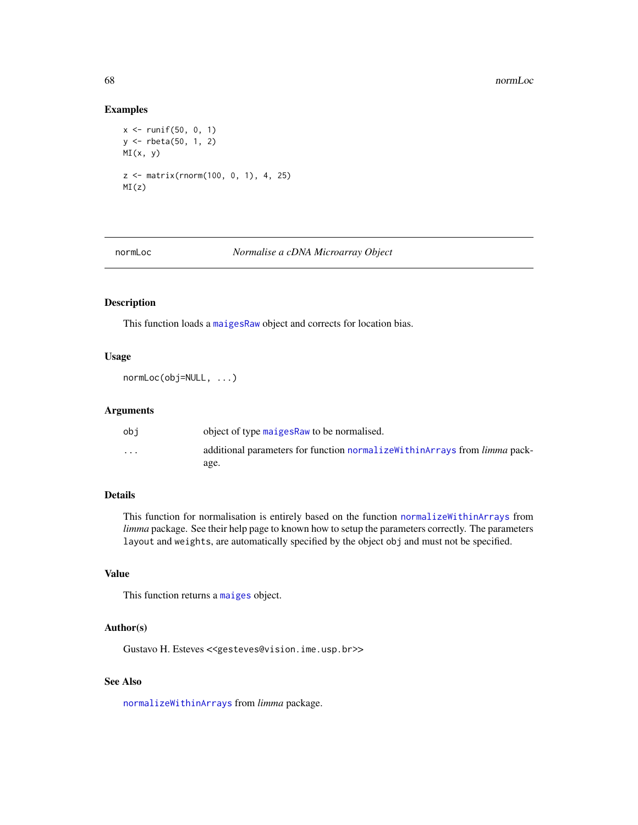## Examples

```
x \le runif(50, 0, 1)
y <- rbeta(50, 1, 2)
MI(x, y)
z <- matrix(rnorm(100, 0, 1), 4, 25)
MI(z)
```
## <span id="page-67-0"></span>normLoc *Normalise a cDNA Microarray Object*

## Description

This function loads a [maigesRaw](#page-62-0) object and corrects for location bias.

## Usage

normLoc(obj=NULL, ...)

#### Arguments

| obi                  | object of type maiges Raw to be normalised.                                        |
|----------------------|------------------------------------------------------------------------------------|
| $\ddot{\phantom{0}}$ | additional parameters for function normalize within Arrays from <i>limma</i> pack- |
|                      | age.                                                                               |

## Details

This function for normalisation is entirely based on the function [normalizeWithinArrays](#page-0-0) from *limma* package. See their help page to known how to setup the parameters correctly. The parameters layout and weights, are automatically specified by the object obj and must not be specified.

## Value

This function returns a [maiges](#page-52-0) object.

## Author(s)

Gustavo H. Esteves <<gesteves@vision.ime.usp.br>>

## See Also

[normalizeWithinArrays](#page-0-0) from *limma* package.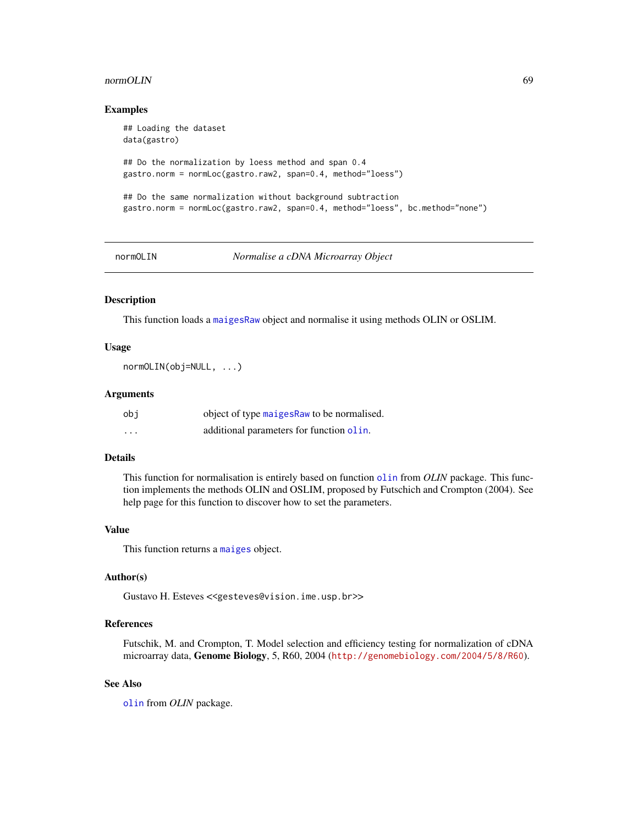#### normOLIN 69

### Examples

```
## Loading the dataset
data(gastro)
## Do the normalization by loess method and span 0.4
gastro.norm = normLoc(gastro.raw2, span=0.4, method="loess")
## Do the same normalization without background subtraction
gastro.norm = normLoc(gastro.raw2, span=0.4, method="loess", bc.method="none")
```
<span id="page-68-0"></span>

normOLIN *Normalise a cDNA Microarray Object*

### Description

This function loads a [maigesRaw](#page-62-0) object and normalise it using methods OLIN or OSLIM.

#### Usage

normOLIN(obj=NULL, ...)

## Arguments

| obi      | object of type maiges Raw to be normalised. |
|----------|---------------------------------------------|
| $\cdots$ | additional parameters for function olin.    |

## Details

This function for normalisation is entirely based on function [olin](#page-0-0) from *OLIN* package. This function implements the methods OLIN and OSLIM, proposed by Futschich and Crompton (2004). See help page for this function to discover how to set the parameters.

#### Value

This function returns a [maiges](#page-52-0) object.

### Author(s)

Gustavo H. Esteves <<gesteves@vision.ime.usp.br>>

## References

Futschik, M. and Crompton, T. Model selection and efficiency testing for normalization of cDNA microarray data, Genome Biology, 5, R60, 2004 (<http://genomebiology.com/2004/5/8/R60>).

## See Also

[olin](#page-0-0) from *OLIN* package.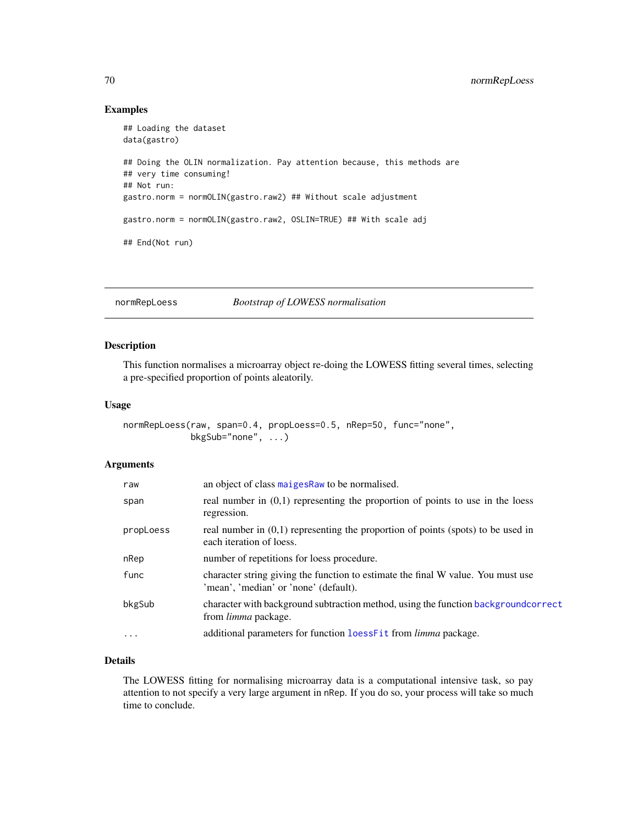## Examples

```
## Loading the dataset
data(gastro)
## Doing the OLIN normalization. Pay attention because, this methods are
## very time consuming!
## Not run:
gastro.norm = normOLIN(gastro.raw2) ## Without scale adjustment
gastro.norm = normOLIN(gastro.raw2, OSLIN=TRUE) ## With scale adj
## End(Not run)
```
<span id="page-69-0"></span>normRepLoess *Bootstrap of LOWESS normalisation*

### Description

This function normalises a microarray object re-doing the LOWESS fitting several times, selecting a pre-specified proportion of points aleatorily.

### Usage

```
normRepLoess(raw, span=0.4, propLoess=0.5, nRep=50, func="none",
            bkgSub="none", ...)
```
## Arguments

| raw       | an object of class maiges Raw to be normalised.                                                                           |
|-----------|---------------------------------------------------------------------------------------------------------------------------|
| span      | real number in $(0,1)$ representing the proportion of points to use in the loess<br>regression.                           |
| propLoess | real number in $(0,1)$ representing the proportion of points (spots) to be used in<br>each iteration of loess.            |
| nRep      | number of repetitions for loess procedure.                                                                                |
| func      | character string giving the function to estimate the final W value. You must use<br>'mean', 'median' or 'none' (default). |
| bkgSub    | character with background subtraction method, using the function backgroundcorrect<br>from <i>limma</i> package.          |
| $\cdots$  | additional parameters for function loessFit from limma package.                                                           |
|           |                                                                                                                           |

## Details

The LOWESS fitting for normalising microarray data is a computational intensive task, so pay attention to not specify a very large argument in nRep. If you do so, your process will take so much time to conclude.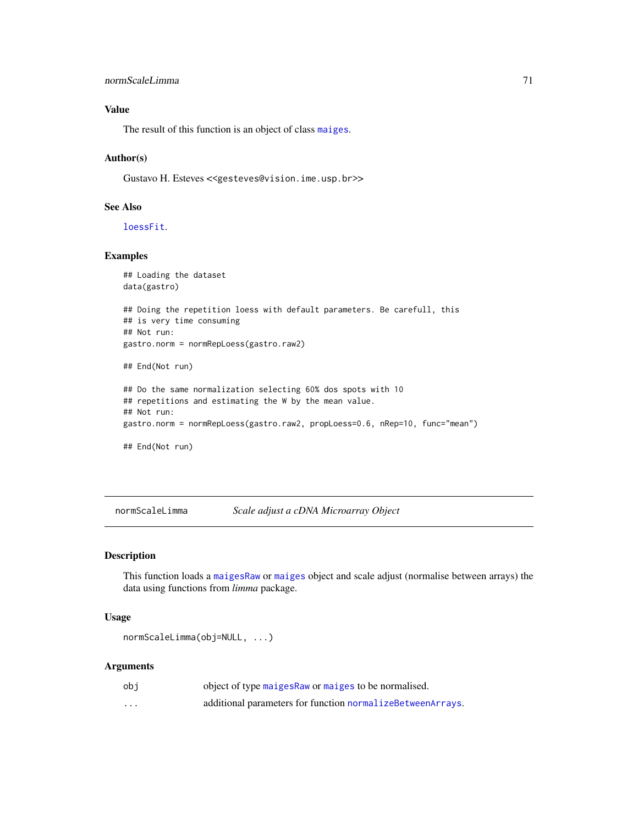```
normScaleLimma 71
```
# Value

The result of this function is an object of class [maiges](#page-52-0).

## Author(s)

Gustavo H. Esteves <<gesteves@vision.ime.usp.br>>

## See Also

[loessFit](#page-0-0).

## Examples

```
## Loading the dataset
data(gastro)
## Doing the repetition loess with default parameters. Be carefull, this
## is very time consuming
## Not run:
gastro.norm = normRepLoess(gastro.raw2)
## End(Not run)
## Do the same normalization selecting 60% dos spots with 10
## repetitions and estimating the W by the mean value.
## Not run:
gastro.norm = normRepLoess(gastro.raw2, propLoess=0.6, nRep=10, func="mean")
## End(Not run)
```
<span id="page-70-0"></span>normScaleLimma *Scale adjust a cDNA Microarray Object*

## Description

This function loads a [maigesRaw](#page-62-0) or [maiges](#page-52-0) object and scale adjust (normalise between arrays) the data using functions from *limma* package.

### Usage

```
normScaleLimma(obj=NULL, ...)
```
## Arguments

| obi                  | object of type maiges Raw or maiges to be normalised.      |
|----------------------|------------------------------------------------------------|
| $\ddot{\phantom{0}}$ | additional parameters for function normalizeBetweenArrays. |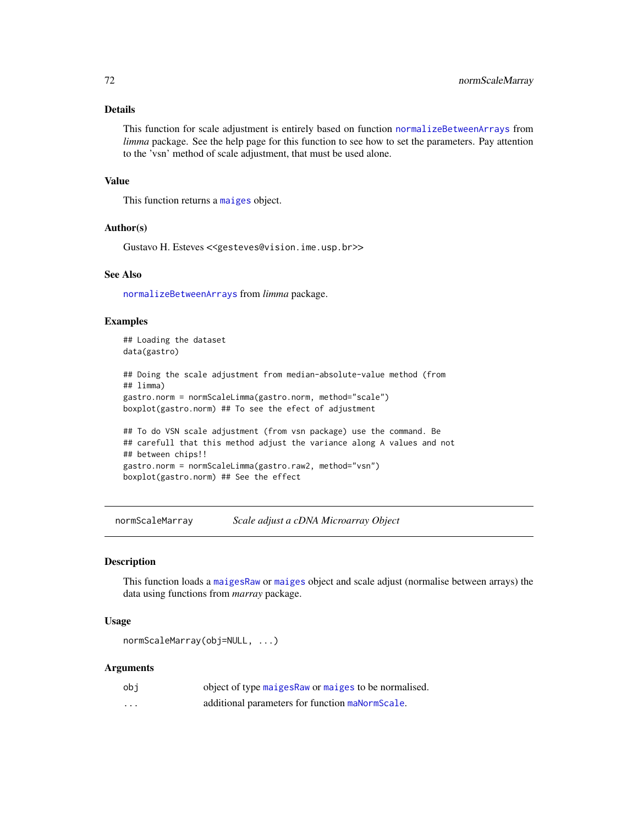## Details

This function for scale adjustment is entirely based on function [normalizeBetweenArrays](#page-0-0) from *limma* package. See the help page for this function to see how to set the parameters. Pay attention to the 'vsn' method of scale adjustment, that must be used alone.

### Value

This function returns a [maiges](#page-52-0) object.

### Author(s)

Gustavo H. Esteves <<gesteves@vision.ime.usp.br>>

## See Also

[normalizeBetweenArrays](#page-0-0) from *limma* package.

## Examples

```
## Loading the dataset
data(gastro)
## Doing the scale adjustment from median-absolute-value method (from
## limma)
gastro.norm = normScaleLimma(gastro.norm, method="scale")
boxplot(gastro.norm) ## To see the efect of adjustment
## To do VSN scale adjustment (from vsn package) use the command. Be
## carefull that this method adjust the variance along A values and not
## between chips!!
```

```
gastro.norm = normScaleLimma(gastro.raw2, method="vsn")
boxplot(gastro.norm) ## See the effect
```
<span id="page-71-0"></span>normScaleMarray *Scale adjust a cDNA Microarray Object*

# Description

This function loads a [maigesRaw](#page-62-0) or [maiges](#page-52-0) object and scale adjust (normalise between arrays) the data using functions from *marray* package.

## Usage

```
normScaleMarray(obj=NULL, ...)
```
### Arguments

| obi      | object of type maiges Raw or maiges to be normalised. |
|----------|-------------------------------------------------------|
| $\cdots$ | additional parameters for function manorm Scale.      |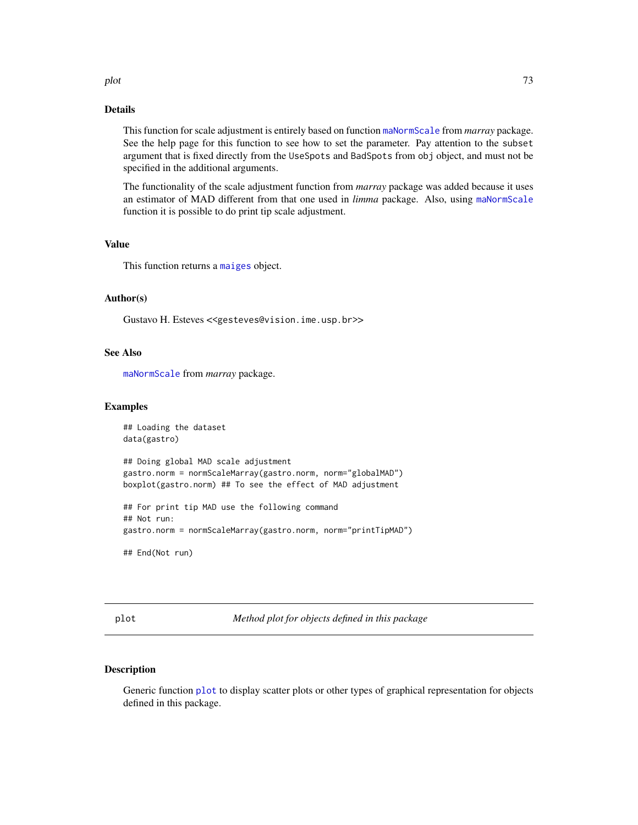#### <span id="page-72-2"></span>plot the contract of the contract of the contract of the contract of the contract of the contract of the contract of the contract of the contract of the contract of the contract of the contract of the contract of the contr

# Details

This function for scale adjustment is entirely based on function [maNormScale](#page-0-0) from *marray* package. See the help page for this function to see how to set the parameter. Pay attention to the subset argument that is fixed directly from the UseSpots and BadSpots from obj object, and must not be specified in the additional arguments.

The functionality of the scale adjustment function from *marray* package was added because it uses an estimator of MAD different from that one used in *limma* package. Also, using [maNormScale](#page-0-0) function it is possible to do print tip scale adjustment.

#### Value

This function returns a [maiges](#page-52-0) object.

# Author(s)

Gustavo H. Esteves <<gesteves@vision.ime.usp.br>>

#### See Also

[maNormScale](#page-0-0) from *marray* package.

#### Examples

```
## Loading the dataset
data(gastro)
## Doing global MAD scale adjustment
gastro.norm = normScaleMarray(gastro.norm, norm="globalMAD")
boxplot(gastro.norm) ## To see the effect of MAD adjustment
## For print tip MAD use the following command
## Not run:
gastro.norm = normScaleMarray(gastro.norm, norm="printTipMAD")
## End(Not run)
```
<span id="page-72-0"></span>plot *Method plot for objects defined in this package*

# <span id="page-72-1"></span>Description

Generic function [plot](#page-72-0) to display scatter plots or other types of graphical representation for objects defined in this package.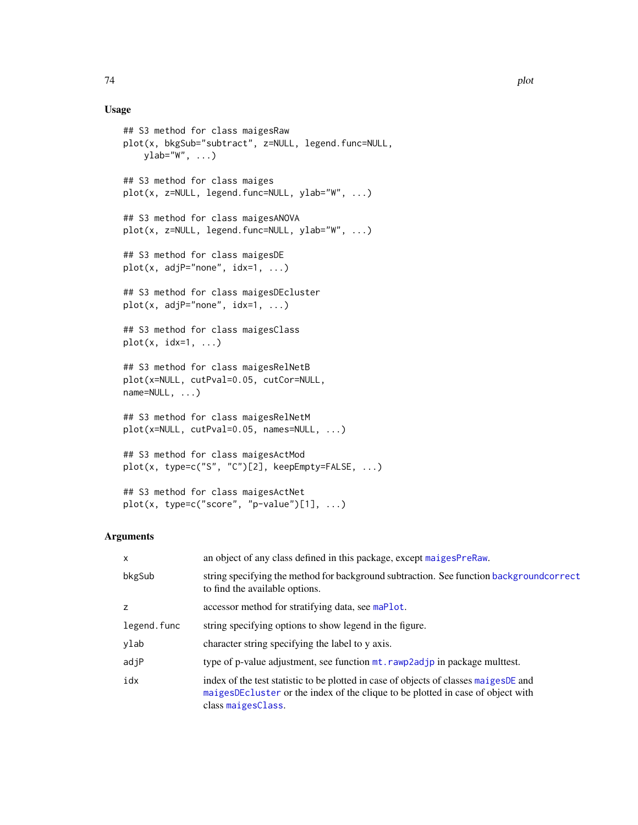# Usage

```
## S3 method for class maigesRaw
plot(x, bkgSub="subtract", z=NULL, legend.func=NULL,
   ylab="W", ...)
## S3 method for class maiges
plot(x, z=NULL, legend.func=NULL, ylab="W", ...)
## S3 method for class maigesANOVA
plot(x, z=NULL, legend.func=NULL, ylab="W", ...)## S3 method for class maigesDE
plot(x, adjP="none", idx=1, ...)## S3 method for class maigesDEcluster
plot(x, adjP="none", idx=1, ...)## S3 method for class maigesClass
plot(x, idx=1, ...)## S3 method for class maigesRelNetB
plot(x=NULL, cutPval=0.05, cutCor=NULL,
name=NULL, ...)
## S3 method for class maigesRelNetM
plot(x=NULL, cutPval=0.05, names=NULL, ...)
## S3 method for class maigesActMod
plot(x, type=c("S", "C")[2], keepEmpty=FALSE, ...)
```

```
## S3 method for class maigesActNet
plot(x, type=c("score", "p-value")[1], ...)
```
# Arguments

| $\mathsf{x}$ | an object of any class defined in this package, except maigesPreRaw.                                                                                                                           |
|--------------|------------------------------------------------------------------------------------------------------------------------------------------------------------------------------------------------|
| bkgSub       | string specifying the method for background subtraction. See function backgroundcorrect<br>to find the available options.                                                                      |
| z            | accessor method for stratifying data, see maPlot.                                                                                                                                              |
| legend.func  | string specifying options to show legend in the figure.                                                                                                                                        |
| ylab         | character string specifying the label to y axis.                                                                                                                                               |
| adjP         | type of p-value adjustment, see function mt. rawp2adjp in package multtest.                                                                                                                    |
| idx          | index of the test statistic to be plotted in case of objects of classes maiges DE and<br>maigesDEcluster or the index of the clique to be plotted in case of object with<br>class maigesClass. |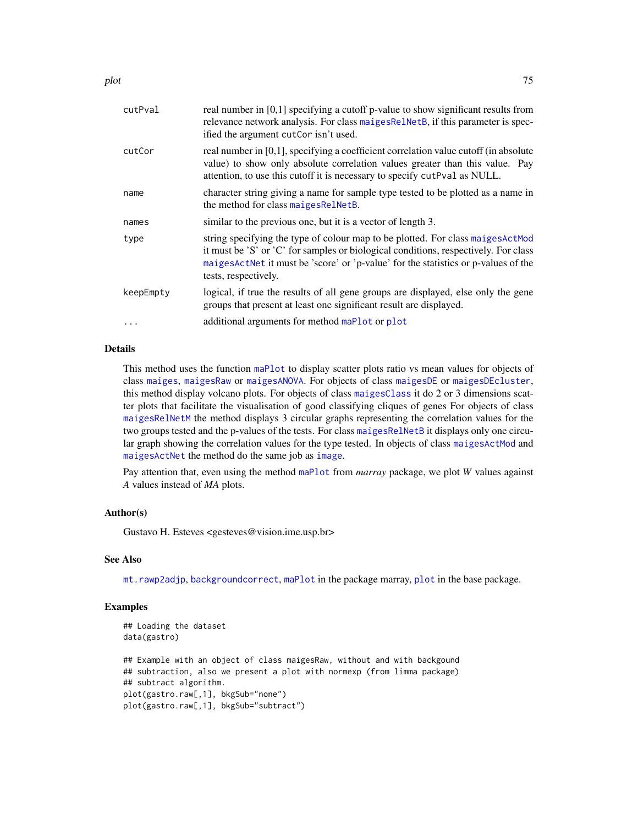| cutPval   | real number in $[0,1]$ specifying a cutoff p-value to show significant results from<br>relevance network analysis. For class maigesRelNetB, if this parameter is spec-<br>ified the argument cutCor isn't used.                                                                      |
|-----------|--------------------------------------------------------------------------------------------------------------------------------------------------------------------------------------------------------------------------------------------------------------------------------------|
| cutCor    | real number in [0,1], specifying a coefficient correlation value cutoff (in absolute<br>value) to show only absolute correlation values greater than this value. Pay<br>attention, to use this cutoff it is necessary to specify cutPval as NULL.                                    |
| name      | character string giving a name for sample type tested to be plotted as a name in<br>the method for class maigesRelNetB.                                                                                                                                                              |
| names     | similar to the previous one, but it is a vector of length 3.                                                                                                                                                                                                                         |
| type      | string specifying the type of colour map to be plotted. For class maiges ActMod<br>it must be 'S' or 'C' for samples or biological conditions, respectively. For class<br>maigesActNet it must be 'score' or 'p-value' for the statistics or p-values of the<br>tests, respectively. |
| keepEmpty | logical, if true the results of all gene groups are displayed, else only the gene<br>groups that present at least one significant result are displayed.                                                                                                                              |
|           | additional arguments for method maPlot or plot                                                                                                                                                                                                                                       |
|           |                                                                                                                                                                                                                                                                                      |

# Details

This method uses the function [maPlot](#page-0-0) to display scatter plots ratio vs mean values for objects of class [maiges](#page-52-0), [maigesRaw](#page-62-0) or [maigesANOVA](#page-56-0). For objects of class [maigesDE](#page-58-0) or [maigesDEcluster](#page-59-0), this method display volcano plots. For objects of class [maigesClass](#page-57-0) it do 2 or 3 dimensions scatter plots that facilitate the visualisation of good classifying cliques of genes For objects of class [maigesRelNetM](#page-65-0) the method displays 3 circular graphs representing the correlation values for the two groups tested and the p-values of the tests. For class [maigesRelNetB](#page-63-0) it displays only one circular graph showing the correlation values for the type tested. In objects of class [maigesActMod](#page-54-0) and [maigesActNet](#page-55-0) the method do the same job as [image](#page-45-0).

Pay attention that, even using the method [maPlot](#page-0-0) from *marray* package, we plot *W* values against *A* values instead of *MA* plots.

#### Author(s)

Gustavo H. Esteves <gesteves@vision.ime.usp.br>

#### See Also

[mt.rawp2adjp](#page-0-0), [backgroundcorrect](#page-0-0), [maPlot](#page-0-0) in the package marray, [plot](#page-72-0) in the base package.

#### Examples

```
## Loading the dataset
data(gastro)
## Example with an object of class maigesRaw, without and with backgound
## subtraction, also we present a plot with normexp (from limma package)
## subtract algorithm.
plot(gastro.raw[,1], bkgSub="none")
plot(gastro.raw[,1], bkgSub="subtract")
```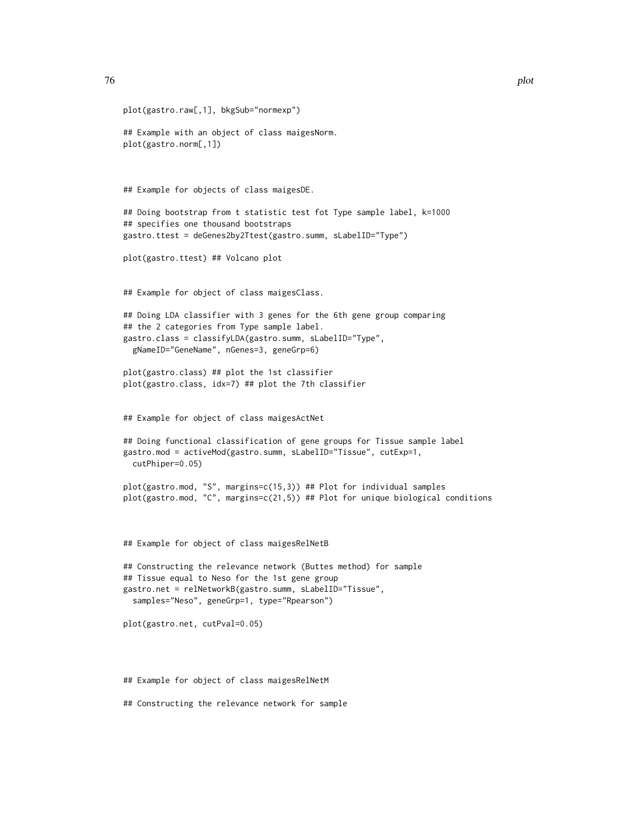```
plot(gastro.raw[,1], bkgSub="normexp")
## Example with an object of class maigesNorm.
plot(gastro.norm[,1])
## Example for objects of class maigesDE.
## Doing bootstrap from t statistic test fot Type sample label, k=1000
## specifies one thousand bootstraps
gastro.ttest = deGenes2by2Ttest(gastro.summ, sLabelID="Type")
plot(gastro.ttest) ## Volcano plot
## Example for object of class maigesClass.
## Doing LDA classifier with 3 genes for the 6th gene group comparing
## the 2 categories from Type sample label.
gastro.class = classifyLDA(gastro.summ, sLabelID="Type",
 gNameID="GeneName", nGenes=3, geneGrp=6)
plot(gastro.class) ## plot the 1st classifier
plot(gastro.class, idx=7) ## plot the 7th classifier
## Example for object of class maigesActNet
## Doing functional classification of gene groups for Tissue sample label
gastro.mod = activeMod(gastro.summ, sLabelID="Tissue", cutExp=1,
 cutPhiper=0.05)
plot(gastro.mod, "S", margins=c(15,3)) ## Plot for individual samples
plot(gastro.mod, "C", margins=c(21,5)) ## Plot for unique biological conditions
## Example for object of class maigesRelNetB
## Constructing the relevance network (Buttes method) for sample
## Tissue equal to Neso for the 1st gene group
gastro.net = relNetworkB(gastro.summ, sLabelID="Tissue",
 samples="Neso", geneGrp=1, type="Rpearson")
plot(gastro.net, cutPval=0.05)
```
## Example for object of class maigesRelNetM

## Constructing the relevance network for sample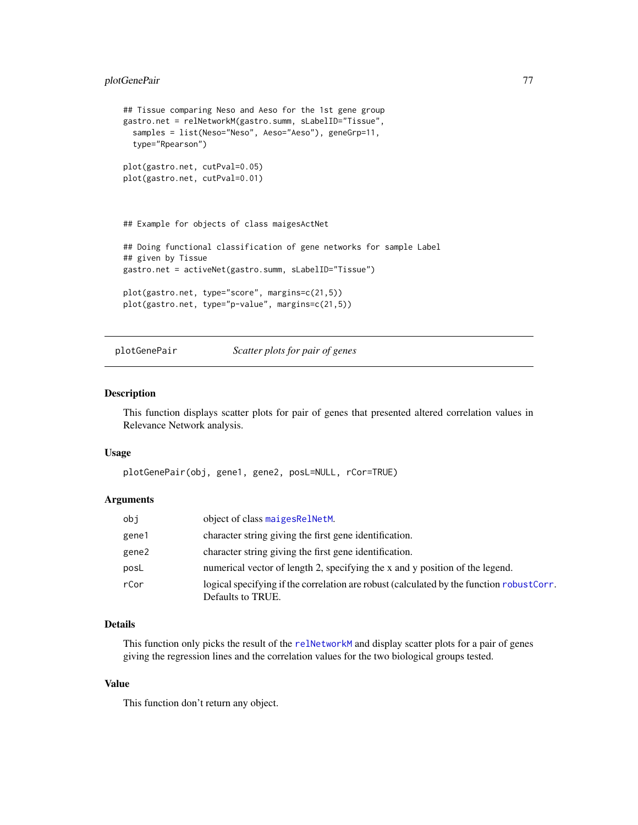# <span id="page-76-0"></span>plotGenePair 77

```
## Tissue comparing Neso and Aeso for the 1st gene group
gastro.net = relNetworkM(gastro.summ, sLabelID="Tissue",
  samples = list(Neso="Neso", Aeso="Aeso"), geneGrp=11,
  type="Rpearson")
plot(gastro.net, cutPval=0.05)
plot(gastro.net, cutPval=0.01)
## Example for objects of class maigesActNet
## Doing functional classification of gene networks for sample Label
## given by Tissue
gastro.net = activeNet(gastro.summ, sLabelID="Tissue")
plot(gastro.net, type="score", margins=c(21,5))
plot(gastro.net, type="p-value", margins=c(21,5))
```
plotGenePair *Scatter plots for pair of genes*

#### Description

This function displays scatter plots for pair of genes that presented altered correlation values in Relevance Network analysis.

#### Usage

```
plotGenePair(obj, gene1, gene2, posL=NULL, rCor=TRUE)
```
#### Arguments

| obj   | object of class maigesRelNetM.                                                                                 |
|-------|----------------------------------------------------------------------------------------------------------------|
| gene1 | character string giving the first gene identification.                                                         |
| gene2 | character string giving the first gene identification.                                                         |
| posL  | numerical vector of length 2, specifying the x and y position of the legend.                                   |
| rCor  | logical specifying if the correlation are robust (calculated by the function robust Corr.<br>Defaults to TRUE. |

# Details

This function only picks the result of the [relNetworkM](#page-82-0) and display scatter plots for a pair of genes giving the regression lines and the correlation values for the two biological groups tested.

# Value

This function don't return any object.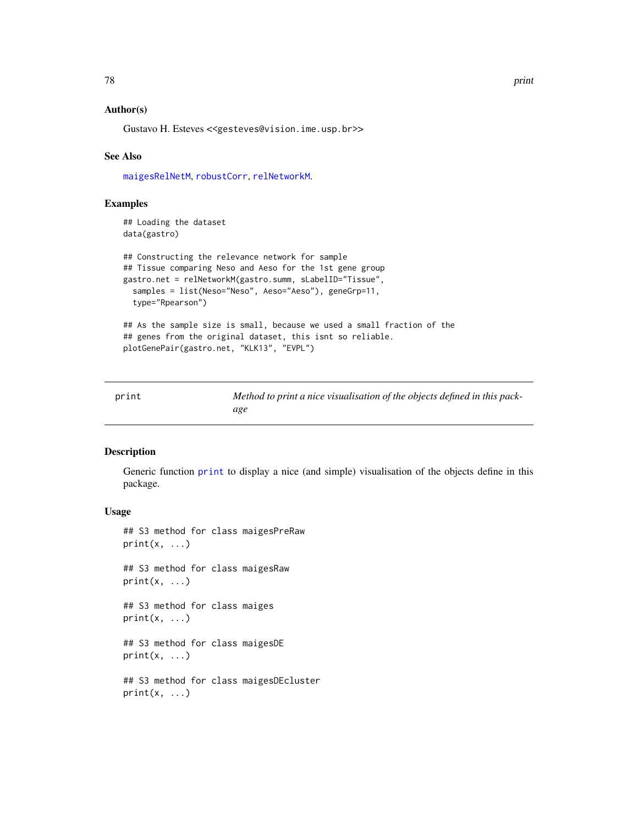# <span id="page-77-1"></span>Author(s)

Gustavo H. Esteves <<gesteves@vision.ime.usp.br>>

### See Also

[maigesRelNetM](#page-65-0), [robustCorr](#page-83-0), [relNetworkM](#page-82-0).

# Examples

```
## Loading the dataset
data(gastro)
```

```
## Constructing the relevance network for sample
## Tissue comparing Neso and Aeso for the 1st gene group
gastro.net = relNetworkM(gastro.summ, sLabelID="Tissue",
 samples = list(Neso="Neso", Aeso="Aeso"), geneGrp=11,
 type="Rpearson")
## As the sample size is small, because we used a small fraction of the
```

```
## genes from the original dataset, this isnt so reliable.
plotGenePair(gastro.net, "KLK13", "EVPL")
```
<span id="page-77-0"></span>

| print | Method to print a nice visualisation of the objects defined in this pack- |
|-------|---------------------------------------------------------------------------|
|       | age                                                                       |

# Description

Generic function [print](#page-77-0) to display a nice (and simple) visualisation of the objects define in this package.

#### Usage

```
## S3 method for class maigesPreRaw
print(x, \ldots)
```
## S3 method for class maigesRaw  $print(x, \ldots)$ 

## S3 method for class maiges  $print(x, \ldots)$ 

## S3 method for class maigesDE  $print(x, \ldots)$ 

## S3 method for class maigesDEcluster  $print(x, \ldots)$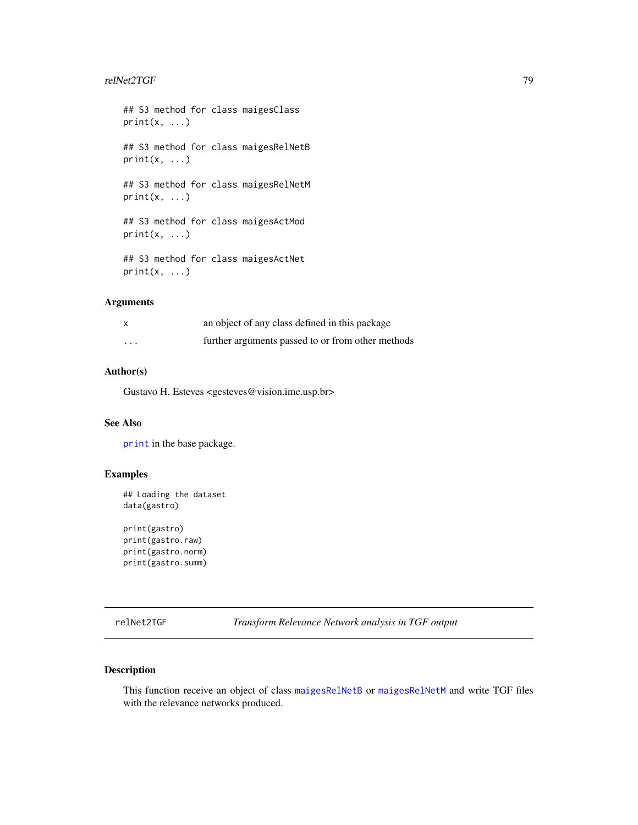#### <span id="page-78-0"></span>relNet2TGF 79

## S3 method for class maigesClass  $print(x, \ldots)$ ## S3 method for class maigesRelNetB  $print(x, \ldots)$ ## S3 method for class maigesRelNetM  $print(x, \ldots)$ ## S3 method for class maigesActMod  $print(x, \ldots)$ ## S3 method for class maigesActNet  $print(x, \ldots)$ 

# Arguments

| $\boldsymbol{\mathsf{x}}$ | an object of any class defined in this package    |
|---------------------------|---------------------------------------------------|
| $\cdots$                  | further arguments passed to or from other methods |

# Author(s)

Gustavo H. Esteves <gesteves@vision.ime.usp.br>

# See Also

[print](#page-77-0) in the base package.

# Examples

```
## Loading the dataset
data(gastro)
```

```
print(gastro)
print(gastro.raw)
print(gastro.norm)
print(gastro.summ)
```
relNet2TGF *Transform Relevance Network analysis in TGF output*

# Description

This function receive an object of class [maigesRelNetB](#page-63-0) or [maigesRelNetM](#page-65-0) and write TGF files with the relevance networks produced.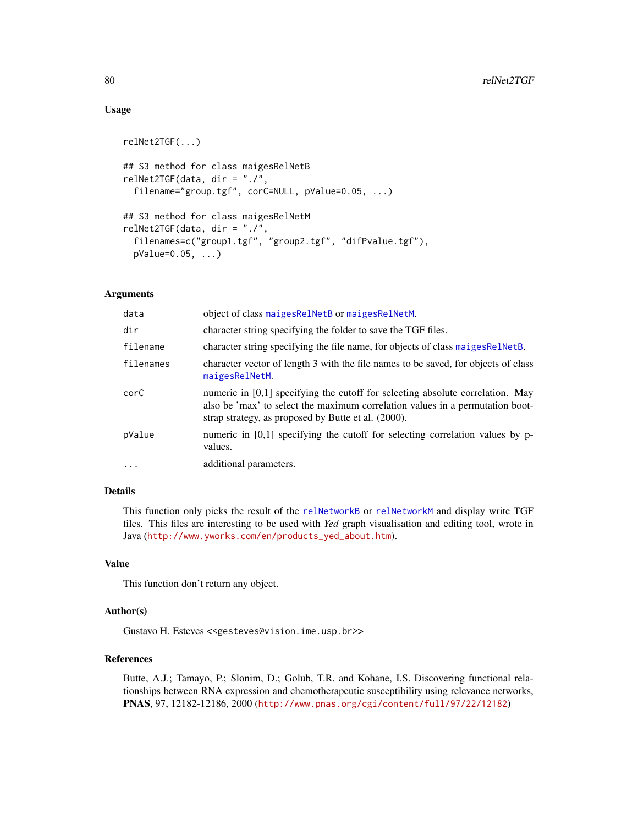# Usage

```
relNet2TGF(...)
## S3 method for class maigesRelNetB
relNet2TGF(data, dir = "./",
  filename="group.tgf", corC=NULL, pValue=0.05, ...)
## S3 method for class maigesRelNetM
relNet2TGF(data, dir = "./",
 filenames=c("group1.tgf", "group2.tgf", "difPvalue.tgf"),
 pValue=0.05, ...)
```
# Arguments

| data      | object of class maiges Rel Net B or maiges Rel Net M.                                                                                                                                                                    |
|-----------|--------------------------------------------------------------------------------------------------------------------------------------------------------------------------------------------------------------------------|
| dir       | character string specifying the folder to save the TGF files.                                                                                                                                                            |
| filename  | character string specifying the file name, for objects of class maiges Rel Net B.                                                                                                                                        |
| filenames | character vector of length 3 with the file names to be saved, for objects of class<br>maigesRelNetM.                                                                                                                     |
| corC      | numeric in $[0,1]$ specifying the cutoff for selecting absolute correlation. May<br>also be 'max' to select the maximum correlation values in a permutation boot-<br>strap strategy, as proposed by Butte et al. (2000). |
| pValue    | numeric in $[0,1]$ specifying the cutoff for selecting correlation values by p-<br>values.                                                                                                                               |
| $\ddots$  | additional parameters.                                                                                                                                                                                                   |
|           |                                                                                                                                                                                                                          |

# Details

This function only picks the result of the [relNetworkB](#page-80-0) or [relNetworkM](#page-82-0) and display write TGF files. This files are interesting to be used with *Yed* graph visualisation and editing tool, wrote in Java ([http://www.yworks.com/en/products\\_yed\\_about.htm](http://www.yworks.com/en/products_yed_about.htm)).

#### Value

This function don't return any object.

#### Author(s)

Gustavo H. Esteves <<gesteves@vision.ime.usp.br>>

# References

Butte, A.J.; Tamayo, P.; Slonim, D.; Golub, T.R. and Kohane, I.S. Discovering functional relationships between RNA expression and chemotherapeutic susceptibility using relevance networks, PNAS, 97, 12182-12186, 2000 (<http://www.pnas.org/cgi/content/full/97/22/12182>)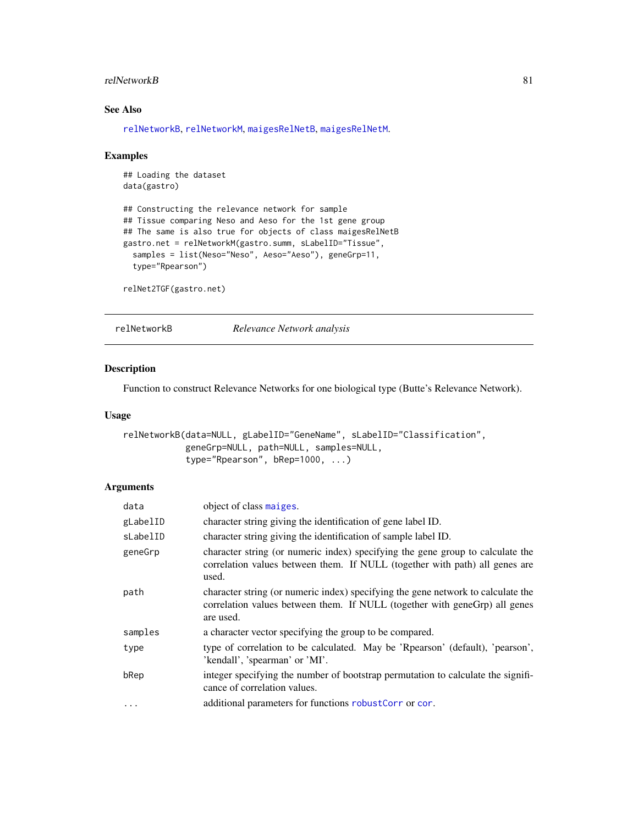#### <span id="page-80-1"></span>relNetworkB 81

# See Also

[relNetworkB](#page-80-0), [relNetworkM](#page-82-0), [maigesRelNetB](#page-63-0), [maigesRelNetM](#page-65-0).

#### Examples

```
## Loading the dataset
data(gastro)
## Constructing the relevance network for sample
## Tissue comparing Neso and Aeso for the 1st gene group
## The same is also true for objects of class maigesRelNetB
gastro.net = relNetworkM(gastro.summ, sLabelID="Tissue",
  samples = list(Neso="Neso", Aeso="Aeso"), geneGrp=11,
  type="Rpearson")
relNet2TGF(gastro.net)
```
<span id="page-80-0"></span>relNetworkB *Relevance Network analysis*

# Description

Function to construct Relevance Networks for one biological type (Butte's Relevance Network).

#### Usage

```
relNetworkB(data=NULL, gLabelID="GeneName", sLabelID="Classification",
            geneGrp=NULL, path=NULL, samples=NULL,
            type="Rpearson", bRep=1000, ...)
```
# Arguments

| data     | object of class maiges.                                                                                                                                                     |
|----------|-----------------------------------------------------------------------------------------------------------------------------------------------------------------------------|
| gLabelID | character string giving the identification of gene label ID.                                                                                                                |
| sLabelID | character string giving the identification of sample label ID.                                                                                                              |
| geneGrp  | character string (or numeric index) specifying the gene group to calculate the<br>correlation values between them. If NULL (together with path) all genes are<br>used.      |
| path     | character string (or numeric index) specifying the gene network to calculate the<br>correlation values between them. If NULL (together with geneGrp) all genes<br>are used. |
| samples  | a character vector specifying the group to be compared.                                                                                                                     |
| type     | type of correlation to be calculated. May be 'Rpearson' (default), 'pearson',<br>'kendall', 'spearman' or 'MI'.                                                             |
| bRep     | integer specifying the number of bootstrap permutation to calculate the signifi-<br>cance of correlation values.                                                            |
| $\cdots$ | additional parameters for functions robustCorr or cor.                                                                                                                      |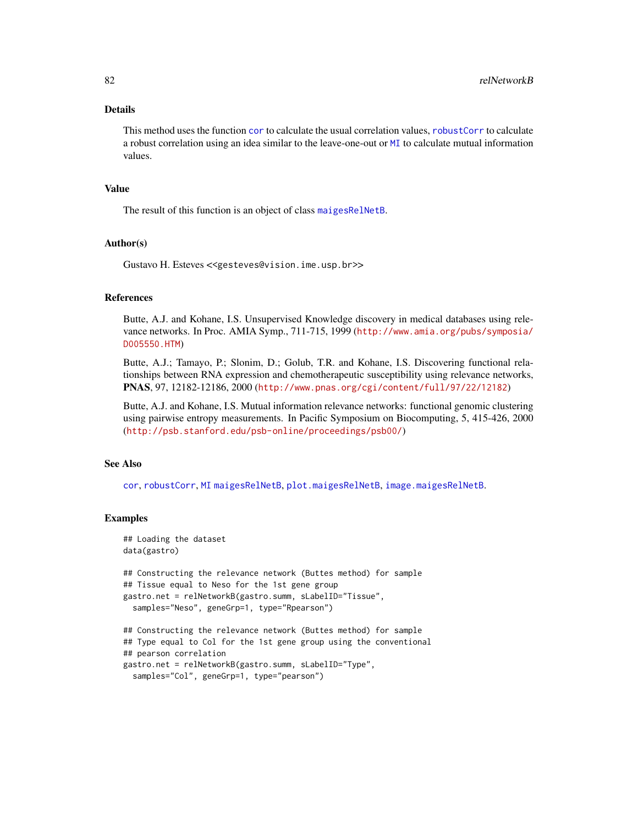# Details

This method uses the function [cor](#page-0-0) to calculate the usual correlation values, [robustCorr](#page-83-0) to calculate a robust correlation using an idea similar to the leave-one-out or [MI](#page-66-0) to calculate mutual information values.

# Value

The result of this function is an object of class [maigesRelNetB](#page-63-0).

#### Author(s)

Gustavo H. Esteves <<gesteves@vision.ime.usp.br>>

# References

Butte, A.J. and Kohane, I.S. Unsupervised Knowledge discovery in medical databases using relevance networks. In Proc. AMIA Symp., 711-715, 1999 ([http://www.amia.org/pubs/symposia/](http://www.amia.org/pubs/symposia/D005550.HTM) [D005550.HTM](http://www.amia.org/pubs/symposia/D005550.HTM))

Butte, A.J.; Tamayo, P.; Slonim, D.; Golub, T.R. and Kohane, I.S. Discovering functional relationships between RNA expression and chemotherapeutic susceptibility using relevance networks, PNAS, 97, 12182-12186, 2000 (<http://www.pnas.org/cgi/content/full/97/22/12182>)

Butte, A.J. and Kohane, I.S. Mutual information relevance networks: functional genomic clustering using pairwise entropy measurements. In Pacific Symposium on Biocomputing, 5, 415-426, 2000 (<http://psb.stanford.edu/psb-online/proceedings/psb00/>)

#### See Also

[cor](#page-0-0), [robustCorr](#page-83-0), [MI](#page-66-0) [maigesRelNetB](#page-63-0), [plot.maigesRelNetB](#page-72-1), [image.maigesRelNetB](#page-45-1).

#### Examples

```
## Loading the dataset
data(gastro)
## Constructing the relevance network (Buttes method) for sample
## Tissue equal to Neso for the 1st gene group
gastro.net = relNetworkB(gastro.summ, sLabelID="Tissue",
 samples="Neso", geneGrp=1, type="Rpearson")
## Constructing the relevance network (Buttes method) for sample
## Type equal to Col for the 1st gene group using the conventional
## pearson correlation
```

```
gastro.net = relNetworkB(gastro.summ, sLabelID="Type",
  samples="Col", geneGrp=1, type="pearson")
```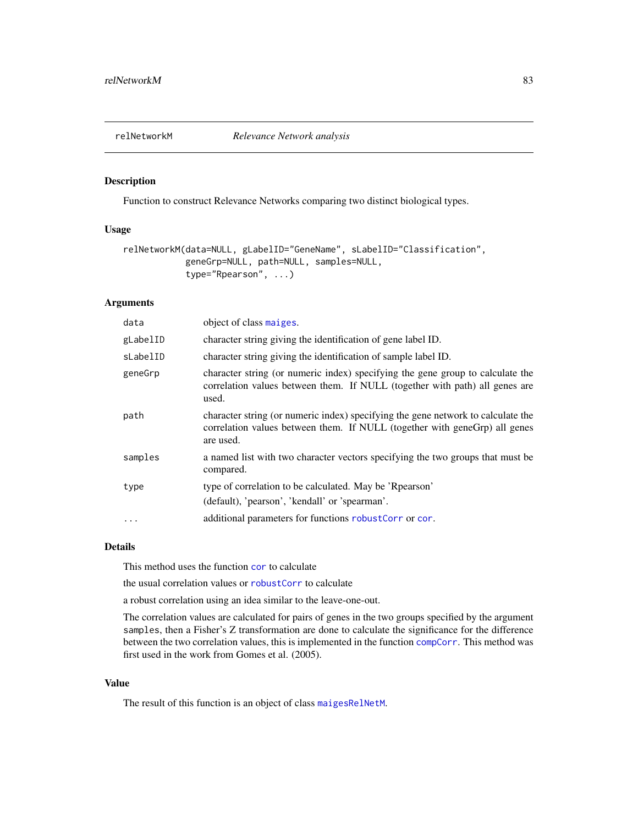<span id="page-82-1"></span><span id="page-82-0"></span>

### Description

Function to construct Relevance Networks comparing two distinct biological types.

# Usage

```
relNetworkM(data=NULL, gLabelID="GeneName", sLabelID="Classification",
            geneGrp=NULL, path=NULL, samples=NULL,
            type="Rpearson", ...)
```
# Arguments

| data      | object of class maiges.                                                                                                                                                     |
|-----------|-----------------------------------------------------------------------------------------------------------------------------------------------------------------------------|
| gLabelID  | character string giving the identification of gene label ID.                                                                                                                |
| sLabelID  | character string giving the identification of sample label ID.                                                                                                              |
| geneGrp   | character string (or numeric index) specifying the gene group to calculate the<br>correlation values between them. If NULL (together with path) all genes are<br>used.      |
| path      | character string (or numeric index) specifying the gene network to calculate the<br>correlation values between them. If NULL (together with geneGrp) all genes<br>are used. |
| samples   | a named list with two character vectors specifying the two groups that must be<br>compared.                                                                                 |
| type      | type of correlation to be calculated. May be 'Rpearson'<br>(default), 'pearson', 'kendall' or 'spearman'.                                                                   |
| $\ddotsc$ | additional parameters for functions robustCorr or cor.                                                                                                                      |

#### Details

This method uses the function [cor](#page-0-0) to calculate

the usual correlation values or [robustCorr](#page-83-0) to calculate

a robust correlation using an idea similar to the leave-one-out.

The correlation values are calculated for pairs of genes in the two groups specified by the argument samples, then a Fisher's Z transformation are done to calculate the significance for the difference between the two correlation values, this is implemented in the function [compCorr](#page-28-0). This method was first used in the work from Gomes et al. (2005).

# Value

The result of this function is an object of class [maigesRelNetM](#page-65-0).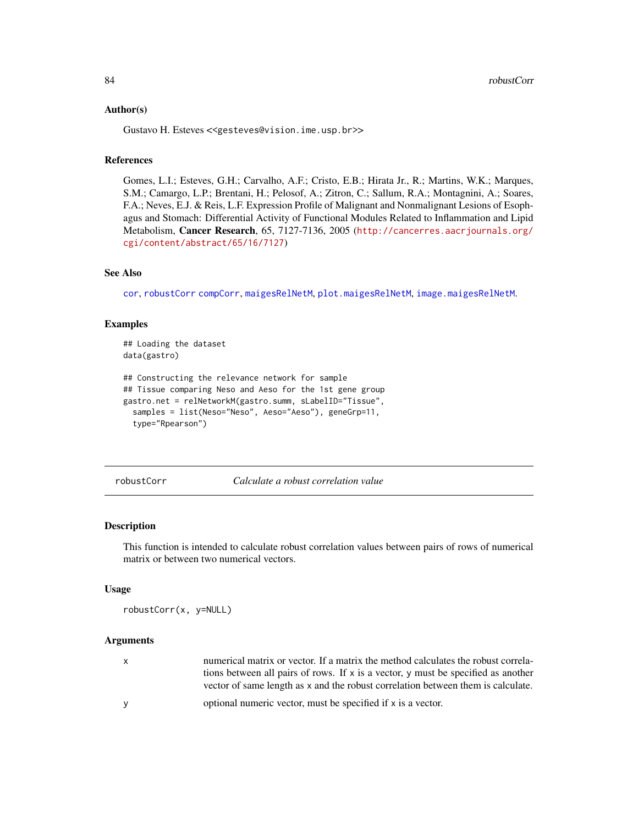#### <span id="page-83-1"></span>Author(s)

Gustavo H. Esteves <<gesteves@vision.ime.usp.br>>

# References

Gomes, L.I.; Esteves, G.H.; Carvalho, A.F.; Cristo, E.B.; Hirata Jr., R.; Martins, W.K.; Marques, S.M.; Camargo, L.P.; Brentani, H.; Pelosof, A.; Zitron, C.; Sallum, R.A.; Montagnini, A.; Soares, F.A.; Neves, E.J. & Reis, L.F. Expression Profile of Malignant and Nonmalignant Lesions of Esophagus and Stomach: Differential Activity of Functional Modules Related to Inflammation and Lipid Metabolism, Cancer Research, 65, 7127-7136, 2005 ([http://cancerres.aacrjournals.org/](http://cancerres.aacrjournals.org/cgi/content/abstract/65/16/7127) [cgi/content/abstract/65/16/7127](http://cancerres.aacrjournals.org/cgi/content/abstract/65/16/7127))

# See Also

[cor](#page-0-0), [robustCorr](#page-83-0) [compCorr](#page-28-0), [maigesRelNetM](#page-65-0), [plot.maigesRelNetM](#page-72-1), [image.maigesRelNetM](#page-45-1).

#### Examples

```
## Loading the dataset
data(gastro)
```

```
## Constructing the relevance network for sample
## Tissue comparing Neso and Aeso for the 1st gene group
gastro.net = relNetworkM(gastro.summ, sLabelID="Tissue",
 samples = list(Neso="Neso", Aeso="Aeso"), geneGrp=11,
 type="Rpearson")
```
<span id="page-83-0"></span>robustCorr *Calculate a robust correlation value*

### Description

This function is intended to calculate robust correlation values between pairs of rows of numerical matrix or between two numerical vectors.

#### Usage

```
robustCorr(x, y=NULL)
```
### Arguments

| $\mathbf{x}$ | numerical matrix or vector. If a matrix the method calculates the robust correla- |
|--------------|-----------------------------------------------------------------------------------|
|              | tions between all pairs of rows. If x is a vector, y must be specified as another |
|              | vector of same length as x and the robust correlation between them is calculate.  |
| <b>V</b>     | optional numeric vector, must be specified if x is a vector.                      |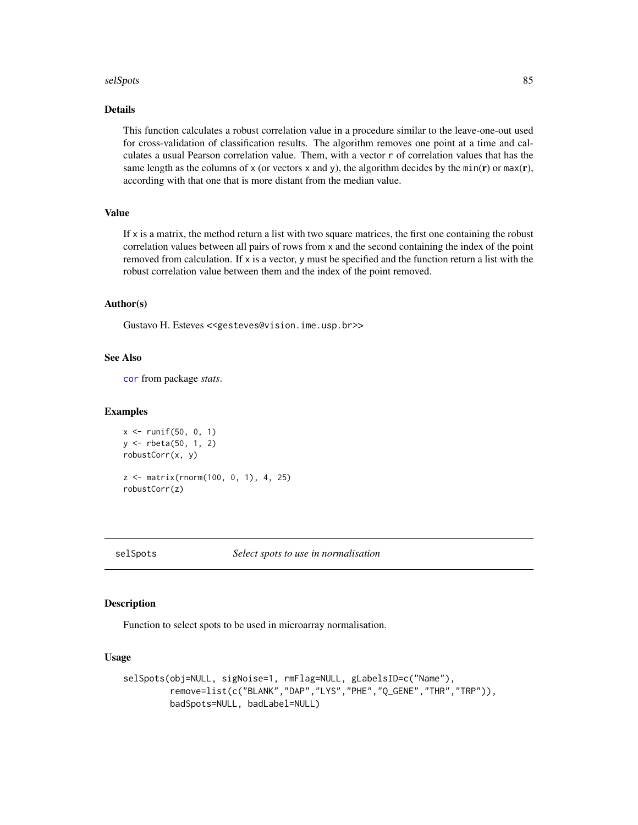#### <span id="page-84-0"></span>selSpots 85 and 36 and 36 and 36 and 36 and 36 and 36 and 36 and 36 and 36 and 36 and 36 and 36 and 36 and 36

# Details

This function calculates a robust correlation value in a procedure similar to the leave-one-out used for cross-validation of classification results. The algorithm removes one point at a time and calculates a usual Pearson correlation value. Them, with a vector r of correlation values that has the same length as the columns of x (or vectors x and y), the algorithm decides by the min( $\bf{r}$ ) or max( $\bf{r}$ ), according with that one that is more distant from the median value.

# Value

If  $x$  is a matrix, the method return a list with two square matrices, the first one containing the robust correlation values between all pairs of rows from x and the second containing the index of the point removed from calculation. If x is a vector, y must be specified and the function return a list with the robust correlation value between them and the index of the point removed.

# Author(s)

Gustavo H. Esteves <<gesteves@vision.ime.usp.br>>

#### See Also

[cor](#page-0-0) from package *stats*.

#### Examples

```
x \le runif(50, 0, 1)
y <- rbeta(50, 1, 2)
robustCorr(x, y)
z <- matrix(rnorm(100, 0, 1), 4, 25)
robustCorr(z)
```
#### **Description**

Function to select spots to be used in microarray normalisation.

#### Usage

```
selSpots(obj=NULL, sigNoise=1, rmFlag=NULL, gLabelsID=c("Name"),
        remove=list(c("BLANK","DAP","LYS","PHE","Q_GENE","THR","TRP")),
        badSpots=NULL, badLabel=NULL)
```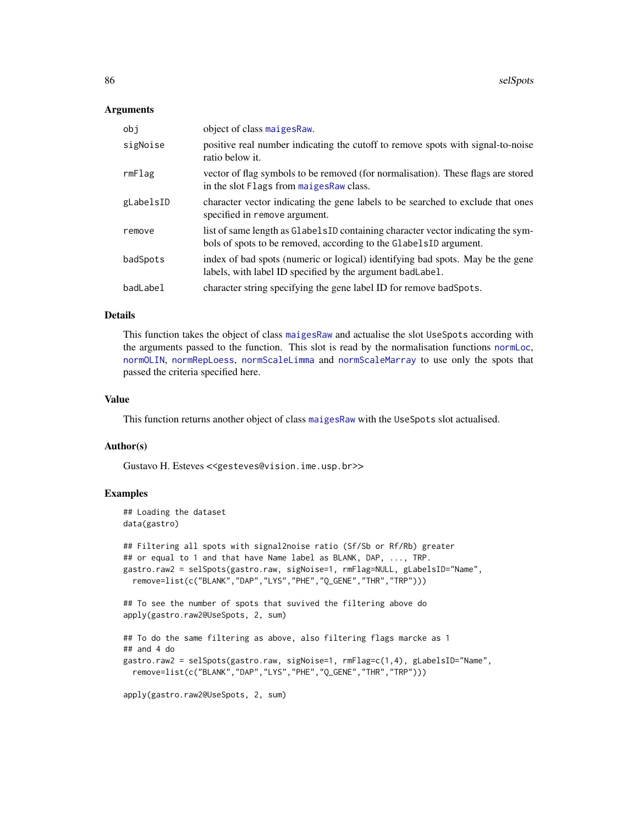#### Arguments

| obi       | object of class maiges Raw.                                                                                                                            |
|-----------|--------------------------------------------------------------------------------------------------------------------------------------------------------|
| sigNoise  | positive real number indicating the cutoff to remove spots with signal-to-noise<br>ratio below it.                                                     |
| rmFlag    | vector of flag symbols to be removed (for normalisation). These flags are stored<br>in the slot Flags from maiges Raw class.                           |
| gLabelsID | character vector indicating the gene labels to be searched to exclude that ones<br>specified in remove argument.                                       |
| remove    | list of same length as Glabels ID containing character vector indicating the sym-<br>bols of spots to be removed, according to the GlabelsID argument. |
| badSpots  | index of bad spots (numeric or logical) identifying bad spots. May be the gene<br>labels, with label ID specified by the argument bad Label.           |
| badLabel  | character string specifying the gene label ID for remove badSpots.                                                                                     |

# Details

This function takes the object of class [maigesRaw](#page-62-0) and actualise the slot UseSpots according with the arguments passed to the function. This slot is read by the normalisation functions [normLoc](#page-67-0), [normOLIN](#page-68-0), [normRepLoess](#page-69-0), [normScaleLimma](#page-70-0) and [normScaleMarray](#page-71-0) to use only the spots that passed the criteria specified here.

#### Value

This function returns another object of class [maigesRaw](#page-62-0) with the UseSpots slot actualised.

#### Author(s)

Gustavo H. Esteves <<gesteves@vision.ime.usp.br>>

# Examples

```
## Loading the dataset
data(gastro)
## Filtering all spots with signal2noise ratio (Sf/Sb or Rf/Rb) greater
## or equal to 1 and that have Name label as BLANK, DAP, ..., TRP.
gastro.raw2 = selSpots(gastro.raw, sigNoise=1, rmFlag=NULL, gLabelsID="Name",
 remove=list(c("BLANK","DAP","LYS","PHE","Q_GENE","THR","TRP")))
## To see the number of spots that suvived the filtering above do
apply(gastro.raw2@UseSpots, 2, sum)
## To do the same filtering as above, also filtering flags marcke as 1
## and 4 do
gastro.raw2 = selSpots(gastro.raw, sigNoise=1, rmFlag=c(1,4), gLabelsID="Name",
 remove=list(c("BLANK","DAP","LYS","PHE","Q_GENE","THR","TRP")))
apply(gastro.raw2@UseSpots, 2, sum)
```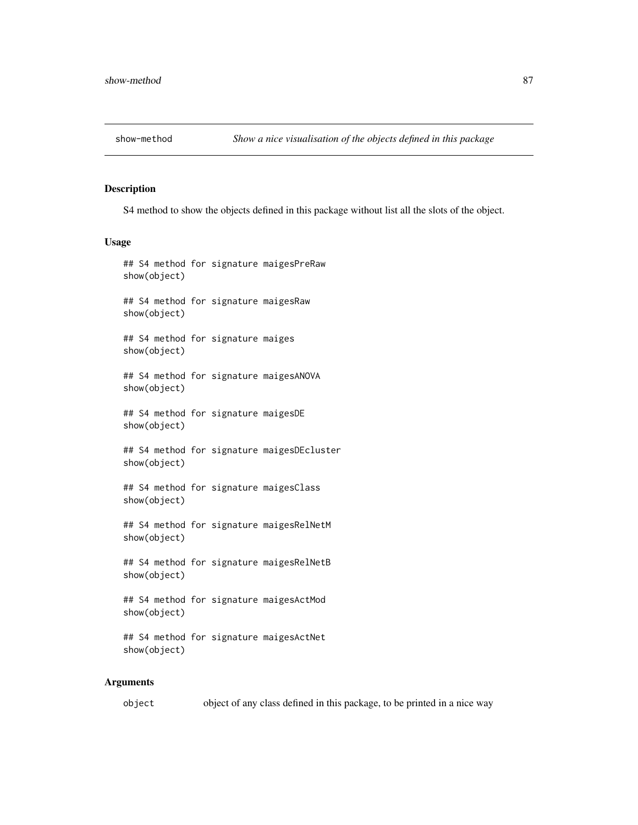<span id="page-86-1"></span>

# <span id="page-86-0"></span>Description

S4 method to show the objects defined in this package without list all the slots of the object.

#### Usage

```
## S4 method for signature maigesPreRaw
show(object)
## S4 method for signature maigesRaw
show(object)
## S4 method for signature maiges
show(object)
## S4 method for signature maigesANOVA
show(object)
## S4 method for signature maigesDE
show(object)
## S4 method for signature maigesDEcluster
show(object)
## S4 method for signature maigesClass
show(object)
## S4 method for signature maigesRelNetM
show(object)
## S4 method for signature maigesRelNetB
show(object)
## S4 method for signature maigesActMod
show(object)
## S4 method for signature maigesActNet
show(object)
```
#### Arguments

object object of any class defined in this package, to be printed in a nice way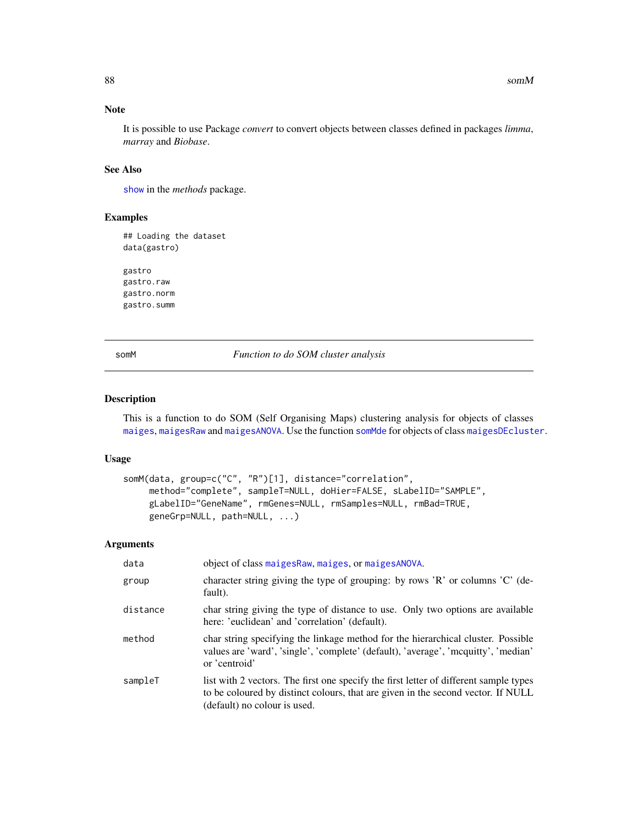# Note

It is possible to use Package *convert* to convert objects between classes defined in packages *limma*, *marray* and *Biobase*.

#### See Also

[show](#page-86-0) in the *methods* package.

# Examples

```
## Loading the dataset
data(gastro)
gastro
```
gastro.raw gastro.norm gastro.summ

somM *Function to do SOM cluster analysis*

#### Description

This is a function to do SOM (Self Organising Maps) clustering analysis for objects of classes [maiges](#page-52-0), [maigesRaw](#page-62-0) and [maigesANOVA](#page-56-0). Use the function [somMde](#page-89-0) for objects of class [maigesDEcluster](#page-59-0).

#### Usage

```
somM(data, group=c("C", "R")[1], distance="correlation",
     method="complete", sampleT=NULL, doHier=FALSE, sLabelID="SAMPLE",
     gLabelID="GeneName", rmGenes=NULL, rmSamples=NULL, rmBad=TRUE,
     geneGrp=NULL, path=NULL, ...)
```
#### Arguments

| data     | object of class maiges Raw, maiges, or maiges ANOVA.                                                                                                                                                      |
|----------|-----------------------------------------------------------------------------------------------------------------------------------------------------------------------------------------------------------|
| group    | character string giving the type of grouping: by rows 'R' or columns 'C' (de-<br>fault).                                                                                                                  |
| distance | char string giving the type of distance to use. Only two options are available<br>here: 'euclidean' and 'correlation' (default).                                                                          |
| method   | char string specifying the linkage method for the hierarchical cluster. Possible<br>values are 'ward', 'single', 'complete' (default), 'average', 'mequitty', 'median'<br>or 'centroid'                   |
| sampleT  | list with 2 vectors. The first one specify the first letter of different sample types<br>to be coloured by distinct colours, that are given in the second vector. If NULL<br>(default) no colour is used. |

<span id="page-87-0"></span>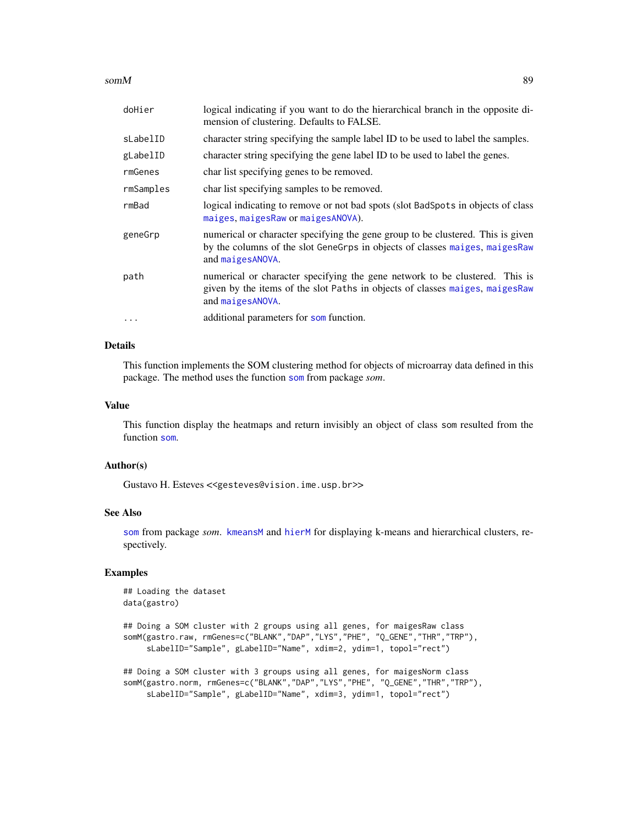#### $somM$  89

| doHier    | logical indicating if you want to do the hierarchical branch in the opposite di-<br>mension of clustering. Defaults to FALSE.                                                        |
|-----------|--------------------------------------------------------------------------------------------------------------------------------------------------------------------------------------|
| sLabelID  | character string specifying the sample label ID to be used to label the samples.                                                                                                     |
| gLabelID  | character string specifying the gene label ID to be used to label the genes.                                                                                                         |
| rmGenes   | char list specifying genes to be removed.                                                                                                                                            |
| rmSamples | char list specifying samples to be removed.                                                                                                                                          |
| rmBad     | logical indicating to remove or not bad spots (slot BadSpots in objects of class)<br>maiges, maiges Raw or maiges ANOVA).                                                            |
| geneGrp   | numerical or character specifying the gene group to be clustered. This is given<br>by the columns of the slot GeneGrps in objects of classes maiges, maiges Raw<br>and maiges ANOVA. |
| path      | numerical or character specifying the gene network to be clustered. This is<br>given by the items of the slot Paths in objects of classes maiges, maiges Raw<br>and maigesANOVA.     |
| $\cdots$  | additional parameters for som function.                                                                                                                                              |

#### Details

This function implements the SOM clustering method for objects of microarray data defined in this package. The method uses the function [som](#page-0-0) from package *som*.

# Value

This function display the heatmaps and return invisibly an object of class som resulted from the function [som](#page-0-0).

# Author(s)

Gustavo H. Esteves <<gesteves@vision.ime.usp.br>>

# See Also

[som](#page-0-0) from package *som*. [kmeansM](#page-47-0) and [hierM](#page-41-0) for displaying k-means and hierarchical clusters, respectively.

# Examples

```
## Loading the dataset
data(gastro)
```

```
## Doing a SOM cluster with 2 groups using all genes, for maigesRaw class
somM(gastro.raw, rmGenes=c("BLANK","DAP","LYS","PHE", "Q_GENE","THR","TRP"),
     sLabelID="Sample", gLabelID="Name", xdim=2, ydim=1, topol="rect")
```

```
## Doing a SOM cluster with 3 groups using all genes, for maigesNorm class
somM(gastro.norm, rmGenes=c("BLANK","DAP","LYS","PHE", "Q_GENE","THR","TRP"),
     sLabelID="Sample", gLabelID="Name", xdim=3, ydim=1, topol="rect")
```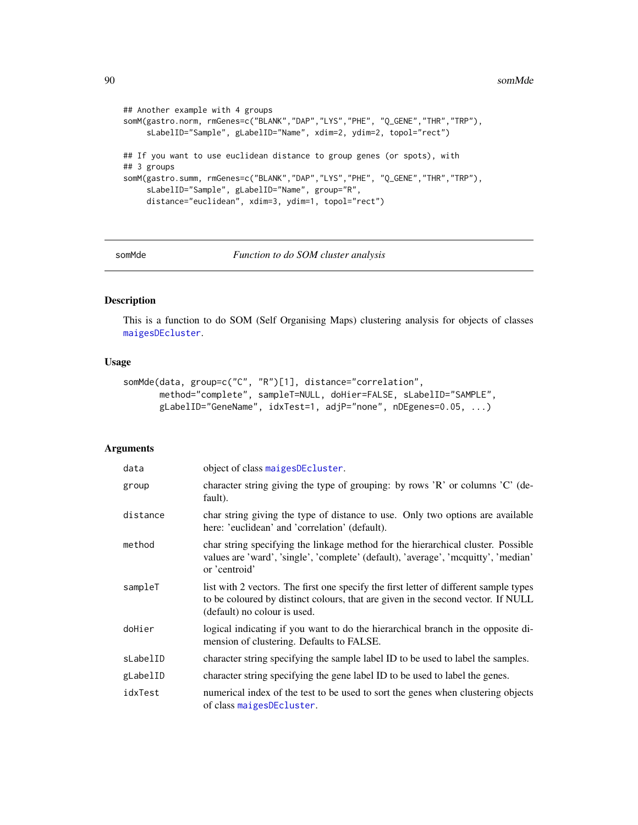```
## Another example with 4 groups
somM(gastro.norm, rmGenes=c("BLANK","DAP","LYS","PHE", "Q_GENE","THR","TRP"),
     sLabelID="Sample", gLabelID="Name", xdim=2, ydim=2, topol="rect")
## If you want to use euclidean distance to group genes (or spots), with
## 3 groups
somM(gastro.summ, rmGenes=c("BLANK","DAP","LYS","PHE", "Q_GENE","THR","TRP"),
     sLabelID="Sample", gLabelID="Name", group="R",
     distance="euclidean", xdim=3, ydim=1, topol="rect")
```
<span id="page-89-0"></span>

somMde *Function to do SOM cluster analysis*

# Description

This is a function to do SOM (Self Organising Maps) clustering analysis for objects of classes [maigesDEcluster](#page-59-0).

# Usage

```
somMde(data, group=c("C", "R")[1], distance="correlation",
      method="complete", sampleT=NULL, doHier=FALSE, sLabelID="SAMPLE",
      gLabelID="GeneName", idxTest=1, adjP="none", nDEgenes=0.05, ...)
```
#### Arguments

| data     | object of class maigesDEcluster.                                                                                                                                                                          |
|----------|-----------------------------------------------------------------------------------------------------------------------------------------------------------------------------------------------------------|
| group    | character string giving the type of grouping: by rows 'R' or columns 'C' (de-<br>fault).                                                                                                                  |
| distance | char string giving the type of distance to use. Only two options are available<br>here: 'euclidean' and 'correlation' (default).                                                                          |
| method   | char string specifying the linkage method for the hierarchical cluster. Possible<br>values are 'ward', 'single', 'complete' (default), 'average', 'mcquitty', 'median'<br>or 'centroid'                   |
| sampleT  | list with 2 vectors. The first one specify the first letter of different sample types<br>to be coloured by distinct colours, that are given in the second vector. If NULL<br>(default) no colour is used. |
| doHier   | logical indicating if you want to do the hierarchical branch in the opposite di-<br>mension of clustering. Defaults to FALSE.                                                                             |
| sLabelID | character string specifying the sample label ID to be used to label the samples.                                                                                                                          |
| gLabelID | character string specifying the gene label ID to be used to label the genes.                                                                                                                              |
| idxTest  | numerical index of the test to be used to sort the genes when clustering objects<br>of class maigesDEcluster.                                                                                             |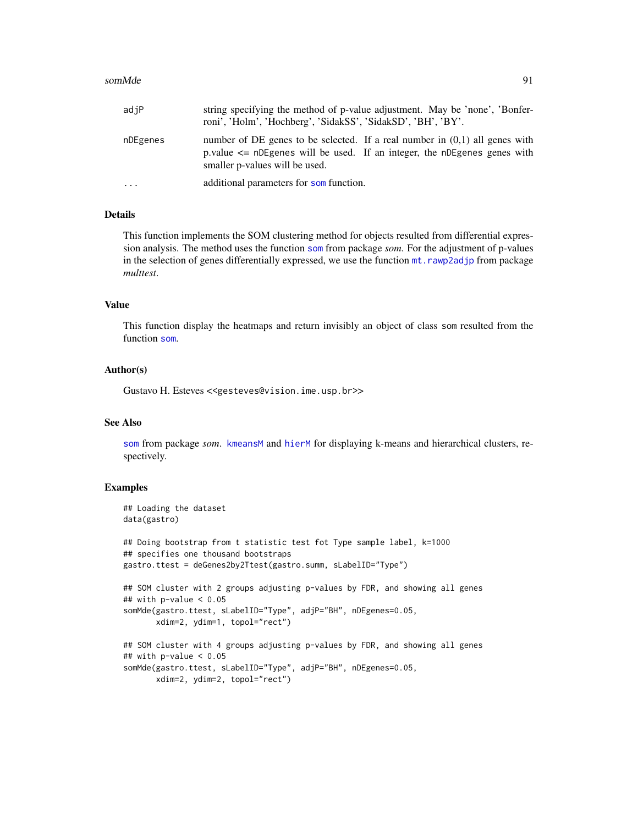#### somMde 91

| adjP     | string specifying the method of p-value adjustment. May be 'none', 'Bonfer-<br>roni', 'Holm', 'Hochberg', 'SidakSS', 'SidakSD', 'BH', 'BY'.                                                     |
|----------|-------------------------------------------------------------------------------------------------------------------------------------------------------------------------------------------------|
| nDEgenes | number of DE genes to be selected. If a real number in $(0,1)$ all genes with<br>p.value $\leq$ nDEgenes will be used. If an integer, the nDEgenes genes with<br>smaller p-values will be used. |
| $\cdots$ | additional parameters for som function.                                                                                                                                                         |

#### Details

This function implements the SOM clustering method for objects resulted from differential expression analysis. The method uses the function [som](#page-0-0) from package *som*. For the adjustment of p-values in the selection of genes differentially expressed, we use the function  $m$ t.rawp2adjp from package *multtest*.

#### Value

This function display the heatmaps and return invisibly an object of class som resulted from the function [som](#page-0-0).

#### Author(s)

Gustavo H. Esteves <<gesteves@vision.ime.usp.br>>

#### See Also

[som](#page-0-0) from package *som*. [kmeansM](#page-47-0) and [hierM](#page-41-0) for displaying k-means and hierarchical clusters, respectively.

#### Examples

```
## Loading the dataset
data(gastro)
## Doing bootstrap from t statistic test fot Type sample label, k=1000
## specifies one thousand bootstraps
gastro.ttest = deGenes2by2Ttest(gastro.summ, sLabelID="Type")
## SOM cluster with 2 groups adjusting p-values by FDR, and showing all genes
## with p-value < 0.05
somMde(gastro.ttest, sLabelID="Type", adjP="BH", nDEgenes=0.05,
      xdim=2, ydim=1, topol="rect")
## SOM cluster with 4 groups adjusting p-values by FDR, and showing all genes
## with p-value < 0.05somMde(gastro.ttest, sLabelID="Type", adjP="BH", nDEgenes=0.05,
      xdim=2, ydim=2, topol="rect")
```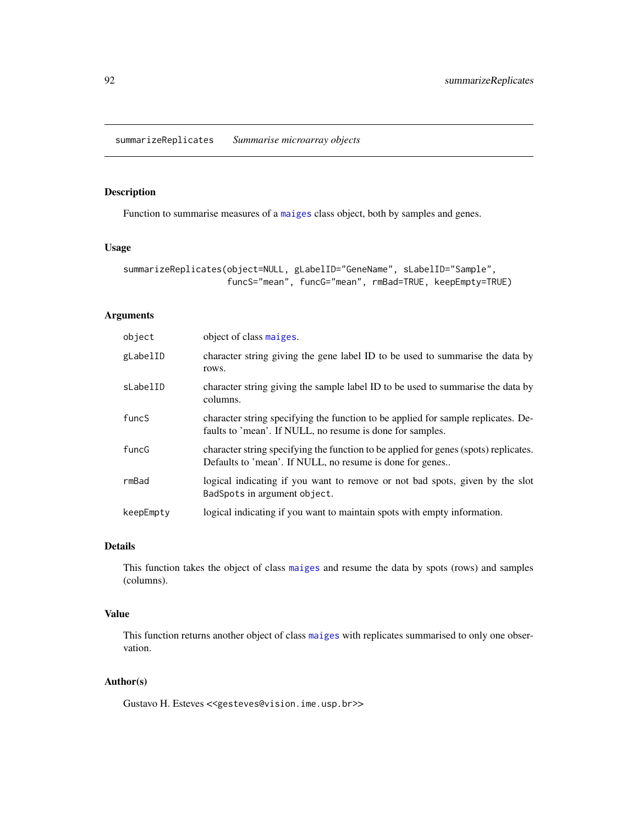# <span id="page-91-0"></span>Description

Function to summarise measures of a [maiges](#page-52-0) class object, both by samples and genes.

#### Usage

```
summarizeReplicates(object=NULL, gLabelID="GeneName", sLabelID="Sample",
                    funcS="mean", funcG="mean", rmBad=TRUE, keepEmpty=TRUE)
```
# Arguments

| object    | object of class maiges.                                                                                                                          |
|-----------|--------------------------------------------------------------------------------------------------------------------------------------------------|
| gLabelID  | character string giving the gene label ID to be used to summarise the data by<br>rows.                                                           |
| sLabelID  | character string giving the sample label ID to be used to summarise the data by<br>columns.                                                      |
| funcS     | character string specifying the function to be applied for sample replicates. De-<br>faults to 'mean'. If NULL, no resume is done for samples.   |
| funcG     | character string specifying the function to be applied for genes (spots) replicates.<br>Defaults to 'mean'. If NULL, no resume is done for genes |
| rmBad     | logical indicating if you want to remove or not bad spots, given by the slot<br>BadSpots in argument object.                                     |
| keepEmpty | logical indicating if you want to maintain spots with empty information.                                                                         |

# Details

This function takes the object of class [maiges](#page-52-0) and resume the data by spots (rows) and samples (columns).

# Value

This function returns another object of class [maiges](#page-52-0) with replicates summarised to only one observation.

# Author(s)

Gustavo H. Esteves <<gesteves@vision.ime.usp.br>>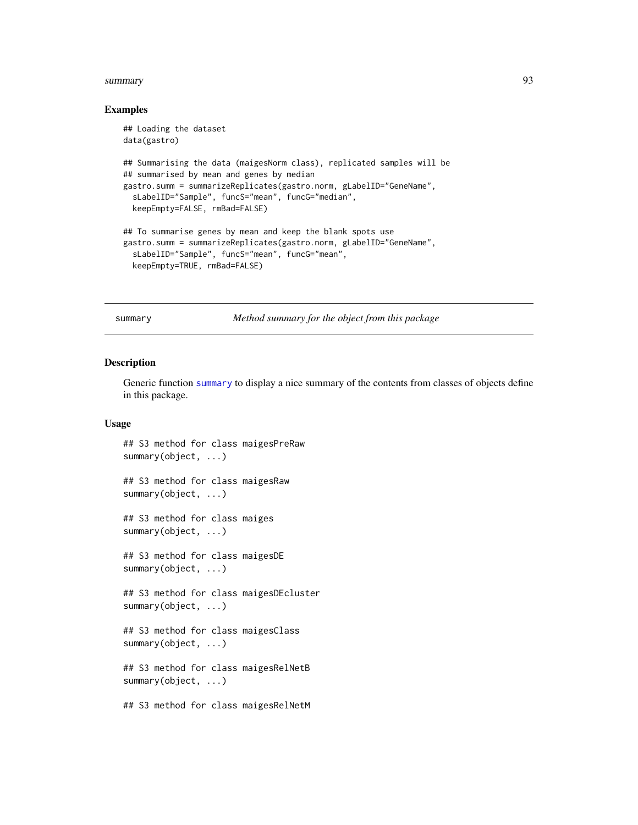#### <span id="page-92-1"></span>summary 2008 and 2008 and 2008 and 2008 and 2008 and 2008 and 2008 and 2008 and 2008 and 2008 and 2008 and 200

#### Examples

```
## Loading the dataset
data(gastro)
## Summarising the data (maigesNorm class), replicated samples will be
## summarised by mean and genes by median
gastro.summ = summarizeReplicates(gastro.norm, gLabelID="GeneName",
  sLabelID="Sample", funcS="mean", funcG="median",
  keepEmpty=FALSE, rmBad=FALSE)
## To summarise genes by mean and keep the blank spots use
gastro.summ = summarizeReplicates(gastro.norm, gLabelID="GeneName",
  sLabelID="Sample", funcS="mean", funcG="mean",
  keepEmpty=TRUE, rmBad=FALSE)
```
<span id="page-92-0"></span>summary *Method summary for the object from this package*

#### Description

Generic function [summary](#page-92-0) to display a nice summary of the contents from classes of objects define in this package.

# Usage

```
## S3 method for class maigesPreRaw
summary(object, ...)
```
## S3 method for class maigesRaw summary(object, ...)

## S3 method for class maiges summary(object, ...)

## S3 method for class maigesDE summary(object, ...)

## S3 method for class maigesDEcluster summary(object, ...)

## S3 method for class maigesClass summary(object, ...)

## S3 method for class maigesRelNetB summary(object, ...)

## S3 method for class maigesRelNetM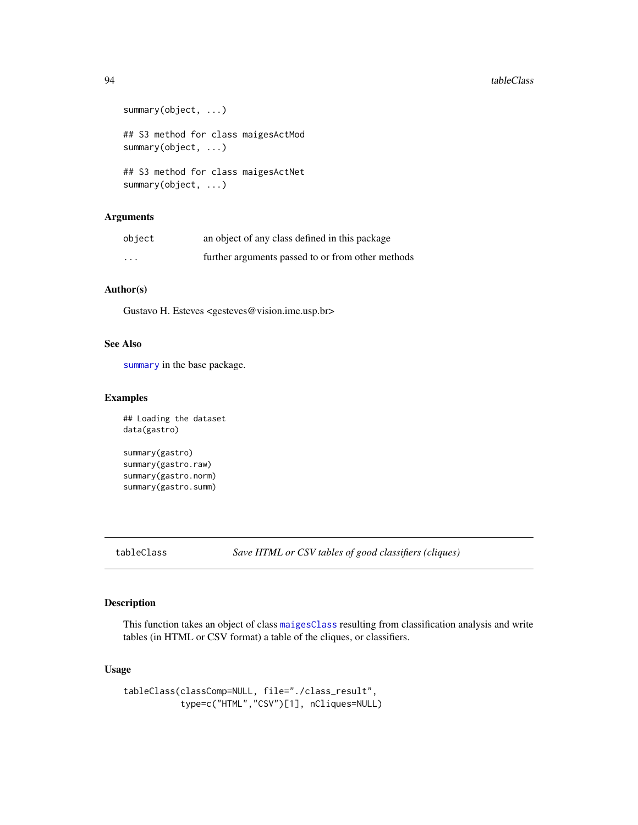```
summary(object, ...)
## S3 method for class maigesActMod
summary(object, ...)
## S3 method for class maigesActNet
summary(object, ...)
```
# Arguments

| object   | an object of any class defined in this package    |
|----------|---------------------------------------------------|
| $\cdots$ | further arguments passed to or from other methods |

# Author(s)

Gustavo H. Esteves <gesteves@vision.ime.usp.br>

#### See Also

[summary](#page-92-0) in the base package.

#### Examples

```
## Loading the dataset
data(gastro)
```
summary(gastro) summary(gastro.raw) summary(gastro.norm) summary(gastro.summ)

tableClass *Save HTML or CSV tables of good classifiers (cliques)*

# Description

This function takes an object of class [maigesClass](#page-57-0) resulting from classification analysis and write tables (in HTML or CSV format) a table of the cliques, or classifiers.

# Usage

```
tableClass(classComp=NULL, file="./class_result",
           type=c("HTML","CSV")[1], nCliques=NULL)
```
<span id="page-93-0"></span>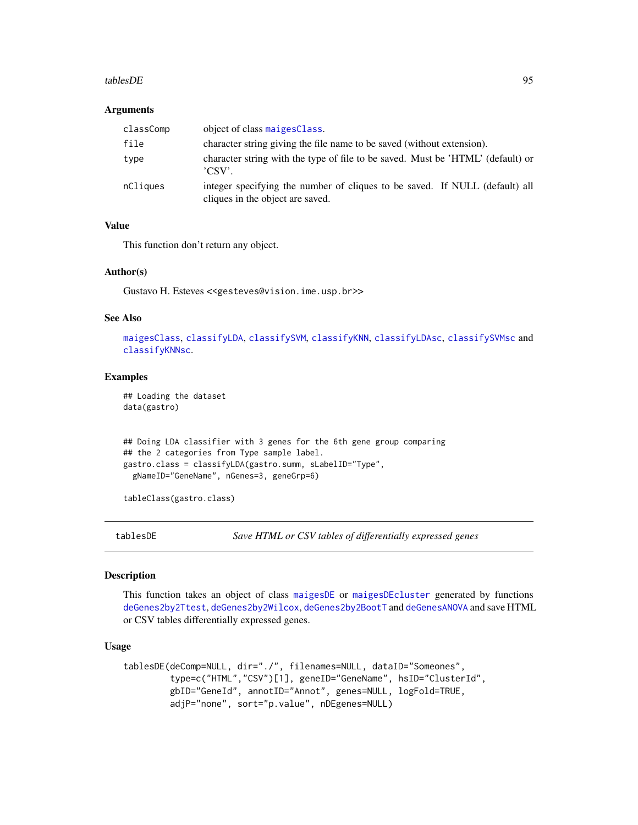#### <span id="page-94-0"></span>tablesDE 95

#### **Arguments**

| classComp | object of class maigesClass.                                                                                    |
|-----------|-----------------------------------------------------------------------------------------------------------------|
| file      | character string giving the file name to be saved (without extension).                                          |
| type      | character string with the type of file to be saved. Must be 'HTML' (default) or<br>'CSV'.                       |
| nCliques  | integer specifying the number of cliques to be saved. If NULL (default) all<br>cliques in the object are saved. |

#### Value

This function don't return any object.

#### Author(s)

Gustavo H. Esteves <<gesteves@vision.ime.usp.br>>

#### See Also

[maigesClass](#page-57-0), [classifyLDA](#page-19-0), [classifySVM](#page-23-0), [classifyKNN](#page-16-0), [classifyLDAsc](#page-21-0), [classifySVMsc](#page-24-0) and [classifyKNNsc](#page-18-0).

# Examples

## Loading the dataset data(gastro)

```
## Doing LDA classifier with 3 genes for the 6th gene group comparing
## the 2 categories from Type sample label.
gastro.class = classifyLDA(gastro.summ, sLabelID="Type",
 gNameID="GeneName", nGenes=3, geneGrp=6)
```
tableClass(gastro.class)

tablesDE *Save HTML or CSV tables of differentially expressed genes*

#### Description

This function takes an object of class [maigesDE](#page-58-0) or [maigesDEcluster](#page-59-0) generated by functions [deGenes2by2Ttest](#page-33-0), [deGenes2by2Wilcox](#page-34-0), [deGenes2by2BootT](#page-32-0) and [deGenesANOVA](#page-35-0) and save HTML or CSV tables differentially expressed genes.

# Usage

```
tablesDE(deComp=NULL, dir="./", filenames=NULL, dataID="Someones",
         type=c("HTML","CSV")[1], geneID="GeneName", hsID="ClusterId",
         gbID="GeneId", annotID="Annot", genes=NULL, logFold=TRUE,
         adjP="none", sort="p.value", nDEgenes=NULL)
```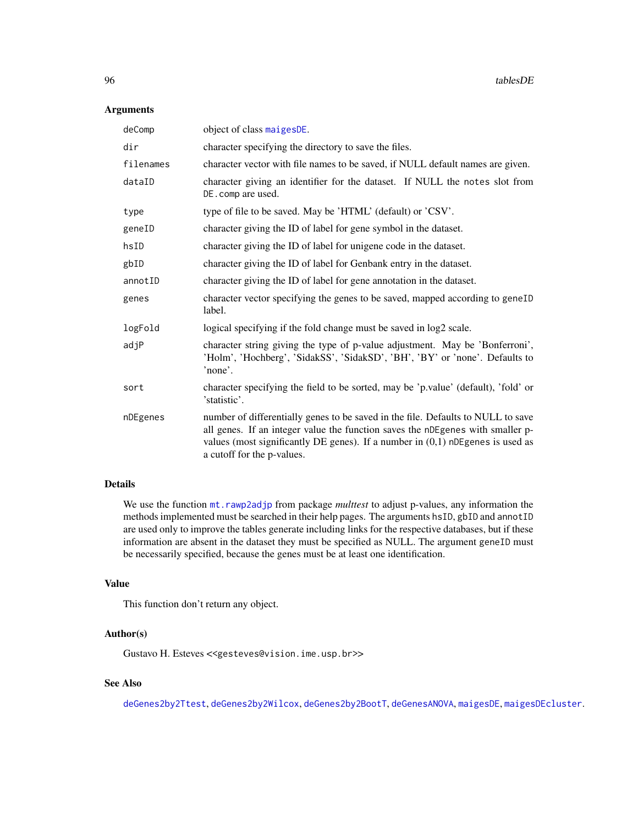# Arguments

| deComp    | object of class maigesDE.                                                                                                                                                                                                                                                             |
|-----------|---------------------------------------------------------------------------------------------------------------------------------------------------------------------------------------------------------------------------------------------------------------------------------------|
| dir       | character specifying the directory to save the files.                                                                                                                                                                                                                                 |
| filenames | character vector with file names to be saved, if NULL default names are given.                                                                                                                                                                                                        |
| dataID    | character giving an identifier for the dataset. If NULL the notes slot from<br>DE.comp are used.                                                                                                                                                                                      |
| type      | type of file to be saved. May be 'HTML' (default) or 'CSV'.                                                                                                                                                                                                                           |
| geneID    | character giving the ID of label for gene symbol in the dataset.                                                                                                                                                                                                                      |
| hsID      | character giving the ID of label for unigene code in the dataset.                                                                                                                                                                                                                     |
| gbID      | character giving the ID of label for Genbank entry in the dataset.                                                                                                                                                                                                                    |
| annotID   | character giving the ID of label for gene annotation in the dataset.                                                                                                                                                                                                                  |
| genes     | character vector specifying the genes to be saved, mapped according to geneID<br>label.                                                                                                                                                                                               |
| logFold   | logical specifying if the fold change must be saved in log2 scale.                                                                                                                                                                                                                    |
| adjP      | character string giving the type of p-value adjustment. May be 'Bonferroni',<br>'Holm', 'Hochberg', 'SidakSS', 'SidakSD', 'BH', 'BY' or 'none'. Defaults to<br>'none'.                                                                                                                |
| sort      | character specifying the field to be sorted, may be 'p.value' (default), 'fold' or<br>'statistic'.                                                                                                                                                                                    |
| nDEgenes  | number of differentially genes to be saved in the file. Defaults to NULL to save<br>all genes. If an integer value the function saves the nDEgenes with smaller p-<br>values (most significantly DE genes). If a number in $(0,1)$ nDE genes is used as<br>a cutoff for the p-values. |

# Details

We use the function  $m$ t. rawp2adjp from package *multtest* to adjust p-values, any information the methods implemented must be searched in their help pages. The arguments hsID, gbID and annotID are used only to improve the tables generate including links for the respective databases, but if these information are absent in the dataset they must be specified as NULL. The argument geneID must be necessarily specified, because the genes must be at least one identification.

# Value

This function don't return any object.

# Author(s)

Gustavo H. Esteves <<gesteves@vision.ime.usp.br>>

# See Also

[deGenes2by2Ttest](#page-33-0), [deGenes2by2Wilcox](#page-34-0), [deGenes2by2BootT](#page-32-0), [deGenesANOVA](#page-35-0), [maigesDE](#page-58-0), [maigesDEcluster](#page-59-0).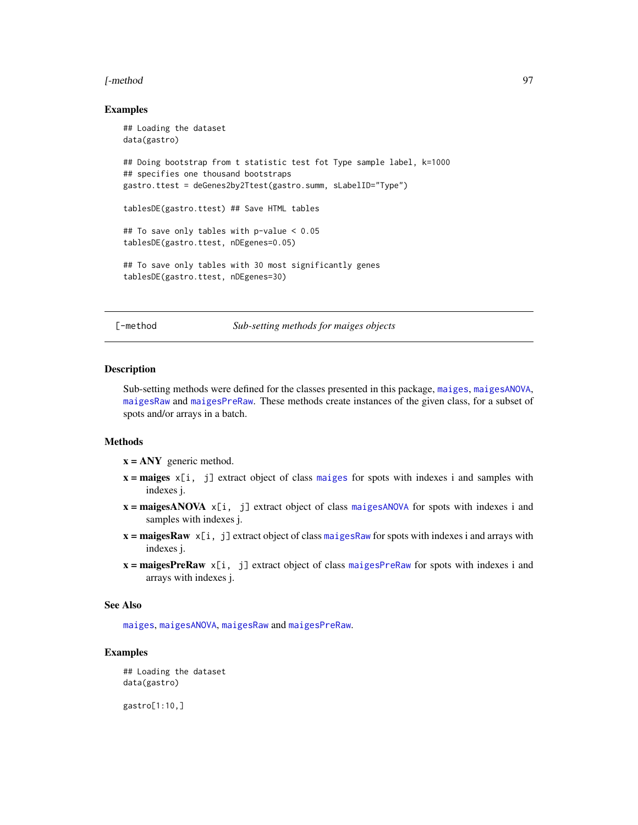#### <span id="page-96-0"></span>[-method 97

#### Examples

```
## Loading the dataset
data(gastro)
## Doing bootstrap from t statistic test fot Type sample label, k=1000
## specifies one thousand bootstraps
gastro.ttest = deGenes2by2Ttest(gastro.summ, sLabelID="Type")
tablesDE(gastro.ttest) ## Save HTML tables
## To save only tables with p-value < 0.05
tablesDE(gastro.ttest, nDEgenes=0.05)
## To save only tables with 30 most significantly genes
tablesDE(gastro.ttest, nDEgenes=30)
```
[-method *Sub-setting methods for maiges objects*

#### Description

Sub-setting methods were defined for the classes presented in this package, [maiges](#page-52-0), [maigesANOVA](#page-56-0), [maigesRaw](#page-62-0) and [maigesPreRaw](#page-60-0). These methods create instances of the given class, for a subset of spots and/or arrays in a batch.

# Methods

- $x = \text{ANY}$  generic method.
- $x = \text{maiges } x[i, j]$  $x = \text{maiges } x[i, j]$  $x = \text{maiges } x[i, j]$  extract object of class maiges for spots with indexes i and samples with indexes j.
- $x = maigesANOVA \times [i, j]$  $x = maigesANOVA \times [i, j]$  $x = maigesANOVA \times [i, j]$  extract object of class maigesANOVA for spots with indexes i and samples with indexes j.
- $x = maiges Raw \times[i, j]$  extract object of class [maigesRaw](#page-62-0) for spots with indexes i and arrays with indexes j.
- $x = \text{maigesPreRaw } \times [i, j]$  $x = \text{maigesPreRaw } \times [i, j]$  $x = \text{maigesPreRaw } \times [i, j]$  extract object of class maigesPreRaw for spots with indexes i and arrays with indexes j.

#### See Also

[maiges](#page-52-0), [maigesANOVA](#page-56-0), [maigesRaw](#page-62-0) and [maigesPreRaw](#page-60-0).

#### Examples

```
## Loading the dataset
data(gastro)
```
gastro[1:10,]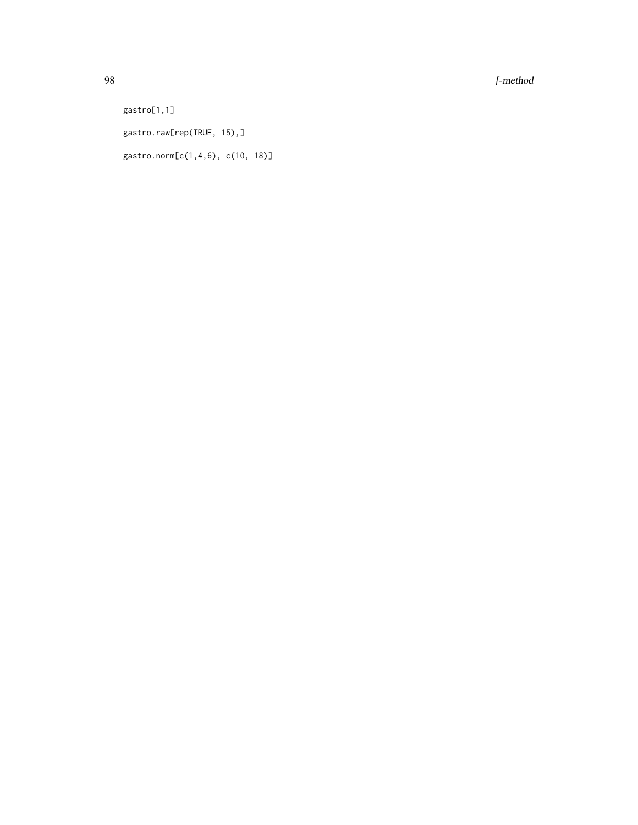98 [-method

gastro[1,1] gastro.raw[rep(TRUE, 15),] gastro.norm[c(1,4,6), c(10, 18)]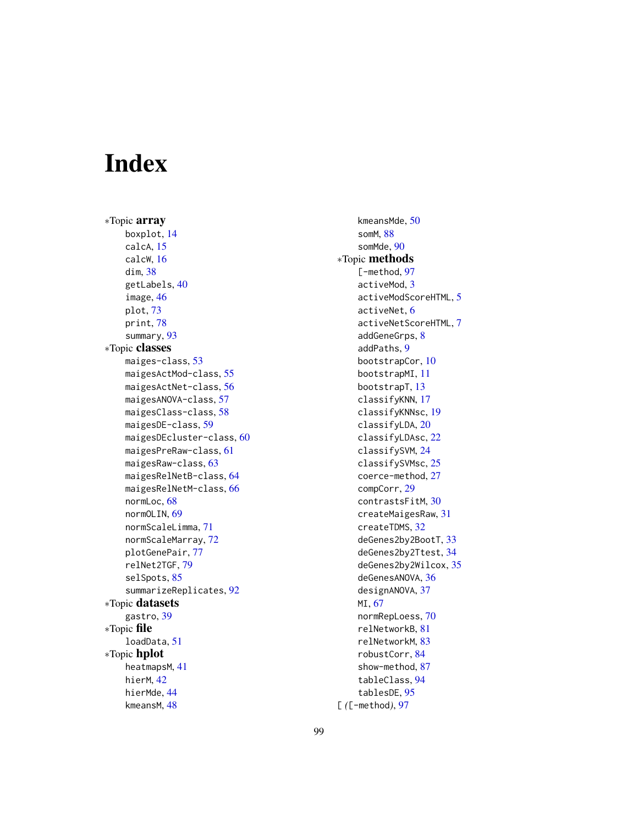# Index

∗Topic array boxplot, [14](#page-13-0) calcA, [15](#page-14-0) calcW, [16](#page-15-0) dim, [38](#page-37-0) getLabels, [40](#page-39-0) image, [46](#page-45-2) plot, [73](#page-72-2) print, [78](#page-77-1) summary, [93](#page-92-1) ∗Topic classes maiges-class, [53](#page-52-1) maigesActMod-class, [55](#page-54-1) maigesActNet-class, [56](#page-55-1) maigesANOVA-class, [57](#page-56-1) maigesClass-class, [58](#page-57-1) maigesDE-class, [59](#page-58-1) maigesDEcluster-class, [60](#page-59-1) maigesPreRaw-class, [61](#page-60-1) maigesRaw-class, [63](#page-62-1) maigesRelNetB-class, [64](#page-63-1) maigesRelNetM-class, [66](#page-65-1) normLoc, [68](#page-67-1) normOLIN, [69](#page-68-1) normScaleLimma, [71](#page-70-1) normScaleMarray, [72](#page-71-1) plotGenePair, [77](#page-76-0) relNet2TGF, [79](#page-78-0) selSpots, [85](#page-84-0) summarizeReplicates, [92](#page-91-0) ∗Topic datasets gastro, [39](#page-38-0) ∗Topic file loadData, [51](#page-50-0) ∗Topic hplot heatmapsM, [41](#page-40-0) hierM, [42](#page-41-1) hierMde, [44](#page-43-0) kmeansM, [48](#page-47-1)

kmeansMde, [50](#page-49-0) somM, [88](#page-87-0) somMde, [90](#page-89-1) ∗Topic methods [-method, [97](#page-96-0) activeMod, [3](#page-2-0) activeModScoreHTML, [5](#page-4-0) activeNet, [6](#page-5-0) activeNetScoreHTML, [7](#page-6-0) addGeneGrps, [8](#page-7-0) addPaths, [9](#page-8-0) bootstrapCor, [10](#page-9-0) bootstrapMI, [11](#page-10-0) bootstrapT, [13](#page-12-0) classifyKNN, [17](#page-16-1) classifyKNNsc, [19](#page-18-1) classifyLDA, [20](#page-19-1) classifyLDAsc, [22](#page-21-1) classifySVM, [24](#page-23-1) classifySVMsc, [25](#page-24-1) coerce-method, [27](#page-26-0) compCorr, [29](#page-28-1) contrastsFitM, [30](#page-29-0) createMaigesRaw, [31](#page-30-0) createTDMS, [32](#page-31-0) deGenes2by2BootT, [33](#page-32-1) deGenes2by2Ttest, [34](#page-33-1) deGenes2by2Wilcox, [35](#page-34-1) deGenesANOVA, [36](#page-35-1) designANOVA, [37](#page-36-0) MI, [67](#page-66-1) normRepLoess, [70](#page-69-1) relNetworkB, [81](#page-80-1) relNetworkM, [83](#page-82-1) robustCorr, [84](#page-83-1) show-method, [87](#page-86-1) tableClass, [94](#page-93-0) tablesDE, [95](#page-94-0) [ *(*[-method*)*, [97](#page-96-0)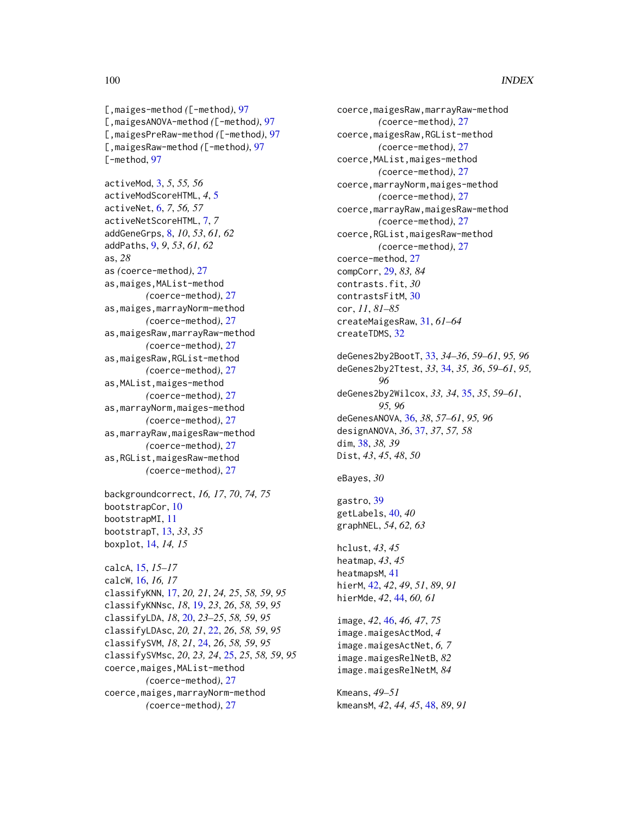### 100 INDEX

[,maiges-method *(*[-method*)*, [97](#page-96-0) [,maigesANOVA-method *(*[-method*)*, [97](#page-96-0) [,maigesPreRaw-method *(*[-method*)*, [97](#page-96-0) [,maigesRaw-method *(*[-method*)*, [97](#page-96-0) [-method, [97](#page-96-0)

activeMod, [3,](#page-2-0) *5*, *55, 56* activeModScoreHTML, *4*, [5](#page-4-0) activeNet, [6,](#page-5-0) *7*, *56, 57* activeNetScoreHTML, [7,](#page-6-0) *7* addGeneGrps, [8,](#page-7-0) *10*, *53*, *61, 62* addPaths, [9,](#page-8-0) *9*, *53*, *61, 62* as, *28* as *(*coerce-method*)*, [27](#page-26-0) as,maiges,MAList-method *(*coerce-method*)*, [27](#page-26-0) as,maiges,marrayNorm-method *(*coerce-method*)*, [27](#page-26-0) as,maigesRaw,marrayRaw-method *(*coerce-method*)*, [27](#page-26-0) as,maigesRaw,RGList-method *(*coerce-method*)*, [27](#page-26-0) as,MAList,maiges-method *(*coerce-method*)*, [27](#page-26-0) as,marrayNorm,maiges-method *(*coerce-method*)*, [27](#page-26-0) as,marrayRaw,maigesRaw-method *(*coerce-method*)*, [27](#page-26-0) as,RGList,maigesRaw-method *(*coerce-method*)*, [27](#page-26-0)

backgroundcorrect, *16, 17*, *70*, *74, 75* bootstrapCor, [10](#page-9-0) bootstrapMI, [11](#page-10-0) bootstrapT, [13,](#page-12-0) *33*, *35* boxplot, [14,](#page-13-0) *14, 15*

```
calcA, 15, 15–17
calcW, 16, 16, 17
classifyKNN, 17, 20, 21, 24, 25, 58, 59, 95
classifyKNNsc, 18, 19, 23, 26, 58, 59, 95
classifyLDA, 18, 20, 23–25, 58, 59, 95
classifyLDAsc, 20, 21, 22, 26, 58, 59, 95
classifySVM, 18, 21, 24, 26, 58, 59, 95
classifySVMsc, 20, 23, 24, 25, 25, 58, 59, 95
coerce,maiges,MAList-method
         (coerce-method), 27
coerce,maiges,marrayNorm-method
         (coerce-method), 27
```
coerce,maigesRaw,marrayRaw-method *(*coerce-method*)*, [27](#page-26-0) coerce,maigesRaw,RGList-method *(*coerce-method*)*, [27](#page-26-0) coerce,MAList,maiges-method *(*coerce-method*)*, [27](#page-26-0) coerce,marrayNorm,maiges-method *(*coerce-method*)*, [27](#page-26-0) coerce,marrayRaw,maigesRaw-method *(*coerce-method*)*, [27](#page-26-0) coerce,RGList,maigesRaw-method *(*coerce-method*)*, [27](#page-26-0) coerce-method, [27](#page-26-0) compCorr, [29,](#page-28-1) *83, 84* contrasts.fit, *30* contrastsFitM, [30](#page-29-0) cor, *11*, *81–85* createMaigesRaw, [31,](#page-30-0) *61–64* createTDMS, [32](#page-31-0) deGenes2by2BootT, [33,](#page-32-1) *34–36*, *59–61*, *95, 96* deGenes2by2Ttest, *33*, [34,](#page-33-1) *35, 36*, *59–61*, *95, 96* deGenes2by2Wilcox, *33, 34*, [35,](#page-34-1) *35*, *59–61*, *95, 96* deGenesANOVA, [36,](#page-35-1) *38*, *57–61*, *95, 96* designANOVA, *36*, [37,](#page-36-0) *37*, *57, 58* dim, [38,](#page-37-0) *38, 39*

```
eBayes, 30
```
gastro, [39](#page-38-0) getLabels, [40,](#page-39-0) *40* graphNEL, *54*, *62, 63*

Dist, *43*, *45*, *48*, *50*

hclust, *43*, *45* heatmap, *43*, *45* heatmapsM, [41](#page-40-0) hierM, [42,](#page-41-1) *42*, *49*, *51*, *89*, *91* hierMde, *42*, [44,](#page-43-0) *60, 61*

image, *42*, [46,](#page-45-2) *46, 47*, *75* image.maigesActMod, *4* image.maigesActNet, *6, 7* image.maigesRelNetB, *82* image.maigesRelNetM, *84*

Kmeans, *49–51* kmeansM, *42*, *44, 45*, [48,](#page-47-1) *89*, *91*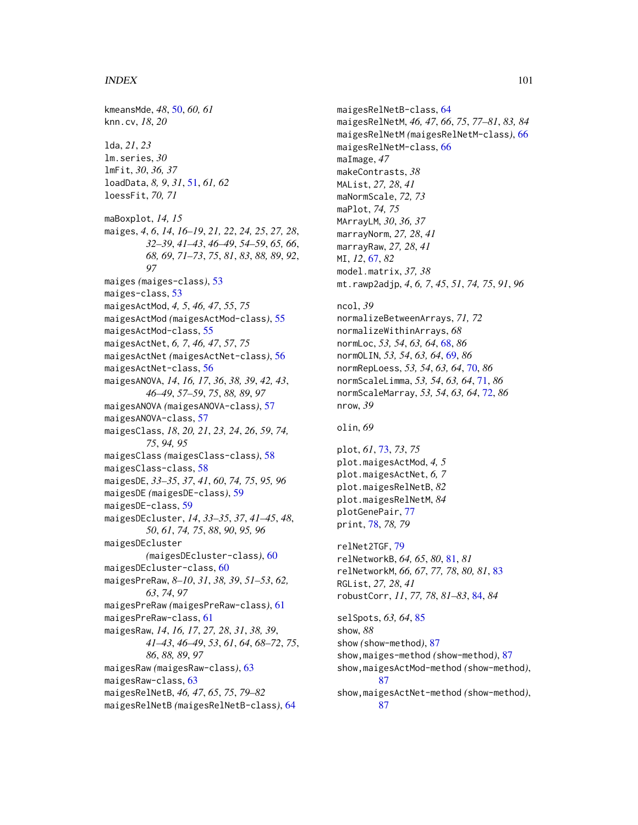#### $I$ NDEX  $101$

kmeansMde, *48*, [50,](#page-49-0) *60, 61* knn.cv, *18*, *20* lda, *21*, *23* lm.series, *30* lmFit, *30*, *36, 37* loadData, *8, 9*, *31*, [51,](#page-50-0) *61, 62* loessFit, *70, 71* maBoxplot, *14, 15* maiges, *4*, *6*, *14*, *16–19*, *21, 22*, *24, 25*, *27, 28*, *32–39*, *41–43*, *46–49*, *54–59*, *65, 66*, *68, 69*, *71–73*, *75*, *81*, *83*, *88, 89*, *92*, *97* maiges *(*maiges-class*)*, [53](#page-52-1) maiges-class, [53](#page-52-1) maigesActMod, *4, 5*, *46, 47*, *55*, *75* maigesActMod *(*maigesActMod-class*)*, [55](#page-54-1) maigesActMod-class, [55](#page-54-1) maigesActNet, *6, 7*, *46, 47*, *57*, *75* maigesActNet *(*maigesActNet-class*)*, [56](#page-55-1) maigesActNet-class, [56](#page-55-1) maigesANOVA, *14*, *16, 17*, *36*, *38, 39*, *42, 43*, *46–49*, *57–59*, *75*, *88, 89*, *97* maigesANOVA *(*maigesANOVA-class*)*, [57](#page-56-1) maigesANOVA-class, [57](#page-56-1) maigesClass, *18*, *20, 21*, *23, 24*, *26*, *59*, *74, 75*, *94, 95* maigesClass *(*maigesClass-class*)*, [58](#page-57-1) maigesClass-class, [58](#page-57-1) maigesDE, *33–35*, *37*, *41*, *60*, *74, 75*, *95, 96* maigesDE *(*maigesDE-class*)*, [59](#page-58-1) maigesDE-class, [59](#page-58-1) maigesDEcluster, *14*, *33–35*, *37*, *41–45*, *48*, *50*, *61*, *74, 75*, *88*, *90*, *95, 96* maigesDEcluster *(*maigesDEcluster-class*)*, [60](#page-59-1) maigesDEcluster-class, [60](#page-59-1) maigesPreRaw, *8–10*, *31*, *38, 39*, *51–53*, *62, 63*, *74*, *97* maigesPreRaw *(*maigesPreRaw-class*)*, [61](#page-60-1) maigesPreRaw-class, [61](#page-60-1) maigesRaw, *14*, *16, 17*, *27, 28*, *31*, *38, 39*, *41–43*, *46–49*, *53*, *61*, *64*, *68–72*, *75*, *86*, *88, 89*, *97* maigesRaw *(*maigesRaw-class*)*, [63](#page-62-1) maigesRaw-class, [63](#page-62-1) maigesRelNetB, *46, 47*, *65*, *75*, *79–82* maigesRelNetB *(*maigesRelNetB-class*)*, [64](#page-63-1)

maigesRelNetB-class, [64](#page-63-1) maigesRelNetM, *46, 47*, *66*, *75*, *77–81*, *83, 84* maigesRelNetM *(*maigesRelNetM-class*)*, [66](#page-65-1) maigesRelNetM-class, [66](#page-65-1) maImage, *47* makeContrasts, *38* MAList, *27, 28*, *41* maNormScale, *72, 73* maPlot, *74, 75* MArrayLM, *30*, *36, 37* marrayNorm, *27, 28*, *41* marrayRaw, *27, 28*, *41* MI, *12*, [67,](#page-66-1) *82* model.matrix, *37, 38* mt.rawp2adjp, *4*, *6, 7*, *45*, *51*, *74, 75*, *91*, *96* ncol, *39* normalizeBetweenArrays, *71, 72* normalizeWithinArrays, *68* normLoc, *53, 54*, *63, 64*, [68,](#page-67-1) *86* normOLIN, *53, 54*, *63, 64*, [69,](#page-68-1) *86* normRepLoess, *53, 54*, *63, 64*, [70,](#page-69-1) *86* normScaleLimma, *53, 54*, *63, 64*, [71,](#page-70-1) *86* normScaleMarray, *53, 54*, *63, 64*, [72,](#page-71-1) *86* nrow, *39* olin, *69* plot, *61*, [73,](#page-72-2) *73*, *75* plot.maigesActMod, *4, 5* plot.maigesActNet, *6, 7* plot.maigesRelNetB, *82* plot.maigesRelNetM, *84* plotGenePair, [77](#page-76-0)

relNet2TGF, [79](#page-78-0) relNetworkB, *64, 65*, *80*, [81,](#page-80-1) *81* relNetworkM, *66, 67*, *77, 78*, *80, 81*, [83](#page-82-1) RGList, *27, 28*, *41* robustCorr, *11*, *77, 78*, *81–83*, [84,](#page-83-1) *84*

print, [78,](#page-77-1) *78, 79*

selSpots, *63, 64*, [85](#page-84-0) show, *88* show *(*show-method*)*, [87](#page-86-1) show,maiges-method *(*show-method*)*, [87](#page-86-1) show,maigesActMod-method *(*show-method*)*, [87](#page-86-1) show,maigesActNet-method *(*show-method*)*, [87](#page-86-1)